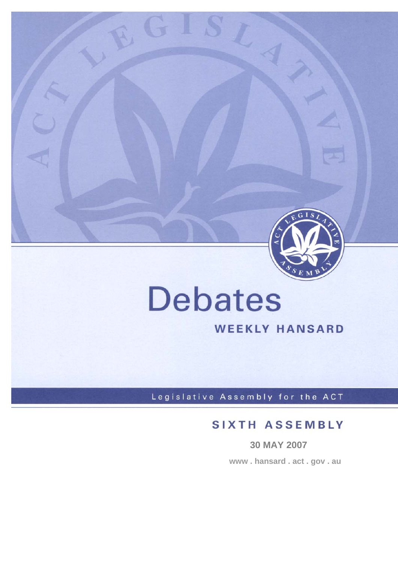

# **Debates**

 $G$  .

# **WEEKLY HANSARD**

Legislative Assembly for the ACT

# **SIXTH ASSEMBLY**

**30 MAY 2007 www . hansard . act . gov . au**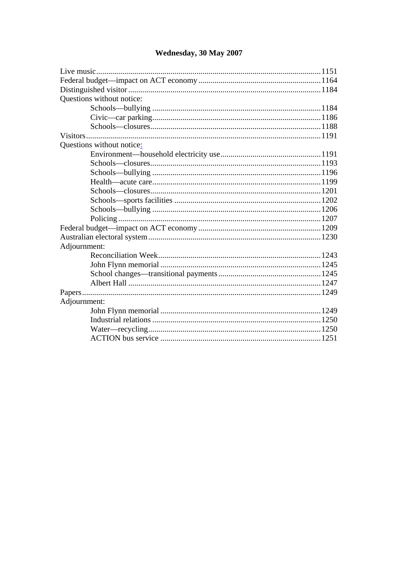| Questions without notice: |  |
|---------------------------|--|
|                           |  |
|                           |  |
|                           |  |
|                           |  |
| Questions without notice: |  |
|                           |  |
|                           |  |
|                           |  |
|                           |  |
|                           |  |
|                           |  |
|                           |  |
|                           |  |
|                           |  |
|                           |  |
| Adjournment:              |  |
|                           |  |
|                           |  |
|                           |  |
|                           |  |
|                           |  |
| Adjournment:              |  |
|                           |  |
|                           |  |
|                           |  |
|                           |  |

# Wednesday, 30 May 2007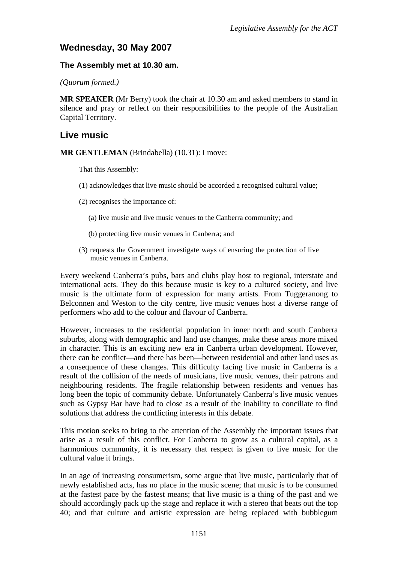## **Wednesday, 30 May 2007**

#### **The Assembly met at 10.30 am.**

*(Quorum formed.)* 

**MR SPEAKER** (Mr Berry) took the chair at 10.30 am and asked members to stand in silence and pray or reflect on their responsibilities to the people of the Australian Capital Territory.

## **Live music**

**MR GENTLEMAN** (Brindabella) (10.31): I move:

That this Assembly:

- (1) acknowledges that live music should be accorded a recognised cultural value;
- (2) recognises the importance of:
	- (a) live music and live music venues to the Canberra community; and
	- (b) protecting live music venues in Canberra; and
- (3) requests the Government investigate ways of ensuring the protection of live music venues in Canberra.

Every weekend Canberra's pubs, bars and clubs play host to regional, interstate and international acts. They do this because music is key to a cultured society, and live music is the ultimate form of expression for many artists. From Tuggeranong to Belconnen and Weston to the city centre, live music venues host a diverse range of performers who add to the colour and flavour of Canberra.

However, increases to the residential population in inner north and south Canberra suburbs, along with demographic and land use changes, make these areas more mixed in character. This is an exciting new era in Canberra urban development. However, there can be conflict—and there has been—between residential and other land uses as a consequence of these changes. This difficulty facing live music in Canberra is a result of the collision of the needs of musicians, live music venues, their patrons and neighbouring residents. The fragile relationship between residents and venues has long been the topic of community debate. Unfortunately Canberra's live music venues such as Gypsy Bar have had to close as a result of the inability to conciliate to find solutions that address the conflicting interests in this debate.

This motion seeks to bring to the attention of the Assembly the important issues that arise as a result of this conflict. For Canberra to grow as a cultural capital, as a harmonious community, it is necessary that respect is given to live music for the cultural value it brings.

In an age of increasing consumerism, some argue that live music, particularly that of newly established acts, has no place in the music scene; that music is to be consumed at the fastest pace by the fastest means; that live music is a thing of the past and we should accordingly pack up the stage and replace it with a stereo that beats out the top 40; and that culture and artistic expression are being replaced with bubblegum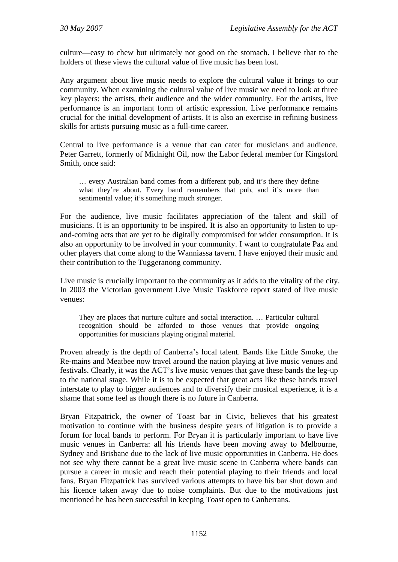culture—easy to chew but ultimately not good on the stomach. I believe that to the holders of these views the cultural value of live music has been lost.

Any argument about live music needs to explore the cultural value it brings to our community. When examining the cultural value of live music we need to look at three key players: the artists, their audience and the wider community. For the artists, live performance is an important form of artistic expression. Live performance remains crucial for the initial development of artists. It is also an exercise in refining business skills for artists pursuing music as a full-time career.

Central to live performance is a venue that can cater for musicians and audience. Peter Garrett, formerly of Midnight Oil, now the Labor federal member for Kingsford Smith, once said:

… every Australian band comes from a different pub, and it's there they define what they're about. Every band remembers that pub, and it's more than sentimental value; it's something much stronger.

For the audience, live music facilitates appreciation of the talent and skill of musicians. It is an opportunity to be inspired. It is also an opportunity to listen to upand-coming acts that are yet to be digitally compromised for wider consumption. It is also an opportunity to be involved in your community. I want to congratulate Paz and other players that come along to the Wanniassa tavern. I have enjoyed their music and their contribution to the Tuggeranong community.

Live music is crucially important to the community as it adds to the vitality of the city. In 2003 the Victorian government Live Music Taskforce report stated of live music venues:

They are places that nurture culture and social interaction. … Particular cultural recognition should be afforded to those venues that provide ongoing opportunities for musicians playing original material.

Proven already is the depth of Canberra's local talent. Bands like Little Smoke, the Re-mains and Meatbee now travel around the nation playing at live music venues and festivals. Clearly, it was the ACT's live music venues that gave these bands the leg-up to the national stage. While it is to be expected that great acts like these bands travel interstate to play to bigger audiences and to diversify their musical experience, it is a shame that some feel as though there is no future in Canberra.

Bryan Fitzpatrick, the owner of Toast bar in Civic, believes that his greatest motivation to continue with the business despite years of litigation is to provide a forum for local bands to perform. For Bryan it is particularly important to have live music venues in Canberra: all his friends have been moving away to Melbourne, Sydney and Brisbane due to the lack of live music opportunities in Canberra. He does not see why there cannot be a great live music scene in Canberra where bands can pursue a career in music and reach their potential playing to their friends and local fans. Bryan Fitzpatrick has survived various attempts to have his bar shut down and his licence taken away due to noise complaints. But due to the motivations just mentioned he has been successful in keeping Toast open to Canberrans.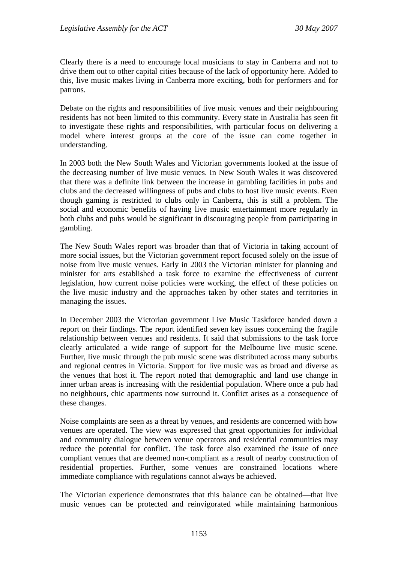Clearly there is a need to encourage local musicians to stay in Canberra and not to drive them out to other capital cities because of the lack of opportunity here. Added to this, live music makes living in Canberra more exciting, both for performers and for patrons.

Debate on the rights and responsibilities of live music venues and their neighbouring residents has not been limited to this community. Every state in Australia has seen fit to investigate these rights and responsibilities, with particular focus on delivering a model where interest groups at the core of the issue can come together in understanding.

In 2003 both the New South Wales and Victorian governments looked at the issue of the decreasing number of live music venues. In New South Wales it was discovered that there was a definite link between the increase in gambling facilities in pubs and clubs and the decreased willingness of pubs and clubs to host live music events. Even though gaming is restricted to clubs only in Canberra, this is still a problem. The social and economic benefits of having live music entertainment more regularly in both clubs and pubs would be significant in discouraging people from participating in gambling.

The New South Wales report was broader than that of Victoria in taking account of more social issues, but the Victorian government report focused solely on the issue of noise from live music venues. Early in 2003 the Victorian minister for planning and minister for arts established a task force to examine the effectiveness of current legislation, how current noise policies were working, the effect of these policies on the live music industry and the approaches taken by other states and territories in managing the issues.

In December 2003 the Victorian government Live Music Taskforce handed down a report on their findings. The report identified seven key issues concerning the fragile relationship between venues and residents. It said that submissions to the task force clearly articulated a wide range of support for the Melbourne live music scene. Further, live music through the pub music scene was distributed across many suburbs and regional centres in Victoria. Support for live music was as broad and diverse as the venues that host it. The report noted that demographic and land use change in inner urban areas is increasing with the residential population. Where once a pub had no neighbours, chic apartments now surround it. Conflict arises as a consequence of these changes.

Noise complaints are seen as a threat by venues, and residents are concerned with how venues are operated. The view was expressed that great opportunities for individual and community dialogue between venue operators and residential communities may reduce the potential for conflict. The task force also examined the issue of once compliant venues that are deemed non-compliant as a result of nearby construction of residential properties. Further, some venues are constrained locations where immediate compliance with regulations cannot always be achieved.

The Victorian experience demonstrates that this balance can be obtained—that live music venues can be protected and reinvigorated while maintaining harmonious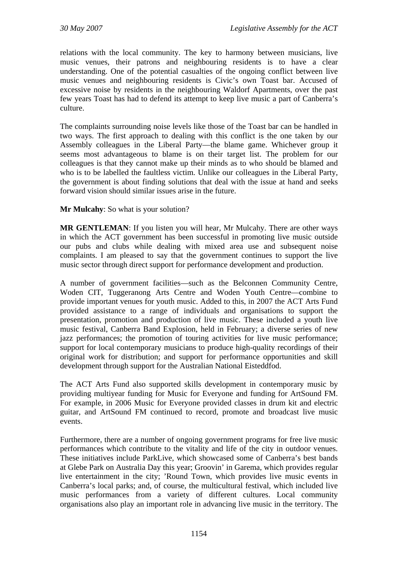relations with the local community. The key to harmony between musicians, live music venues, their patrons and neighbouring residents is to have a clear understanding. One of the potential casualties of the ongoing conflict between live music venues and neighbouring residents is Civic's own Toast bar. Accused of excessive noise by residents in the neighbouring Waldorf Apartments, over the past few years Toast has had to defend its attempt to keep live music a part of Canberra's culture.

The complaints surrounding noise levels like those of the Toast bar can be handled in two ways. The first approach to dealing with this conflict is the one taken by our Assembly colleagues in the Liberal Party—the blame game. Whichever group it seems most advantageous to blame is on their target list. The problem for our colleagues is that they cannot make up their minds as to who should be blamed and who is to be labelled the faultless victim. Unlike our colleagues in the Liberal Party, the government is about finding solutions that deal with the issue at hand and seeks forward vision should similar issues arise in the future.

**Mr Mulcahy**: So what is your solution?

**MR GENTLEMAN**: If you listen you will hear, Mr Mulcahy. There are other ways in which the ACT government has been successful in promoting live music outside our pubs and clubs while dealing with mixed area use and subsequent noise complaints. I am pleased to say that the government continues to support the live music sector through direct support for performance development and production.

A number of government facilities—such as the Belconnen Community Centre, Woden CIT, Tuggeranong Arts Centre and Woden Youth Centre—combine to provide important venues for youth music. Added to this, in 2007 the ACT Arts Fund provided assistance to a range of individuals and organisations to support the presentation, promotion and production of live music. These included a youth live music festival, Canberra Band Explosion, held in February; a diverse series of new jazz performances; the promotion of touring activities for live music performance; support for local contemporary musicians to produce high-quality recordings of their original work for distribution; and support for performance opportunities and skill development through support for the Australian National Eisteddfod.

The ACT Arts Fund also supported skills development in contemporary music by providing multiyear funding for Music for Everyone and funding for ArtSound FM. For example, in 2006 Music for Everyone provided classes in drum kit and electric guitar, and ArtSound FM continued to record, promote and broadcast live music events.

Furthermore, there are a number of ongoing government programs for free live music performances which contribute to the vitality and life of the city in outdoor venues. These initiatives include ParkLive, which showcased some of Canberra's best bands at Glebe Park on Australia Day this year; Groovin' in Garema, which provides regular live entertainment in the city; 'Round Town, which provides live music events in Canberra's local parks; and, of course, the multicultural festival, which included live music performances from a variety of different cultures. Local community organisations also play an important role in advancing live music in the territory. The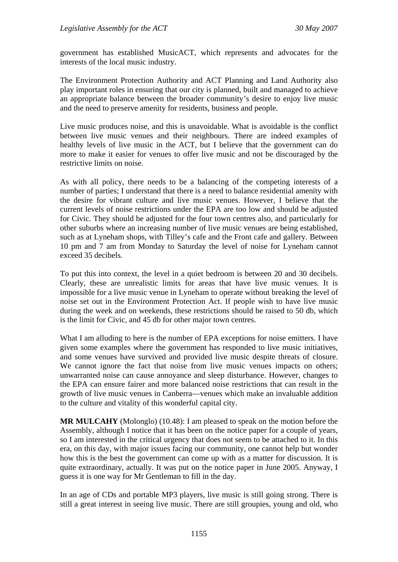government has established MusicACT, which represents and advocates for the interests of the local music industry.

The Environment Protection Authority and ACT Planning and Land Authority also play important roles in ensuring that our city is planned, built and managed to achieve an appropriate balance between the broader community's desire to enjoy live music and the need to preserve amenity for residents, business and people.

Live music produces noise, and this is unavoidable. What is avoidable is the conflict between live music venues and their neighbours. There are indeed examples of healthy levels of live music in the ACT, but I believe that the government can do more to make it easier for venues to offer live music and not be discouraged by the restrictive limits on noise.

As with all policy, there needs to be a balancing of the competing interests of a number of parties; I understand that there is a need to balance residential amenity with the desire for vibrant culture and live music venues. However, I believe that the current levels of noise restrictions under the EPA are too low and should be adjusted for Civic. They should be adjusted for the four town centres also, and particularly for other suburbs where an increasing number of live music venues are being established, such as at Lyneham shops, with Tilley's cafe and the Front cafe and gallery. Between 10 pm and 7 am from Monday to Saturday the level of noise for Lyneham cannot exceed 35 decibels.

To put this into context, the level in a quiet bedroom is between 20 and 30 decibels. Clearly, these are unrealistic limits for areas that have live music venues. It is impossible for a live music venue in Lyneham to operate without breaking the level of noise set out in the Environment Protection Act. If people wish to have live music during the week and on weekends, these restrictions should be raised to 50 db, which is the limit for Civic, and 45 db for other major town centres.

What I am alluding to here is the number of EPA exceptions for noise emitters. I have given some examples where the government has responded to live music initiatives, and some venues have survived and provided live music despite threats of closure. We cannot ignore the fact that noise from live music venues impacts on others; unwarranted noise can cause annoyance and sleep disturbance. However, changes to the EPA can ensure fairer and more balanced noise restrictions that can result in the growth of live music venues in Canberra—venues which make an invaluable addition to the culture and vitality of this wonderful capital city.

**MR MULCAHY** (Molonglo) (10.48): I am pleased to speak on the motion before the Assembly, although I notice that it has been on the notice paper for a couple of years, so I am interested in the critical urgency that does not seem to be attached to it. In this era, on this day, with major issues facing our community, one cannot help but wonder how this is the best the government can come up with as a matter for discussion. It is quite extraordinary, actually. It was put on the notice paper in June 2005. Anyway, I guess it is one way for Mr Gentleman to fill in the day.

In an age of CDs and portable MP3 players, live music is still going strong. There is still a great interest in seeing live music. There are still groupies, young and old, who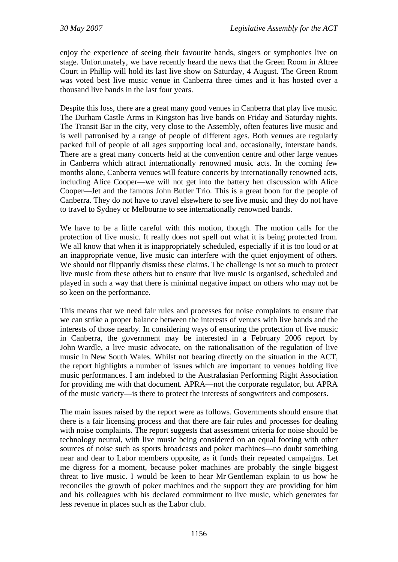enjoy the experience of seeing their favourite bands, singers or symphonies live on stage. Unfortunately, we have recently heard the news that the Green Room in Altree Court in Phillip will hold its last live show on Saturday, 4 August. The Green Room was voted best live music venue in Canberra three times and it has hosted over a thousand live bands in the last four years.

Despite this loss, there are a great many good venues in Canberra that play live music. The Durham Castle Arms in Kingston has live bands on Friday and Saturday nights. The Transit Bar in the city, very close to the Assembly, often features live music and is well patronised by a range of people of different ages. Both venues are regularly packed full of people of all ages supporting local and, occasionally, interstate bands. There are a great many concerts held at the convention centre and other large venues in Canberra which attract internationally renowned music acts. In the coming few months alone, Canberra venues will feature concerts by internationally renowned acts, including Alice Cooper—we will not get into the battery hen discussion with Alice Cooper—Jet and the famous John Butler Trio. This is a great boon for the people of Canberra. They do not have to travel elsewhere to see live music and they do not have to travel to Sydney or Melbourne to see internationally renowned bands.

We have to be a little careful with this motion, though. The motion calls for the protection of live music. It really does not spell out what it is being protected from. We all know that when it is inappropriately scheduled, especially if it is too loud or at an inappropriate venue, live music can interfere with the quiet enjoyment of others. We should not flippantly dismiss these claims. The challenge is not so much to protect live music from these others but to ensure that live music is organised, scheduled and played in such a way that there is minimal negative impact on others who may not be so keen on the performance.

This means that we need fair rules and processes for noise complaints to ensure that we can strike a proper balance between the interests of venues with live bands and the interests of those nearby. In considering ways of ensuring the protection of live music in Canberra, the government may be interested in a February 2006 report by John Wardle, a live music advocate, on the rationalisation of the regulation of live music in New South Wales. Whilst not bearing directly on the situation in the ACT, the report highlights a number of issues which are important to venues holding live music performances. I am indebted to the Australasian Performing Right Association for providing me with that document. APRA—not the corporate regulator, but APRA of the music variety—is there to protect the interests of songwriters and composers.

The main issues raised by the report were as follows. Governments should ensure that there is a fair licensing process and that there are fair rules and processes for dealing with noise complaints. The report suggests that assessment criteria for noise should be technology neutral, with live music being considered on an equal footing with other sources of noise such as sports broadcasts and poker machines—no doubt something near and dear to Labor members opposite, as it funds their repeated campaigns. Let me digress for a moment, because poker machines are probably the single biggest threat to live music. I would be keen to hear Mr Gentleman explain to us how he reconciles the growth of poker machines and the support they are providing for him and his colleagues with his declared commitment to live music, which generates far less revenue in places such as the Labor club.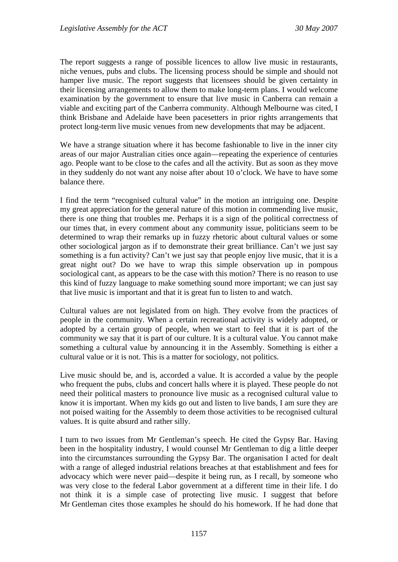The report suggests a range of possible licences to allow live music in restaurants, niche venues, pubs and clubs. The licensing process should be simple and should not hamper live music. The report suggests that licensees should be given certainty in their licensing arrangements to allow them to make long-term plans. I would welcome examination by the government to ensure that live music in Canberra can remain a viable and exciting part of the Canberra community. Although Melbourne was cited, I think Brisbane and Adelaide have been pacesetters in prior rights arrangements that protect long-term live music venues from new developments that may be adjacent.

We have a strange situation where it has become fashionable to live in the inner city areas of our major Australian cities once again—repeating the experience of centuries ago. People want to be close to the cafes and all the activity. But as soon as they move in they suddenly do not want any noise after about 10 o'clock. We have to have some balance there.

I find the term "recognised cultural value" in the motion an intriguing one. Despite my great appreciation for the general nature of this motion in commending live music, there is one thing that troubles me. Perhaps it is a sign of the political correctness of our times that, in every comment about any community issue, politicians seem to be determined to wrap their remarks up in fuzzy rhetoric about cultural values or some other sociological jargon as if to demonstrate their great brilliance. Can't we just say something is a fun activity? Can't we just say that people enjoy live music, that it is a great night out? Do we have to wrap this simple observation up in pompous sociological cant, as appears to be the case with this motion? There is no reason to use this kind of fuzzy language to make something sound more important; we can just say that live music is important and that it is great fun to listen to and watch.

Cultural values are not legislated from on high. They evolve from the practices of people in the community. When a certain recreational activity is widely adopted, or adopted by a certain group of people, when we start to feel that it is part of the community we say that it is part of our culture. It is a cultural value. You cannot make something a cultural value by announcing it in the Assembly. Something is either a cultural value or it is not. This is a matter for sociology, not politics.

Live music should be, and is, accorded a value. It is accorded a value by the people who frequent the pubs, clubs and concert halls where it is played. These people do not need their political masters to pronounce live music as a recognised cultural value to know it is important. When my kids go out and listen to live bands, I am sure they are not poised waiting for the Assembly to deem those activities to be recognised cultural values. It is quite absurd and rather silly.

I turn to two issues from Mr Gentleman's speech. He cited the Gypsy Bar. Having been in the hospitality industry, I would counsel Mr Gentleman to dig a little deeper into the circumstances surrounding the Gypsy Bar. The organisation I acted for dealt with a range of alleged industrial relations breaches at that establishment and fees for advocacy which were never paid—despite it being run, as I recall, by someone who was very close to the federal Labor government at a different time in their life. I do not think it is a simple case of protecting live music. I suggest that before Mr Gentleman cites those examples he should do his homework. If he had done that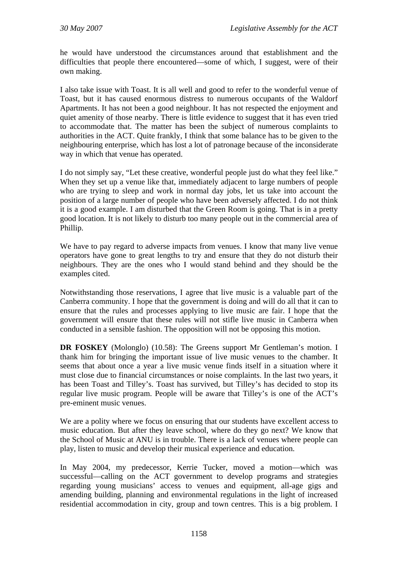he would have understood the circumstances around that establishment and the difficulties that people there encountered—some of which, I suggest, were of their own making.

I also take issue with Toast. It is all well and good to refer to the wonderful venue of Toast, but it has caused enormous distress to numerous occupants of the Waldorf Apartments. It has not been a good neighbour. It has not respected the enjoyment and quiet amenity of those nearby. There is little evidence to suggest that it has even tried to accommodate that. The matter has been the subject of numerous complaints to authorities in the ACT. Quite frankly, I think that some balance has to be given to the neighbouring enterprise, which has lost a lot of patronage because of the inconsiderate way in which that venue has operated.

I do not simply say, "Let these creative, wonderful people just do what they feel like." When they set up a venue like that, immediately adjacent to large numbers of people who are trying to sleep and work in normal day jobs, let us take into account the position of a large number of people who have been adversely affected. I do not think it is a good example. I am disturbed that the Green Room is going. That is in a pretty good location. It is not likely to disturb too many people out in the commercial area of Phillip.

We have to pay regard to adverse impacts from venues. I know that many live venue operators have gone to great lengths to try and ensure that they do not disturb their neighbours. They are the ones who I would stand behind and they should be the examples cited.

Notwithstanding those reservations, I agree that live music is a valuable part of the Canberra community. I hope that the government is doing and will do all that it can to ensure that the rules and processes applying to live music are fair. I hope that the government will ensure that these rules will not stifle live music in Canberra when conducted in a sensible fashion. The opposition will not be opposing this motion.

**DR FOSKEY** (Molonglo) (10.58): The Greens support Mr Gentleman's motion. I thank him for bringing the important issue of live music venues to the chamber. It seems that about once a year a live music venue finds itself in a situation where it must close due to financial circumstances or noise complaints. In the last two years, it has been Toast and Tilley's. Toast has survived, but Tilley's has decided to stop its regular live music program. People will be aware that Tilley's is one of the ACT's pre-eminent music venues.

We are a polity where we focus on ensuring that our students have excellent access to music education. But after they leave school, where do they go next? We know that the School of Music at ANU is in trouble. There is a lack of venues where people can play, listen to music and develop their musical experience and education.

In May 2004, my predecessor, Kerrie Tucker, moved a motion—which was successful—calling on the ACT government to develop programs and strategies regarding young musicians' access to venues and equipment, all-age gigs and amending building, planning and environmental regulations in the light of increased residential accommodation in city, group and town centres. This is a big problem. I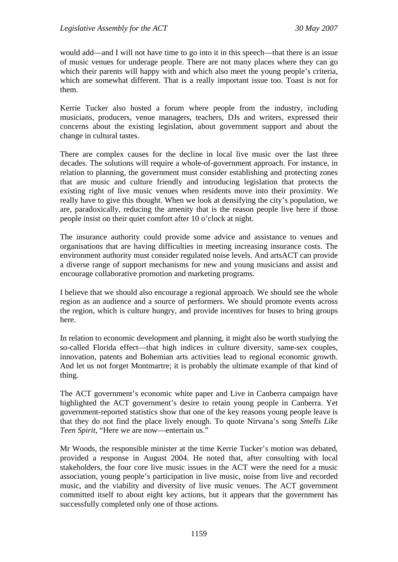would add—and I will not have time to go into it in this speech—that there is an issue of music venues for underage people. There are not many places where they can go which their parents will happy with and which also meet the young people's criteria, which are somewhat different. That is a really important issue too. Toast is not for them.

Kerrie Tucker also hosted a forum where people from the industry, including musicians, producers, venue managers, teachers, DJs and writers, expressed their concerns about the existing legislation, about government support and about the change in cultural tastes.

There are complex causes for the decline in local live music over the last three decades. The solutions will require a whole-of-government approach. For instance, in relation to planning, the government must consider establishing and protecting zones that are music and culture friendly and introducing legislation that protects the existing right of live music venues when residents move into their proximity. We really have to give this thought. When we look at densifying the city's population, we are, paradoxically, reducing the amenity that is the reason people live here if those people insist on their quiet comfort after 10 o'clock at night.

The insurance authority could provide some advice and assistance to venues and organisations that are having difficulties in meeting increasing insurance costs. The environment authority must consider regulated noise levels. And artsACT can provide a diverse range of support mechanisms for new and young musicians and assist and encourage collaborative promotion and marketing programs.

I believe that we should also encourage a regional approach. We should see the whole region as an audience and a source of performers. We should promote events across the region, which is culture hungry, and provide incentives for buses to bring groups here.

In relation to economic development and planning, it might also be worth studying the so-called Florida effect—that high indices in culture diversity, same-sex couples, innovation, patents and Bohemian arts activities lead to regional economic growth. And let us not forget Montmartre; it is probably the ultimate example of that kind of thing.

The ACT government's economic white paper and Live in Canberra campaign have highlighted the ACT government's desire to retain young people in Canberra. Yet government-reported statistics show that one of the key reasons young people leave is that they do not find the place lively enough. To quote Nirvana's song *Smells Like Teen Spirit*, "Here we are now—entertain us."

Mr Woods, the responsible minister at the time Kerrie Tucker's motion was debated, provided a response in August 2004. He noted that, after consulting with local stakeholders, the four core live music issues in the ACT were the need for a music association, young people's participation in live music, noise from live and recorded music, and the viability and diversity of live music venues. The ACT government committed itself to about eight key actions, but it appears that the government has successfully completed only one of those actions.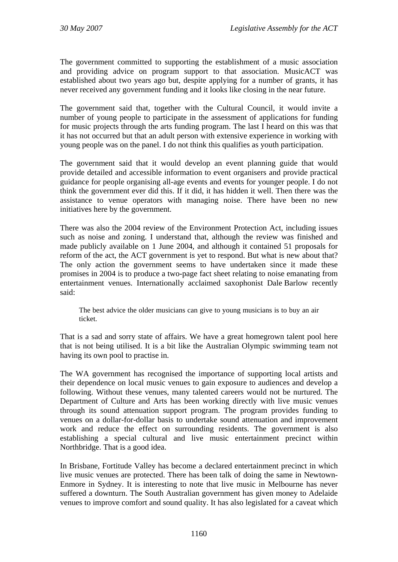The government committed to supporting the establishment of a music association and providing advice on program support to that association. MusicACT was established about two years ago but, despite applying for a number of grants, it has never received any government funding and it looks like closing in the near future.

The government said that, together with the Cultural Council, it would invite a number of young people to participate in the assessment of applications for funding for music projects through the arts funding program. The last I heard on this was that it has not occurred but that an adult person with extensive experience in working with young people was on the panel. I do not think this qualifies as youth participation.

The government said that it would develop an event planning guide that would provide detailed and accessible information to event organisers and provide practical guidance for people organising all-age events and events for younger people. I do not think the government ever did this. If it did, it has hidden it well. Then there was the assistance to venue operators with managing noise. There have been no new initiatives here by the government.

There was also the 2004 review of the Environment Protection Act, including issues such as noise and zoning. I understand that, although the review was finished and made publicly available on 1 June 2004, and although it contained 51 proposals for reform of the act, the ACT government is yet to respond. But what is new about that? The only action the government seems to have undertaken since it made these promises in 2004 is to produce a two-page fact sheet relating to noise emanating from entertainment venues. Internationally acclaimed saxophonist Dale Barlow recently said:

The best advice the older musicians can give to young musicians is to buy an air ticket.

That is a sad and sorry state of affairs. We have a great homegrown talent pool here that is not being utilised. It is a bit like the Australian Olympic swimming team not having its own pool to practise in.

The WA government has recognised the importance of supporting local artists and their dependence on local music venues to gain exposure to audiences and develop a following. Without these venues, many talented careers would not be nurtured. The Department of Culture and Arts has been working directly with live music venues through its sound attenuation support program. The program provides funding to venues on a dollar-for-dollar basis to undertake sound attenuation and improvement work and reduce the effect on surrounding residents. The government is also establishing a special cultural and live music entertainment precinct within Northbridge. That is a good idea.

In Brisbane, Fortitude Valley has become a declared entertainment precinct in which live music venues are protected. There has been talk of doing the same in Newtown-Enmore in Sydney. It is interesting to note that live music in Melbourne has never suffered a downturn. The South Australian government has given money to Adelaide venues to improve comfort and sound quality. It has also legislated for a caveat which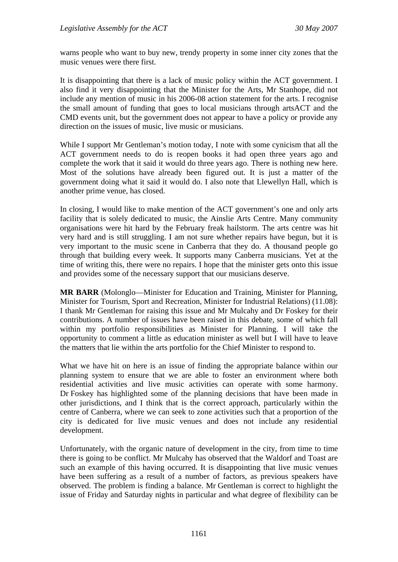warns people who want to buy new, trendy property in some inner city zones that the music venues were there first.

It is disappointing that there is a lack of music policy within the ACT government. I also find it very disappointing that the Minister for the Arts, Mr Stanhope, did not include any mention of music in his 2006-08 action statement for the arts. I recognise the small amount of funding that goes to local musicians through artsACT and the CMD events unit, but the government does not appear to have a policy or provide any direction on the issues of music, live music or musicians.

While I support Mr Gentleman's motion today, I note with some cynicism that all the ACT government needs to do is reopen books it had open three years ago and complete the work that it said it would do three years ago. There is nothing new here. Most of the solutions have already been figured out. It is just a matter of the government doing what it said it would do. I also note that Llewellyn Hall, which is another prime venue, has closed.

In closing, I would like to make mention of the ACT government's one and only arts facility that is solely dedicated to music, the Ainslie Arts Centre. Many community organisations were hit hard by the February freak hailstorm. The arts centre was hit very hard and is still struggling. I am not sure whether repairs have begun, but it is very important to the music scene in Canberra that they do. A thousand people go through that building every week. It supports many Canberra musicians. Yet at the time of writing this, there were no repairs. I hope that the minister gets onto this issue and provides some of the necessary support that our musicians deserve.

**MR BARR** (Molonglo—Minister for Education and Training, Minister for Planning, Minister for Tourism, Sport and Recreation, Minister for Industrial Relations) (11.08): I thank Mr Gentleman for raising this issue and Mr Mulcahy and Dr Foskey for their contributions. A number of issues have been raised in this debate, some of which fall within my portfolio responsibilities as Minister for Planning. I will take the opportunity to comment a little as education minister as well but I will have to leave the matters that lie within the arts portfolio for the Chief Minister to respond to.

What we have hit on here is an issue of finding the appropriate balance within our planning system to ensure that we are able to foster an environment where both residential activities and live music activities can operate with some harmony. Dr Foskey has highlighted some of the planning decisions that have been made in other jurisdictions, and I think that is the correct approach, particularly within the centre of Canberra, where we can seek to zone activities such that a proportion of the city is dedicated for live music venues and does not include any residential development.

Unfortunately, with the organic nature of development in the city, from time to time there is going to be conflict. Mr Mulcahy has observed that the Waldorf and Toast are such an example of this having occurred. It is disappointing that live music venues have been suffering as a result of a number of factors, as previous speakers have observed. The problem is finding a balance. Mr Gentleman is correct to highlight the issue of Friday and Saturday nights in particular and what degree of flexibility can be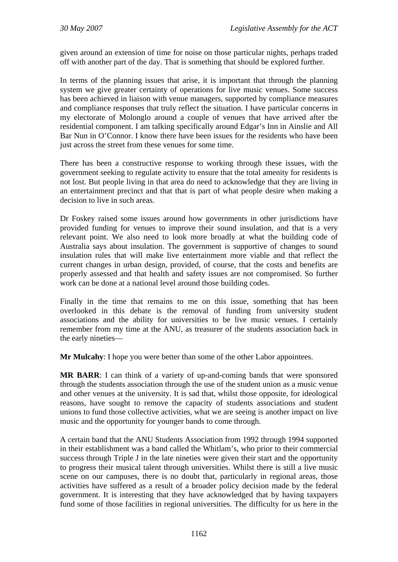given around an extension of time for noise on those particular nights, perhaps traded off with another part of the day. That is something that should be explored further.

In terms of the planning issues that arise, it is important that through the planning system we give greater certainty of operations for live music venues. Some success has been achieved in liaison with venue managers, supported by compliance measures and compliance responses that truly reflect the situation. I have particular concerns in my electorate of Molonglo around a couple of venues that have arrived after the residential component. I am talking specifically around Edgar's Inn in Ainslie and All Bar Nun in O'Connor. I know there have been issues for the residents who have been just across the street from these venues for some time.

There has been a constructive response to working through these issues, with the government seeking to regulate activity to ensure that the total amenity for residents is not lost. But people living in that area do need to acknowledge that they are living in an entertainment precinct and that that is part of what people desire when making a decision to live in such areas.

Dr Foskey raised some issues around how governments in other jurisdictions have provided funding for venues to improve their sound insulation, and that is a very relevant point. We also need to look more broadly at what the building code of Australia says about insulation. The government is supportive of changes to sound insulation rules that will make live entertainment more viable and that reflect the current changes in urban design, provided, of course, that the costs and benefits are properly assessed and that health and safety issues are not compromised. So further work can be done at a national level around those building codes.

Finally in the time that remains to me on this issue, something that has been overlooked in this debate is the removal of funding from university student associations and the ability for universities to be live music venues. I certainly remember from my time at the ANU, as treasurer of the students association back in the early nineties—

**Mr Mulcahy**: I hope you were better than some of the other Labor appointees.

**MR BARR**: I can think of a variety of up-and-coming bands that were sponsored through the students association through the use of the student union as a music venue and other venues at the university. It is sad that, whilst those opposite, for ideological reasons, have sought to remove the capacity of students associations and student unions to fund those collective activities, what we are seeing is another impact on live music and the opportunity for younger bands to come through.

A certain band that the ANU Students Association from 1992 through 1994 supported in their establishment was a band called the Whitlam's, who prior to their commercial success through Triple J in the late nineties were given their start and the opportunity to progress their musical talent through universities. Whilst there is still a live music scene on our campuses, there is no doubt that, particularly in regional areas, those activities have suffered as a result of a broader policy decision made by the federal government. It is interesting that they have acknowledged that by having taxpayers fund some of those facilities in regional universities. The difficulty for us here in the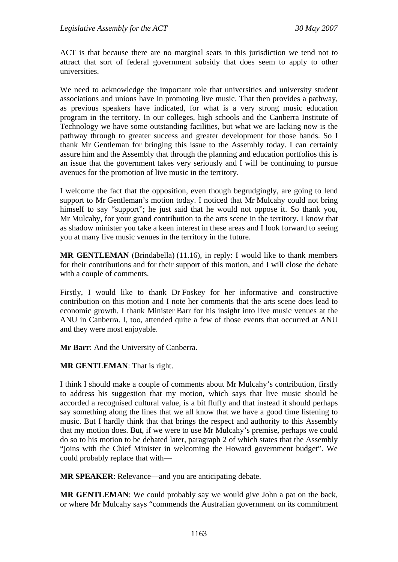ACT is that because there are no marginal seats in this jurisdiction we tend not to attract that sort of federal government subsidy that does seem to apply to other universities.

We need to acknowledge the important role that universities and university student associations and unions have in promoting live music. That then provides a pathway, as previous speakers have indicated, for what is a very strong music education program in the territory. In our colleges, high schools and the Canberra Institute of Technology we have some outstanding facilities, but what we are lacking now is the pathway through to greater success and greater development for those bands. So I thank Mr Gentleman for bringing this issue to the Assembly today. I can certainly assure him and the Assembly that through the planning and education portfolios this is an issue that the government takes very seriously and I will be continuing to pursue avenues for the promotion of live music in the territory.

I welcome the fact that the opposition, even though begrudgingly, are going to lend support to Mr Gentleman's motion today. I noticed that Mr Mulcahy could not bring himself to say "support"; he just said that he would not oppose it. So thank you, Mr Mulcahy, for your grand contribution to the arts scene in the territory. I know that as shadow minister you take a keen interest in these areas and I look forward to seeing you at many live music venues in the territory in the future.

**MR GENTLEMAN** (Brindabella) (11.16), in reply: I would like to thank members for their contributions and for their support of this motion, and I will close the debate with a couple of comments.

Firstly, I would like to thank Dr Foskey for her informative and constructive contribution on this motion and I note her comments that the arts scene does lead to economic growth. I thank Minister Barr for his insight into live music venues at the ANU in Canberra. I, too, attended quite a few of those events that occurred at ANU and they were most enjoyable.

**Mr Barr**: And the University of Canberra.

**MR GENTLEMAN**: That is right.

I think I should make a couple of comments about Mr Mulcahy's contribution, firstly to address his suggestion that my motion, which says that live music should be accorded a recognised cultural value, is a bit fluffy and that instead it should perhaps say something along the lines that we all know that we have a good time listening to music. But I hardly think that that brings the respect and authority to this Assembly that my motion does. But, if we were to use Mr Mulcahy's premise, perhaps we could do so to his motion to be debated later, paragraph 2 of which states that the Assembly "joins with the Chief Minister in welcoming the Howard government budget". We could probably replace that with—

**MR SPEAKER**: Relevance—and you are anticipating debate.

**MR GENTLEMAN**: We could probably say we would give John a pat on the back, or where Mr Mulcahy says "commends the Australian government on its commitment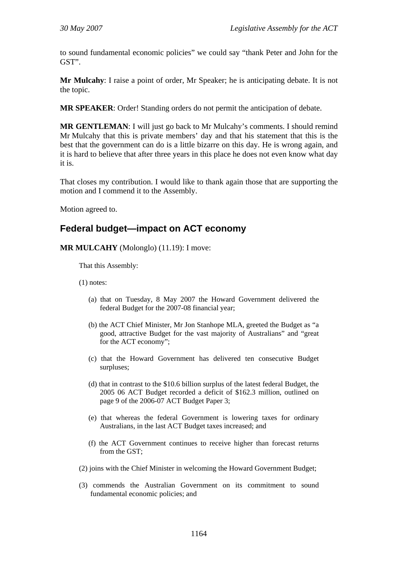<span id="page-15-0"></span>to sound fundamental economic policies" we could say "thank Peter and John for the GST".

**Mr Mulcahy**: I raise a point of order, Mr Speaker; he is anticipating debate. It is not the topic.

**MR SPEAKER**: Order! Standing orders do not permit the anticipation of debate.

**MR GENTLEMAN**: I will just go back to Mr Mulcahy's comments. I should remind Mr Mulcahy that this is private members' day and that his statement that this is the best that the government can do is a little bizarre on this day. He is wrong again, and it is hard to believe that after three years in this place he does not even know what day it is.

That closes my contribution. I would like to thank again those that are supporting the motion and I commend it to the Assembly.

Motion agreed to.

## **Federal budget—impact on ACT economy**

**MR MULCAHY** (Molonglo) (11.19): I move:

That this Assembly:

(1) notes:

- (a) that on Tuesday, 8 May 2007 the Howard Government delivered the federal Budget for the 2007-08 financial year;
- (b) the ACT Chief Minister, Mr Jon Stanhope MLA, greeted the Budget as "a good, attractive Budget for the vast majority of Australians" and "great for the ACT economy";
- (c) that the Howard Government has delivered ten consecutive Budget surpluses;
- (d) that in contrast to the \$10.6 billion surplus of the latest federal Budget, the 2005 06 ACT Budget recorded a deficit of \$162.3 million, outlined on page 9 of the 2006-07 ACT Budget Paper 3;
- (e) that whereas the federal Government is lowering taxes for ordinary Australians, in the last ACT Budget taxes increased; and
- (f) the ACT Government continues to receive higher than forecast returns from the GST;
- (2) joins with the Chief Minister in welcoming the Howard Government Budget;
- (3) commends the Australian Government on its commitment to sound fundamental economic policies; and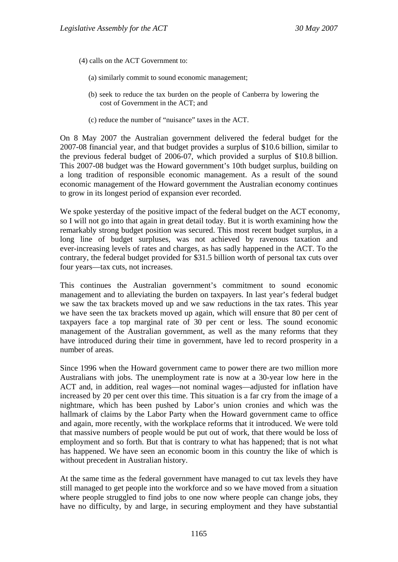- (4) calls on the ACT Government to:
	- (a) similarly commit to sound economic management;
	- (b) seek to reduce the tax burden on the people of Canberra by lowering the cost of Government in the ACT; and
	- (c) reduce the number of "nuisance" taxes in the ACT.

On 8 May 2007 the Australian government delivered the federal budget for the 2007-08 financial year, and that budget provides a surplus of \$10.6 billion, similar to the previous federal budget of 2006-07, which provided a surplus of \$10.8 billion. This 2007-08 budget was the Howard government's 10th budget surplus, building on a long tradition of responsible economic management. As a result of the sound economic management of the Howard government the Australian economy continues to grow in its longest period of expansion ever recorded.

We spoke yesterday of the positive impact of the federal budget on the ACT economy, so I will not go into that again in great detail today. But it is worth examining how the remarkably strong budget position was secured. This most recent budget surplus, in a long line of budget surpluses, was not achieved by ravenous taxation and ever-increasing levels of rates and charges, as has sadly happened in the ACT. To the contrary, the federal budget provided for \$31.5 billion worth of personal tax cuts over four years—tax cuts, not increases.

This continues the Australian government's commitment to sound economic management and to alleviating the burden on taxpayers. In last year's federal budget we saw the tax brackets moved up and we saw reductions in the tax rates. This year we have seen the tax brackets moved up again, which will ensure that 80 per cent of taxpayers face a top marginal rate of 30 per cent or less. The sound economic management of the Australian government, as well as the many reforms that they have introduced during their time in government, have led to record prosperity in a number of areas.

Since 1996 when the Howard government came to power there are two million more Australians with jobs. The unemployment rate is now at a 30-year low here in the ACT and, in addition, real wages—not nominal wages—adjusted for inflation have increased by 20 per cent over this time. This situation is a far cry from the image of a nightmare, which has been pushed by Labor's union cronies and which was the hallmark of claims by the Labor Party when the Howard government came to office and again, more recently, with the workplace reforms that it introduced. We were told that massive numbers of people would be put out of work, that there would be loss of employment and so forth. But that is contrary to what has happened; that is not what has happened. We have seen an economic boom in this country the like of which is without precedent in Australian history.

At the same time as the federal government have managed to cut tax levels they have still managed to get people into the workforce and so we have moved from a situation where people struggled to find jobs to one now where people can change jobs, they have no difficulty, by and large, in securing employment and they have substantial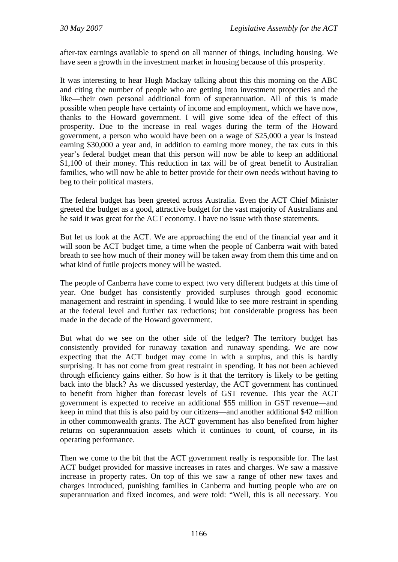after-tax earnings available to spend on all manner of things, including housing. We have seen a growth in the investment market in housing because of this prosperity.

It was interesting to hear Hugh Mackay talking about this this morning on the ABC and citing the number of people who are getting into investment properties and the like—their own personal additional form of superannuation. All of this is made possible when people have certainty of income and employment, which we have now, thanks to the Howard government. I will give some idea of the effect of this prosperity. Due to the increase in real wages during the term of the Howard government, a person who would have been on a wage of \$25,000 a year is instead earning \$30,000 a year and, in addition to earning more money, the tax cuts in this year's federal budget mean that this person will now be able to keep an additional \$1,100 of their money. This reduction in tax will be of great benefit to Australian families, who will now be able to better provide for their own needs without having to beg to their political masters.

The federal budget has been greeted across Australia. Even the ACT Chief Minister greeted the budget as a good, attractive budget for the vast majority of Australians and he said it was great for the ACT economy. I have no issue with those statements.

But let us look at the ACT. We are approaching the end of the financial year and it will soon be ACT budget time, a time when the people of Canberra wait with bated breath to see how much of their money will be taken away from them this time and on what kind of futile projects money will be wasted.

The people of Canberra have come to expect two very different budgets at this time of year. One budget has consistently provided surpluses through good economic management and restraint in spending. I would like to see more restraint in spending at the federal level and further tax reductions; but considerable progress has been made in the decade of the Howard government.

But what do we see on the other side of the ledger? The territory budget has consistently provided for runaway taxation and runaway spending. We are now expecting that the ACT budget may come in with a surplus, and this is hardly surprising. It has not come from great restraint in spending. It has not been achieved through efficiency gains either. So how is it that the territory is likely to be getting back into the black? As we discussed yesterday, the ACT government has continued to benefit from higher than forecast levels of GST revenue. This year the ACT government is expected to receive an additional \$55 million in GST revenue—and keep in mind that this is also paid by our citizens—and another additional \$42 million in other commonwealth grants. The ACT government has also benefited from higher returns on superannuation assets which it continues to count, of course, in its operating performance.

Then we come to the bit that the ACT government really is responsible for. The last ACT budget provided for massive increases in rates and charges. We saw a massive increase in property rates. On top of this we saw a range of other new taxes and charges introduced, punishing families in Canberra and hurting people who are on superannuation and fixed incomes, and were told: "Well, this is all necessary. You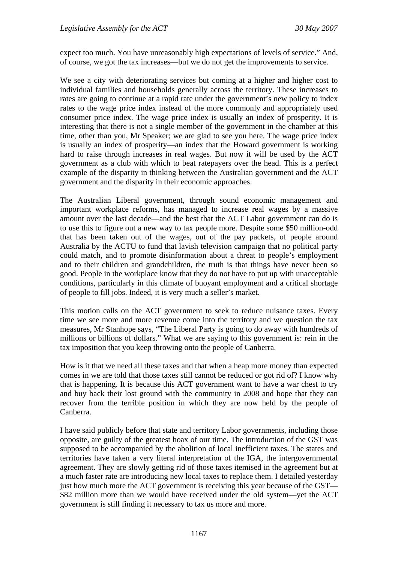expect too much. You have unreasonably high expectations of levels of service." And, of course, we got the tax increases—but we do not get the improvements to service.

We see a city with deteriorating services but coming at a higher and higher cost to individual families and households generally across the territory. These increases to rates are going to continue at a rapid rate under the government's new policy to index rates to the wage price index instead of the more commonly and appropriately used consumer price index. The wage price index is usually an index of prosperity. It is interesting that there is not a single member of the government in the chamber at this time, other than you, Mr Speaker; we are glad to see you here. The wage price index is usually an index of prosperity—an index that the Howard government is working hard to raise through increases in real wages. But now it will be used by the ACT government as a club with which to beat ratepayers over the head. This is a perfect example of the disparity in thinking between the Australian government and the ACT government and the disparity in their economic approaches.

The Australian Liberal government, through sound economic management and important workplace reforms, has managed to increase real wages by a massive amount over the last decade—and the best that the ACT Labor government can do is to use this to figure out a new way to tax people more. Despite some \$50 million-odd that has been taken out of the wages, out of the pay packets, of people around Australia by the ACTU to fund that lavish television campaign that no political party could match, and to promote disinformation about a threat to people's employment and to their children and grandchildren, the truth is that things have never been so good. People in the workplace know that they do not have to put up with unacceptable conditions, particularly in this climate of buoyant employment and a critical shortage of people to fill jobs. Indeed, it is very much a seller's market.

This motion calls on the ACT government to seek to reduce nuisance taxes. Every time we see more and more revenue come into the territory and we question the tax measures, Mr Stanhope says, "The Liberal Party is going to do away with hundreds of millions or billions of dollars." What we are saying to this government is: rein in the tax imposition that you keep throwing onto the people of Canberra.

How is it that we need all these taxes and that when a heap more money than expected comes in we are told that those taxes still cannot be reduced or got rid of? I know why that is happening. It is because this ACT government want to have a war chest to try and buy back their lost ground with the community in 2008 and hope that they can recover from the terrible position in which they are now held by the people of Canberra.

I have said publicly before that state and territory Labor governments, including those opposite, are guilty of the greatest hoax of our time. The introduction of the GST was supposed to be accompanied by the abolition of local inefficient taxes. The states and territories have taken a very literal interpretation of the IGA, the intergovernmental agreement. They are slowly getting rid of those taxes itemised in the agreement but at a much faster rate are introducing new local taxes to replace them. I detailed yesterday just how much more the ACT government is receiving this year because of the GST— \$82 million more than we would have received under the old system—yet the ACT government is still finding it necessary to tax us more and more.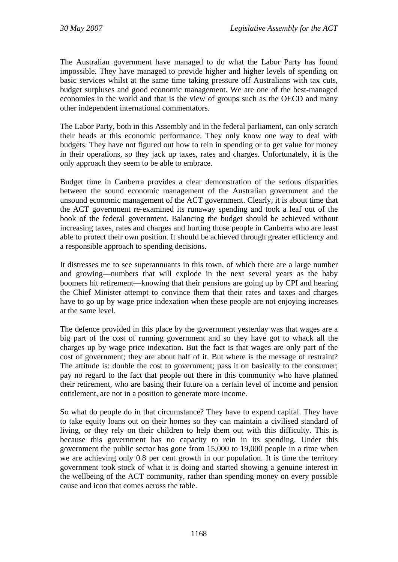The Australian government have managed to do what the Labor Party has found impossible. They have managed to provide higher and higher levels of spending on basic services whilst at the same time taking pressure off Australians with tax cuts, budget surpluses and good economic management. We are one of the best-managed economies in the world and that is the view of groups such as the OECD and many other independent international commentators.

The Labor Party, both in this Assembly and in the federal parliament, can only scratch their heads at this economic performance. They only know one way to deal with budgets. They have not figured out how to rein in spending or to get value for money in their operations, so they jack up taxes, rates and charges. Unfortunately, it is the only approach they seem to be able to embrace.

Budget time in Canberra provides a clear demonstration of the serious disparities between the sound economic management of the Australian government and the unsound economic management of the ACT government. Clearly, it is about time that the ACT government re-examined its runaway spending and took a leaf out of the book of the federal government. Balancing the budget should be achieved without increasing taxes, rates and charges and hurting those people in Canberra who are least able to protect their own position. It should be achieved through greater efficiency and a responsible approach to spending decisions.

It distresses me to see superannuants in this town, of which there are a large number and growing—numbers that will explode in the next several years as the baby boomers hit retirement—knowing that their pensions are going up by CPI and hearing the Chief Minister attempt to convince them that their rates and taxes and charges have to go up by wage price indexation when these people are not enjoying increases at the same level.

The defence provided in this place by the government yesterday was that wages are a big part of the cost of running government and so they have got to whack all the charges up by wage price indexation. But the fact is that wages are only part of the cost of government; they are about half of it. But where is the message of restraint? The attitude is: double the cost to government; pass it on basically to the consumer; pay no regard to the fact that people out there in this community who have planned their retirement, who are basing their future on a certain level of income and pension entitlement, are not in a position to generate more income.

So what do people do in that circumstance? They have to expend capital. They have to take equity loans out on their homes so they can maintain a civilised standard of living, or they rely on their children to help them out with this difficulty. This is because this government has no capacity to rein in its spending. Under this government the public sector has gone from 15,000 to 19,000 people in a time when we are achieving only 0.8 per cent growth in our population. It is time the territory government took stock of what it is doing and started showing a genuine interest in the wellbeing of the ACT community, rather than spending money on every possible cause and icon that comes across the table.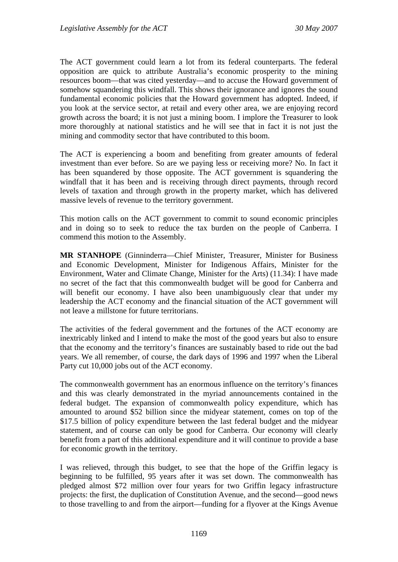The ACT government could learn a lot from its federal counterparts. The federal opposition are quick to attribute Australia's economic prosperity to the mining resources boom—that was cited yesterday—and to accuse the Howard government of somehow squandering this windfall. This shows their ignorance and ignores the sound fundamental economic policies that the Howard government has adopted. Indeed, if you look at the service sector, at retail and every other area, we are enjoying record growth across the board; it is not just a mining boom. I implore the Treasurer to look more thoroughly at national statistics and he will see that in fact it is not just the mining and commodity sector that have contributed to this boom.

The ACT is experiencing a boom and benefiting from greater amounts of federal investment than ever before. So are we paying less or receiving more? No. In fact it has been squandered by those opposite. The ACT government is squandering the windfall that it has been and is receiving through direct payments, through record levels of taxation and through growth in the property market, which has delivered massive levels of revenue to the territory government.

This motion calls on the ACT government to commit to sound economic principles and in doing so to seek to reduce the tax burden on the people of Canberra. I commend this motion to the Assembly.

**MR STANHOPE** (Ginninderra—Chief Minister, Treasurer, Minister for Business and Economic Development, Minister for Indigenous Affairs, Minister for the Environment, Water and Climate Change, Minister for the Arts) (11.34): I have made no secret of the fact that this commonwealth budget will be good for Canberra and will benefit our economy. I have also been unambiguously clear that under my leadership the ACT economy and the financial situation of the ACT government will not leave a millstone for future territorians.

The activities of the federal government and the fortunes of the ACT economy are inextricably linked and I intend to make the most of the good years but also to ensure that the economy and the territory's finances are sustainably based to ride out the bad years. We all remember, of course, the dark days of 1996 and 1997 when the Liberal Party cut 10,000 jobs out of the ACT economy.

The commonwealth government has an enormous influence on the territory's finances and this was clearly demonstrated in the myriad announcements contained in the federal budget. The expansion of commonwealth policy expenditure, which has amounted to around \$52 billion since the midyear statement, comes on top of the \$17.5 billion of policy expenditure between the last federal budget and the midyear statement, and of course can only be good for Canberra. Our economy will clearly benefit from a part of this additional expenditure and it will continue to provide a base for economic growth in the territory.

I was relieved, through this budget, to see that the hope of the Griffin legacy is beginning to be fulfilled, 95 years after it was set down. The commonwealth has pledged almost \$72 million over four years for two Griffin legacy infrastructure projects: the first, the duplication of Constitution Avenue, and the second—good news to those travelling to and from the airport—funding for a flyover at the Kings Avenue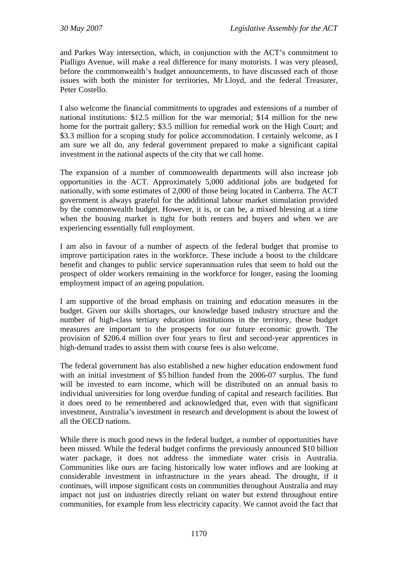and Parkes Way intersection, which, in conjunction with the ACT's commitment to Pialligo Avenue, will make a real difference for many motorists. I was very pleased, before the commonwealth's budget announcements, to have discussed each of those issues with both the minister for territories, Mr Lloyd, and the federal Treasurer, Peter Costello.

I also welcome the financial commitments to upgrades and extensions of a number of national institutions: \$12.5 million for the war memorial; \$14 million for the new home for the portrait gallery; \$3.5 million for remedial work on the High Court; and \$3.3 million for a scoping study for police accommodation. I certainly welcome, as I am sure we all do, any federal government prepared to make a significant capital investment in the national aspects of the city that we call home.

The expansion of a number of commonwealth departments will also increase job opportunities in the ACT. Approximately 5,000 additional jobs are budgeted for nationally, with some estimates of 2,000 of those being located in Canberra. The ACT government is always grateful for the additional labour market stimulation provided by the commonwealth budget. However, it is, or can be, a mixed blessing at a time when the housing market is tight for both renters and buyers and when we are experiencing essentially full employment.

I am also in favour of a number of aspects of the federal budget that promise to improve participation rates in the workforce. These include a boost to the childcare benefit and changes to public service superannuation rules that seem to hold out the prospect of older workers remaining in the workforce for longer, easing the looming employment impact of an ageing population.

I am supportive of the broad emphasis on training and education measures in the budget. Given our skills shortages, our knowledge based industry structure and the number of high-class tertiary education institutions in the territory, these budget measures are important to the prospects for our future economic growth. The provision of \$206.4 million over four years to first and second-year apprentices in high-demand trades to assist them with course fees is also welcome.

The federal government has also established a new higher education endowment fund with an initial investment of \$5 billion funded from the 2006-07 surplus. The fund will be invested to earn income, which will be distributed on an annual basis to individual universities for long overdue funding of capital and research facilities. But it does need to be remembered and acknowledged that, even with that significant investment, Australia's investment in research and development is about the lowest of all the OECD nations.

While there is much good news in the federal budget, a number of opportunities have been missed. While the federal budget confirms the previously announced \$10 billion water package, it does not address the immediate water crisis in Australia. Communities like ours are facing historically low water inflows and are looking at considerable investment in infrastructure in the years ahead. The drought, if it continues, will impose significant costs on communities throughout Australia and may impact not just on industries directly reliant on water but extend throughout entire communities, for example from less electricity capacity. We cannot avoid the fact that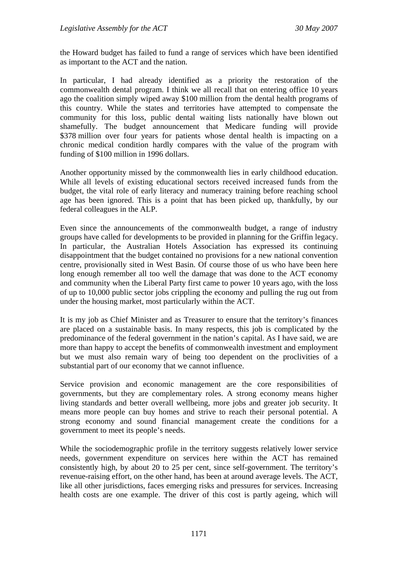the Howard budget has failed to fund a range of services which have been identified as important to the ACT and the nation.

In particular, I had already identified as a priority the restoration of the commonwealth dental program. I think we all recall that on entering office 10 years ago the coalition simply wiped away \$100 million from the dental health programs of this country. While the states and territories have attempted to compensate the community for this loss, public dental waiting lists nationally have blown out shamefully. The budget announcement that Medicare funding will provide \$378 million over four years for patients whose dental health is impacting on a chronic medical condition hardly compares with the value of the program with funding of \$100 million in 1996 dollars.

Another opportunity missed by the commonwealth lies in early childhood education. While all levels of existing educational sectors received increased funds from the budget, the vital role of early literacy and numeracy training before reaching school age has been ignored. This is a point that has been picked up, thankfully, by our federal colleagues in the ALP.

Even since the announcements of the commonwealth budget, a range of industry groups have called for developments to be provided in planning for the Griffin legacy. In particular, the Australian Hotels Association has expressed its continuing disappointment that the budget contained no provisions for a new national convention centre, provisionally sited in West Basin. Of course those of us who have been here long enough remember all too well the damage that was done to the ACT economy and community when the Liberal Party first came to power 10 years ago, with the loss of up to 10,000 public sector jobs crippling the economy and pulling the rug out from under the housing market, most particularly within the ACT.

It is my job as Chief Minister and as Treasurer to ensure that the territory's finances are placed on a sustainable basis. In many respects, this job is complicated by the predominance of the federal government in the nation's capital. As I have said, we are more than happy to accept the benefits of commonwealth investment and employment but we must also remain wary of being too dependent on the proclivities of a substantial part of our economy that we cannot influence.

Service provision and economic management are the core responsibilities of governments, but they are complementary roles. A strong economy means higher living standards and better overall wellbeing, more jobs and greater job security. It means more people can buy homes and strive to reach their personal potential. A strong economy and sound financial management create the conditions for a government to meet its people's needs.

While the sociodemographic profile in the territory suggests relatively lower service needs, government expenditure on services here within the ACT has remained consistently high, by about 20 to 25 per cent, since self-government. The territory's revenue-raising effort, on the other hand, has been at around average levels. The ACT, like all other jurisdictions, faces emerging risks and pressures for services. Increasing health costs are one example. The driver of this cost is partly ageing, which will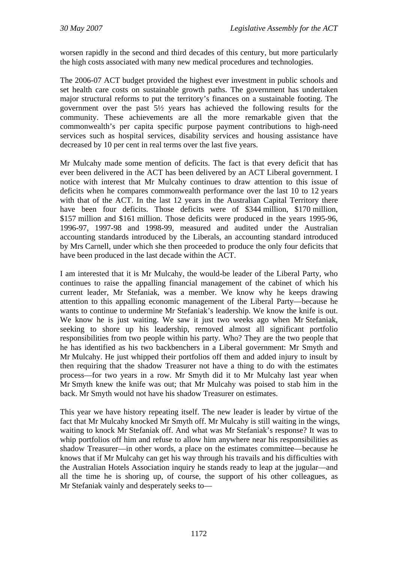worsen rapidly in the second and third decades of this century, but more particularly the high costs associated with many new medical procedures and technologies.

The 2006-07 ACT budget provided the highest ever investment in public schools and set health care costs on sustainable growth paths. The government has undertaken major structural reforms to put the territory's finances on a sustainable footing. The government over the past 5½ years has achieved the following results for the community. These achievements are all the more remarkable given that the commonwealth's per capita specific purpose payment contributions to high-need services such as hospital services, disability services and housing assistance have decreased by 10 per cent in real terms over the last five years.

Mr Mulcahy made some mention of deficits. The fact is that every deficit that has ever been delivered in the ACT has been delivered by an ACT Liberal government. I notice with interest that Mr Mulcahy continues to draw attention to this issue of deficits when he compares commonwealth performance over the last 10 to 12 years with that of the ACT. In the last 12 years in the Australian Capital Territory there have been four deficits. Those deficits were of \$344 million, \$170 million, \$157 million and \$161 million. Those deficits were produced in the years 1995-96, 1996-97, 1997-98 and 1998-99, measured and audited under the Australian accounting standards introduced by the Liberals, an accounting standard introduced by Mrs Carnell, under which she then proceeded to produce the only four deficits that have been produced in the last decade within the ACT.

I am interested that it is Mr Mulcahy, the would-be leader of the Liberal Party, who continues to raise the appalling financial management of the cabinet of which his current leader, Mr Stefaniak, was a member. We know why he keeps drawing attention to this appalling economic management of the Liberal Party—because he wants to continue to undermine Mr Stefaniak's leadership. We know the knife is out. We know he is just waiting. We saw it just two weeks ago when Mr Stefaniak, seeking to shore up his leadership, removed almost all significant portfolio responsibilities from two people within his party. Who? They are the two people that he has identified as his two backbenchers in a Liberal government: Mr Smyth and Mr Mulcahy. He just whipped their portfolios off them and added injury to insult by then requiring that the shadow Treasurer not have a thing to do with the estimates process—for two years in a row. Mr Smyth did it to Mr Mulcahy last year when Mr Smyth knew the knife was out; that Mr Mulcahy was poised to stab him in the back. Mr Smyth would not have his shadow Treasurer on estimates.

This year we have history repeating itself. The new leader is leader by virtue of the fact that Mr Mulcahy knocked Mr Smyth off. Mr Mulcahy is still waiting in the wings, waiting to knock Mr Stefaniak off. And what was Mr Stefaniak's response? It was to whip portfolios off him and refuse to allow him anywhere near his responsibilities as shadow Treasurer—in other words, a place on the estimates committee—because he knows that if Mr Mulcahy can get his way through his travails and his difficulties with the Australian Hotels Association inquiry he stands ready to leap at the jugular—and all the time he is shoring up, of course, the support of his other colleagues, as Mr Stefaniak vainly and desperately seeks to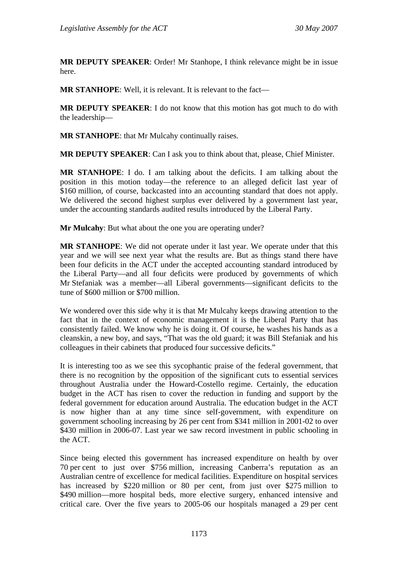**MR DEPUTY SPEAKER**: Order! Mr Stanhope, I think relevance might be in issue here.

**MR STANHOPE**: Well, it is relevant. It is relevant to the fact—

**MR DEPUTY SPEAKER**: I do not know that this motion has got much to do with the leadership—

**MR STANHOPE**: that Mr Mulcahy continually raises.

**MR DEPUTY SPEAKER**: Can I ask you to think about that, please, Chief Minister.

**MR STANHOPE**: I do. I am talking about the deficits. I am talking about the position in this motion today—the reference to an alleged deficit last year of \$160 million, of course, backcasted into an accounting standard that does not apply. We delivered the second highest surplus ever delivered by a government last year, under the accounting standards audited results introduced by the Liberal Party.

**Mr Mulcahy**: But what about the one you are operating under?

**MR STANHOPE**: We did not operate under it last year. We operate under that this year and we will see next year what the results are. But as things stand there have been four deficits in the ACT under the accepted accounting standard introduced by the Liberal Party—and all four deficits were produced by governments of which Mr Stefaniak was a member—all Liberal governments—significant deficits to the tune of \$600 million or \$700 million.

We wondered over this side why it is that Mr Mulcahy keeps drawing attention to the fact that in the context of economic management it is the Liberal Party that has consistently failed. We know why he is doing it. Of course, he washes his hands as a cleanskin, a new boy, and says, "That was the old guard; it was Bill Stefaniak and his colleagues in their cabinets that produced four successive deficits."

It is interesting too as we see this sycophantic praise of the federal government, that there is no recognition by the opposition of the significant cuts to essential services throughout Australia under the Howard-Costello regime. Certainly, the education budget in the ACT has risen to cover the reduction in funding and support by the federal government for education around Australia. The education budget in the ACT is now higher than at any time since self-government, with expenditure on government schooling increasing by 26 per cent from \$341 million in 2001-02 to over \$430 million in 2006-07. Last year we saw record investment in public schooling in the ACT.

Since being elected this government has increased expenditure on health by over 70 per cent to just over \$756 million, increasing Canberra's reputation as an Australian centre of excellence for medical facilities. Expenditure on hospital services has increased by \$220 million or 80 per cent, from just over \$275 million to \$490 million—more hospital beds, more elective surgery, enhanced intensive and critical care. Over the five years to 2005-06 our hospitals managed a 29 per cent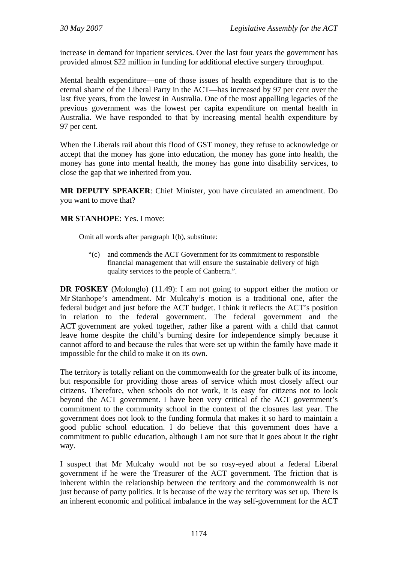increase in demand for inpatient services. Over the last four years the government has provided almost \$22 million in funding for additional elective surgery throughput.

Mental health expenditure—one of those issues of health expenditure that is to the eternal shame of the Liberal Party in the ACT—has increased by 97 per cent over the last five years, from the lowest in Australia. One of the most appalling legacies of the previous government was the lowest per capita expenditure on mental health in Australia. We have responded to that by increasing mental health expenditure by 97 per cent.

When the Liberals rail about this flood of GST money, they refuse to acknowledge or accept that the money has gone into education, the money has gone into health, the money has gone into mental health, the money has gone into disability services, to close the gap that we inherited from you.

**MR DEPUTY SPEAKER**: Chief Minister, you have circulated an amendment. Do you want to move that?

#### **MR STANHOPE**: Yes. I move:

Omit all words after paragraph 1(b), substitute:

"(c) and commends the ACT Government for its commitment to responsible financial management that will ensure the sustainable delivery of high quality services to the people of Canberra.".

**DR FOSKEY** (Molonglo) (11.49): I am not going to support either the motion or Mr Stanhope's amendment. Mr Mulcahy's motion is a traditional one, after the federal budget and just before the ACT budget. I think it reflects the ACT's position in relation to the federal government. The federal government and the ACT government are yoked together, rather like a parent with a child that cannot leave home despite the child's burning desire for independence simply because it cannot afford to and because the rules that were set up within the family have made it impossible for the child to make it on its own.

The territory is totally reliant on the commonwealth for the greater bulk of its income, but responsible for providing those areas of service which most closely affect our citizens. Therefore, when schools do not work, it is easy for citizens not to look beyond the ACT government. I have been very critical of the ACT government's commitment to the community school in the context of the closures last year. The government does not look to the funding formula that makes it so hard to maintain a good public school education. I do believe that this government does have a commitment to public education, although I am not sure that it goes about it the right way.

I suspect that Mr Mulcahy would not be so rosy-eyed about a federal Liberal government if he were the Treasurer of the ACT government. The friction that is inherent within the relationship between the territory and the commonwealth is not just because of party politics. It is because of the way the territory was set up. There is an inherent economic and political imbalance in the way self-government for the ACT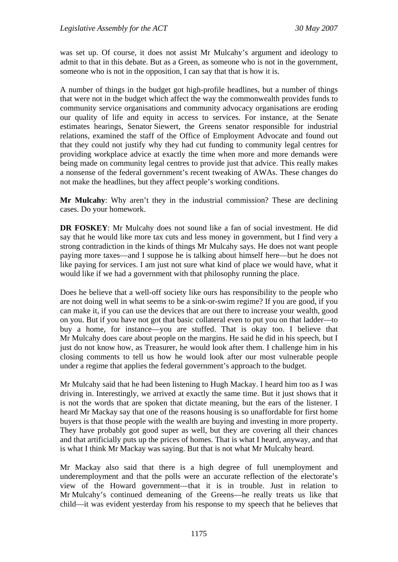was set up. Of course, it does not assist Mr Mulcahy's argument and ideology to admit to that in this debate. But as a Green, as someone who is not in the government, someone who is not in the opposition, I can say that that is how it is.

A number of things in the budget got high-profile headlines, but a number of things that were not in the budget which affect the way the commonwealth provides funds to community service organisations and community advocacy organisations are eroding our quality of life and equity in access to services. For instance, at the Senate estimates hearings, Senator Siewert, the Greens senator responsible for industrial relations, examined the staff of the Office of Employment Advocate and found out that they could not justify why they had cut funding to community legal centres for providing workplace advice at exactly the time when more and more demands were being made on community legal centres to provide just that advice. This really makes a nonsense of the federal government's recent tweaking of AWAs. These changes do not make the headlines, but they affect people's working conditions.

**Mr Mulcahy**: Why aren't they in the industrial commission? These are declining cases. Do your homework.

**DR FOSKEY**: Mr Mulcahy does not sound like a fan of social investment. He did say that he would like more tax cuts and less money in government, but I find very a strong contradiction in the kinds of things Mr Mulcahy says. He does not want people paying more taxes—and I suppose he is talking about himself here—but he does not like paying for services. I am just not sure what kind of place we would have, what it would like if we had a government with that philosophy running the place.

Does he believe that a well-off society like ours has responsibility to the people who are not doing well in what seems to be a sink-or-swim regime? If you are good, if you can make it, if you can use the devices that are out there to increase your wealth, good on you. But if you have not got that basic collateral even to put you on that ladder—to buy a home, for instance—you are stuffed. That is okay too. I believe that Mr Mulcahy does care about people on the margins. He said he did in his speech, but I just do not know how, as Treasurer, he would look after them. I challenge him in his closing comments to tell us how he would look after our most vulnerable people under a regime that applies the federal government's approach to the budget.

Mr Mulcahy said that he had been listening to Hugh Mackay. I heard him too as I was driving in. Interestingly, we arrived at exactly the same time. But it just shows that it is not the words that are spoken that dictate meaning, but the ears of the listener. I heard Mr Mackay say that one of the reasons housing is so unaffordable for first home buyers is that those people with the wealth are buying and investing in more property. They have probably got good super as well, but they are covering all their chances and that artificially puts up the prices of homes. That is what I heard, anyway, and that is what I think Mr Mackay was saying. But that is not what Mr Mulcahy heard.

Mr Mackay also said that there is a high degree of full unemployment and underemployment and that the polls were an accurate reflection of the electorate's view of the Howard government—that it is in trouble. Just in relation to Mr Mulcahy's continued demeaning of the Greens—he really treats us like that child—it was evident yesterday from his response to my speech that he believes that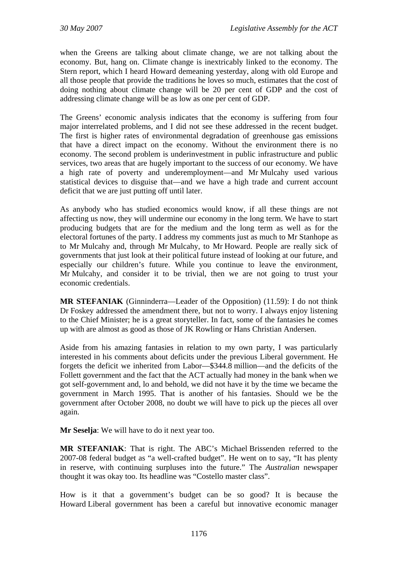when the Greens are talking about climate change, we are not talking about the economy. But, hang on. Climate change is inextricably linked to the economy. The Stern report, which I heard Howard demeaning yesterday, along with old Europe and all those people that provide the traditions he loves so much, estimates that the cost of doing nothing about climate change will be 20 per cent of GDP and the cost of addressing climate change will be as low as one per cent of GDP.

The Greens' economic analysis indicates that the economy is suffering from four major interrelated problems, and I did not see these addressed in the recent budget. The first is higher rates of environmental degradation of greenhouse gas emissions that have a direct impact on the economy. Without the environment there is no economy. The second problem is underinvestment in public infrastructure and public services, two areas that are hugely important to the success of our economy. We have a high rate of poverty and underemployment—and Mr Mulcahy used various statistical devices to disguise that—and we have a high trade and current account deficit that we are just putting off until later.

As anybody who has studied economics would know, if all these things are not affecting us now, they will undermine our economy in the long term. We have to start producing budgets that are for the medium and the long term as well as for the electoral fortunes of the party. I address my comments just as much to Mr Stanhope as to Mr Mulcahy and, through Mr Mulcahy, to Mr Howard. People are really sick of governments that just look at their political future instead of looking at our future, and especially our children's future. While you continue to leave the environment, Mr Mulcahy, and consider it to be trivial, then we are not going to trust your economic credentials.

**MR STEFANIAK** (Ginninderra—Leader of the Opposition) (11.59): I do not think Dr Foskey addressed the amendment there, but not to worry. I always enjoy listening to the Chief Minister; he is a great storyteller. In fact, some of the fantasies he comes up with are almost as good as those of JK Rowling or Hans Christian Andersen.

Aside from his amazing fantasies in relation to my own party, I was particularly interested in his comments about deficits under the previous Liberal government. He forgets the deficit we inherited from Labor—\$344.8 million—and the deficits of the Follett government and the fact that the ACT actually had money in the bank when we got self-government and, lo and behold, we did not have it by the time we became the government in March 1995. That is another of his fantasies. Should we be the government after October 2008, no doubt we will have to pick up the pieces all over again.

**Mr Seselja**: We will have to do it next year too.

**MR STEFANIAK**: That is right. The ABC's Michael Brissenden referred to the 2007-08 federal budget as "a well-crafted budget". He went on to say, "It has plenty in reserve, with continuing surpluses into the future." The *Australian* newspaper thought it was okay too. Its headline was "Costello master class".

How is it that a government's budget can be so good? It is because the Howard Liberal government has been a careful but innovative economic manager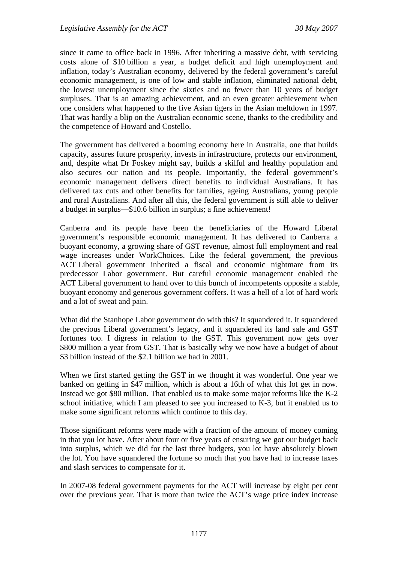since it came to office back in 1996. After inheriting a massive debt, with servicing costs alone of \$10 billion a year, a budget deficit and high unemployment and inflation, today's Australian economy, delivered by the federal government's careful economic management, is one of low and stable inflation, eliminated national debt, the lowest unemployment since the sixties and no fewer than 10 years of budget surpluses. That is an amazing achievement, and an even greater achievement when one considers what happened to the five Asian tigers in the Asian meltdown in 1997. That was hardly a blip on the Australian economic scene, thanks to the credibility and the competence of Howard and Costello.

The government has delivered a booming economy here in Australia, one that builds capacity, assures future prosperity, invests in infrastructure, protects our environment, and, despite what Dr Foskey might say, builds a skilful and healthy population and also secures our nation and its people. Importantly, the federal government's economic management delivers direct benefits to individual Australians. It has delivered tax cuts and other benefits for families, ageing Australians, young people and rural Australians. And after all this, the federal government is still able to deliver a budget in surplus—\$10.6 billion in surplus; a fine achievement!

Canberra and its people have been the beneficiaries of the Howard Liberal government's responsible economic management. It has delivered to Canberra a buoyant economy, a growing share of GST revenue, almost full employment and real wage increases under WorkChoices. Like the federal government, the previous ACT Liberal government inherited a fiscal and economic nightmare from its predecessor Labor government. But careful economic management enabled the ACT Liberal government to hand over to this bunch of incompetents opposite a stable, buoyant economy and generous government coffers. It was a hell of a lot of hard work and a lot of sweat and pain.

What did the Stanhope Labor government do with this? It squandered it. It squandered the previous Liberal government's legacy, and it squandered its land sale and GST fortunes too. I digress in relation to the GST. This government now gets over \$800 million a year from GST. That is basically why we now have a budget of about \$3 billion instead of the \$2.1 billion we had in 2001.

When we first started getting the GST in we thought it was wonderful. One year we banked on getting in \$47 million, which is about a 16th of what this lot get in now. Instead we got \$80 million. That enabled us to make some major reforms like the K-2 school initiative, which I am pleased to see you increased to K-3, but it enabled us to make some significant reforms which continue to this day.

Those significant reforms were made with a fraction of the amount of money coming in that you lot have. After about four or five years of ensuring we got our budget back into surplus, which we did for the last three budgets, you lot have absolutely blown the lot. You have squandered the fortune so much that you have had to increase taxes and slash services to compensate for it.

In 2007-08 federal government payments for the ACT will increase by eight per cent over the previous year. That is more than twice the ACT's wage price index increase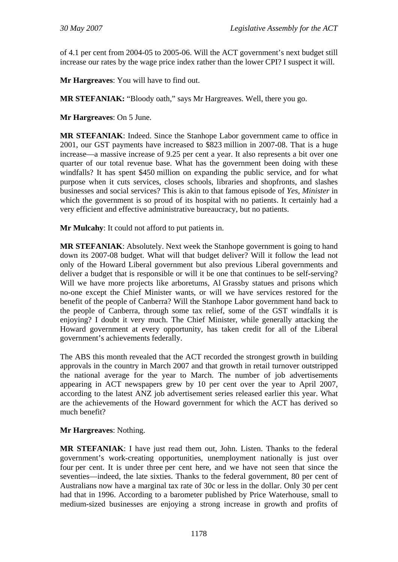of 4.1 per cent from 2004-05 to 2005-06. Will the ACT government's next budget still increase our rates by the wage price index rather than the lower CPI? I suspect it will.

**Mr Hargreaves**: You will have to find out.

**MR STEFANIAK:** "Bloody oath," says Mr Hargreaves. Well, there you go.

**Mr Hargreaves**: On 5 June.

**MR STEFANIAK**: Indeed. Since the Stanhope Labor government came to office in 2001, our GST payments have increased to \$823 million in 2007-08. That is a huge increase—a massive increase of 9.25 per cent a year. It also represents a bit over one quarter of our total revenue base. What has the government been doing with these windfalls? It has spent \$450 million on expanding the public service, and for what purpose when it cuts services, closes schools, libraries and shopfronts, and slashes businesses and social services? This is akin to that famous episode of *Yes, Minister* in which the government is so proud of its hospital with no patients. It certainly had a very efficient and effective administrative bureaucracy, but no patients.

**Mr Mulcahy**: It could not afford to put patients in.

**MR STEFANIAK**: Absolutely. Next week the Stanhope government is going to hand down its 2007-08 budget. What will that budget deliver? Will it follow the lead not only of the Howard Liberal government but also previous Liberal governments and deliver a budget that is responsible or will it be one that continues to be self-serving? Will we have more projects like arboretums, Al Grassby statues and prisons which no-one except the Chief Minister wants, or will we have services restored for the benefit of the people of Canberra? Will the Stanhope Labor government hand back to the people of Canberra, through some tax relief, some of the GST windfalls it is enjoying? I doubt it very much. The Chief Minister, while generally attacking the Howard government at every opportunity, has taken credit for all of the Liberal government's achievements federally.

The ABS this month revealed that the ACT recorded the strongest growth in building approvals in the country in March 2007 and that growth in retail turnover outstripped the national average for the year to March. The number of job advertisements appearing in ACT newspapers grew by 10 per cent over the year to April 2007, according to the latest ANZ job advertisement series released earlier this year. What are the achievements of the Howard government for which the ACT has derived so much benefit?

#### **Mr Hargreaves**: Nothing.

**MR STEFANIAK**: I have just read them out, John. Listen. Thanks to the federal government's work-creating opportunities, unemployment nationally is just over four per cent. It is under three per cent here, and we have not seen that since the seventies—indeed, the late sixties. Thanks to the federal government, 80 per cent of Australians now have a marginal tax rate of 30c or less in the dollar. Only 30 per cent had that in 1996. According to a barometer published by Price Waterhouse, small to medium-sized businesses are enjoying a strong increase in growth and profits of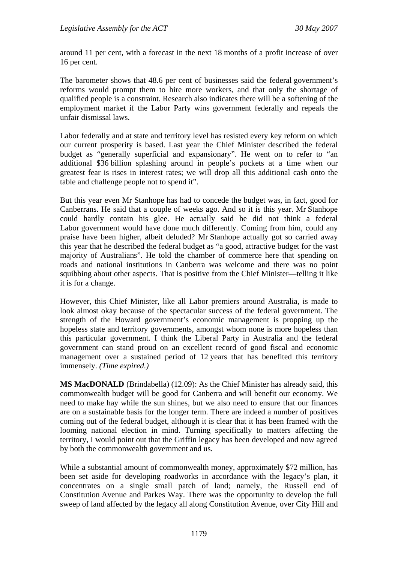around 11 per cent, with a forecast in the next 18 months of a profit increase of over 16 per cent.

The barometer shows that 48.6 per cent of businesses said the federal government's reforms would prompt them to hire more workers, and that only the shortage of qualified people is a constraint. Research also indicates there will be a softening of the employment market if the Labor Party wins government federally and repeals the unfair dismissal laws.

Labor federally and at state and territory level has resisted every key reform on which our current prosperity is based. Last year the Chief Minister described the federal budget as "generally superficial and expansionary". He went on to refer to "an additional \$36 billion splashing around in people's pockets at a time when our greatest fear is rises in interest rates; we will drop all this additional cash onto the table and challenge people not to spend it".

But this year even Mr Stanhope has had to concede the budget was, in fact, good for Canberrans. He said that a couple of weeks ago. And so it is this year. Mr Stanhope could hardly contain his glee. He actually said he did not think a federal Labor government would have done much differently. Coming from him, could any praise have been higher, albeit deluded? Mr Stanhope actually got so carried away this year that he described the federal budget as "a good, attractive budget for the vast majority of Australians". He told the chamber of commerce here that spending on roads and national institutions in Canberra was welcome and there was no point squibbing about other aspects. That is positive from the Chief Minister—telling it like it is for a change.

However, this Chief Minister, like all Labor premiers around Australia, is made to look almost okay because of the spectacular success of the federal government. The strength of the Howard government's economic management is propping up the hopeless state and territory governments, amongst whom none is more hopeless than this particular government. I think the Liberal Party in Australia and the federal government can stand proud on an excellent record of good fiscal and economic management over a sustained period of 12 years that has benefited this territory immensely. *(Time expired.)*

**MS MacDONALD** (Brindabella) (12.09): As the Chief Minister has already said, this commonwealth budget will be good for Canberra and will benefit our economy. We need to make hay while the sun shines, but we also need to ensure that our finances are on a sustainable basis for the longer term. There are indeed a number of positives coming out of the federal budget, although it is clear that it has been framed with the looming national election in mind. Turning specifically to matters affecting the territory, I would point out that the Griffin legacy has been developed and now agreed by both the commonwealth government and us.

While a substantial amount of commonwealth money, approximately \$72 million, has been set aside for developing roadworks in accordance with the legacy's plan, it concentrates on a single small patch of land; namely, the Russell end of Constitution Avenue and Parkes Way. There was the opportunity to develop the full sweep of land affected by the legacy all along Constitution Avenue, over City Hill and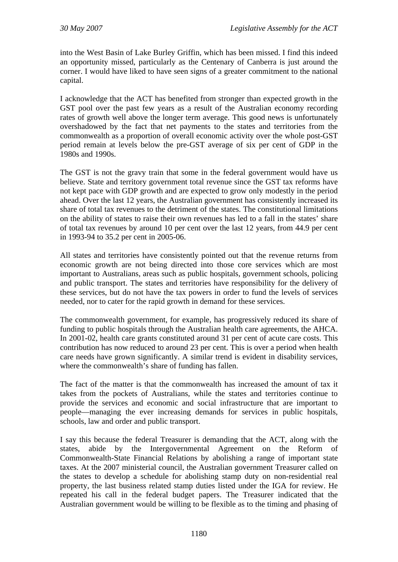into the West Basin of Lake Burley Griffin, which has been missed. I find this indeed an opportunity missed, particularly as the Centenary of Canberra is just around the corner. I would have liked to have seen signs of a greater commitment to the national capital.

I acknowledge that the ACT has benefited from stronger than expected growth in the GST pool over the past few years as a result of the Australian economy recording rates of growth well above the longer term average. This good news is unfortunately overshadowed by the fact that net payments to the states and territories from the commonwealth as a proportion of overall economic activity over the whole post-GST period remain at levels below the pre-GST average of six per cent of GDP in the 1980s and 1990s.

The GST is not the gravy train that some in the federal government would have us believe. State and territory government total revenue since the GST tax reforms have not kept pace with GDP growth and are expected to grow only modestly in the period ahead. Over the last 12 years, the Australian government has consistently increased its share of total tax revenues to the detriment of the states. The constitutional limitations on the ability of states to raise their own revenues has led to a fall in the states' share of total tax revenues by around 10 per cent over the last 12 years, from 44.9 per cent in 1993-94 to 35.2 per cent in 2005-06.

All states and territories have consistently pointed out that the revenue returns from economic growth are not being directed into those core services which are most important to Australians, areas such as public hospitals, government schools, policing and public transport. The states and territories have responsibility for the delivery of these services, but do not have the tax powers in order to fund the levels of services needed, nor to cater for the rapid growth in demand for these services.

The commonwealth government, for example, has progressively reduced its share of funding to public hospitals through the Australian health care agreements, the AHCA. In 2001-02, health care grants constituted around 31 per cent of acute care costs. This contribution has now reduced to around 23 per cent. This is over a period when health care needs have grown significantly. A similar trend is evident in disability services, where the commonwealth's share of funding has fallen.

The fact of the matter is that the commonwealth has increased the amount of tax it takes from the pockets of Australians, while the states and territories continue to provide the services and economic and social infrastructure that are important to people—managing the ever increasing demands for services in public hospitals, schools, law and order and public transport.

I say this because the federal Treasurer is demanding that the ACT, along with the states, abide by the Intergovernmental Agreement on the Reform of Commonwealth-State Financial Relations by abolishing a range of important state taxes. At the 2007 ministerial council, the Australian government Treasurer called on the states to develop a schedule for abolishing stamp duty on non-residential real property, the last business related stamp duties listed under the IGA for review. He repeated his call in the federal budget papers. The Treasurer indicated that the Australian government would be willing to be flexible as to the timing and phasing of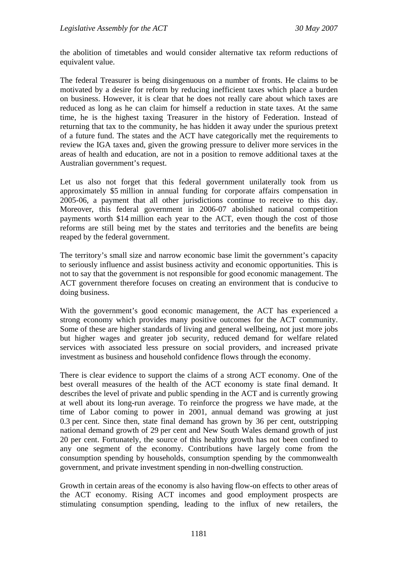the abolition of timetables and would consider alternative tax reform reductions of equivalent value.

The federal Treasurer is being disingenuous on a number of fronts. He claims to be motivated by a desire for reform by reducing inefficient taxes which place a burden on business. However, it is clear that he does not really care about which taxes are reduced as long as he can claim for himself a reduction in state taxes. At the same time, he is the highest taxing Treasurer in the history of Federation. Instead of returning that tax to the community, he has hidden it away under the spurious pretext of a future fund. The states and the ACT have categorically met the requirements to review the IGA taxes and, given the growing pressure to deliver more services in the areas of health and education, are not in a position to remove additional taxes at the Australian government's request.

Let us also not forget that this federal government unilaterally took from us approximately \$5 million in annual funding for corporate affairs compensation in 2005-06, a payment that all other jurisdictions continue to receive to this day. Moreover, this federal government in 2006-07 abolished national competition payments worth \$14 million each year to the ACT, even though the cost of those reforms are still being met by the states and territories and the benefits are being reaped by the federal government.

The territory's small size and narrow economic base limit the government's capacity to seriously influence and assist business activity and economic opportunities. This is not to say that the government is not responsible for good economic management. The ACT government therefore focuses on creating an environment that is conducive to doing business.

With the government's good economic management, the ACT has experienced a strong economy which provides many positive outcomes for the ACT community. Some of these are higher standards of living and general wellbeing, not just more jobs but higher wages and greater job security, reduced demand for welfare related services with associated less pressure on social providers, and increased private investment as business and household confidence flows through the economy.

There is clear evidence to support the claims of a strong ACT economy. One of the best overall measures of the health of the ACT economy is state final demand. It describes the level of private and public spending in the ACT and is currently growing at well about its long-run average. To reinforce the progress we have made, at the time of Labor coming to power in 2001, annual demand was growing at just 0.3 per cent. Since then, state final demand has grown by 36 per cent, outstripping national demand growth of 29 per cent and New South Wales demand growth of just 20 per cent. Fortunately, the source of this healthy growth has not been confined to any one segment of the economy. Contributions have largely come from the consumption spending by households, consumption spending by the commonwealth government, and private investment spending in non-dwelling construction.

Growth in certain areas of the economy is also having flow-on effects to other areas of the ACT economy. Rising ACT incomes and good employment prospects are stimulating consumption spending, leading to the influx of new retailers, the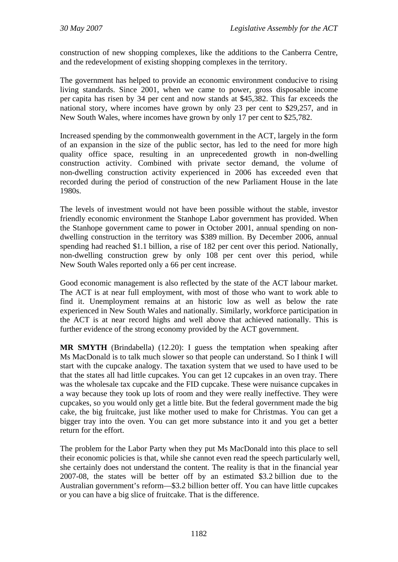construction of new shopping complexes, like the additions to the Canberra Centre, and the redevelopment of existing shopping complexes in the territory.

The government has helped to provide an economic environment conducive to rising living standards. Since 2001, when we came to power, gross disposable income per capita has risen by 34 per cent and now stands at \$45,382. This far exceeds the national story, where incomes have grown by only 23 per cent to \$29,257, and in New South Wales, where incomes have grown by only 17 per cent to \$25,782.

Increased spending by the commonwealth government in the ACT, largely in the form of an expansion in the size of the public sector, has led to the need for more high quality office space, resulting in an unprecedented growth in non-dwelling construction activity. Combined with private sector demand, the volume of non-dwelling construction activity experienced in 2006 has exceeded even that recorded during the period of construction of the new Parliament House in the late 1980s.

The levels of investment would not have been possible without the stable, investor friendly economic environment the Stanhope Labor government has provided. When the Stanhope government came to power in October 2001, annual spending on nondwelling construction in the territory was \$389 million. By December 2006, annual spending had reached \$1.1 billion, a rise of 182 per cent over this period. Nationally, non-dwelling construction grew by only 108 per cent over this period, while New South Wales reported only a 66 per cent increase.

Good economic management is also reflected by the state of the ACT labour market. The ACT is at near full employment, with most of those who want to work able to find it. Unemployment remains at an historic low as well as below the rate experienced in New South Wales and nationally. Similarly, workforce participation in the ACT is at near record highs and well above that achieved nationally. This is further evidence of the strong economy provided by the ACT government.

**MR SMYTH** (Brindabella) (12.20): I guess the temptation when speaking after Ms MacDonald is to talk much slower so that people can understand. So I think I will start with the cupcake analogy. The taxation system that we used to have used to be that the states all had little cupcakes. You can get 12 cupcakes in an oven tray. There was the wholesale tax cupcake and the FID cupcake. These were nuisance cupcakes in a way because they took up lots of room and they were really ineffective. They were cupcakes, so you would only get a little bite. But the federal government made the big cake, the big fruitcake, just like mother used to make for Christmas. You can get a bigger tray into the oven. You can get more substance into it and you get a better return for the effort.

The problem for the Labor Party when they put Ms MacDonald into this place to sell their economic policies is that, while she cannot even read the speech particularly well, she certainly does not understand the content. The reality is that in the financial year 2007-08, the states will be better off by an estimated \$3.2 billion due to the Australian government's reform—\$3.2 billion better off. You can have little cupcakes or you can have a big slice of fruitcake. That is the difference.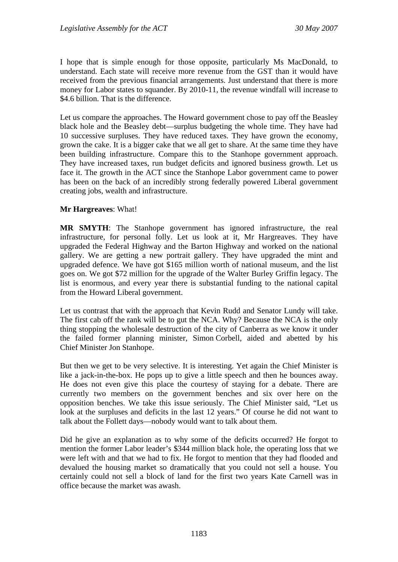I hope that is simple enough for those opposite, particularly Ms MacDonald, to understand. Each state will receive more revenue from the GST than it would have received from the previous financial arrangements. Just understand that there is more money for Labor states to squander. By 2010-11, the revenue windfall will increase to \$4.6 billion. That is the difference.

Let us compare the approaches. The Howard government chose to pay off the Beasley black hole and the Beasley debt—surplus budgeting the whole time. They have had 10 successive surpluses. They have reduced taxes. They have grown the economy, grown the cake. It is a bigger cake that we all get to share. At the same time they have been building infrastructure. Compare this to the Stanhope government approach. They have increased taxes, run budget deficits and ignored business growth. Let us face it. The growth in the ACT since the Stanhope Labor government came to power has been on the back of an incredibly strong federally powered Liberal government creating jobs, wealth and infrastructure.

#### **Mr Hargreaves**: What!

**MR SMYTH**: The Stanhope government has ignored infrastructure, the real infrastructure, for personal folly. Let us look at it, Mr Hargreaves. They have upgraded the Federal Highway and the Barton Highway and worked on the national gallery. We are getting a new portrait gallery. They have upgraded the mint and upgraded defence. We have got \$165 million worth of national museum, and the list goes on. We got \$72 million for the upgrade of the Walter Burley Griffin legacy. The list is enormous, and every year there is substantial funding to the national capital from the Howard Liberal government.

Let us contrast that with the approach that Kevin Rudd and Senator Lundy will take. The first cab off the rank will be to gut the NCA. Why? Because the NCA is the only thing stopping the wholesale destruction of the city of Canberra as we know it under the failed former planning minister, Simon Corbell, aided and abetted by his Chief Minister Jon Stanhope.

But then we get to be very selective. It is interesting. Yet again the Chief Minister is like a jack-in-the-box. He pops up to give a little speech and then he bounces away. He does not even give this place the courtesy of staying for a debate. There are currently two members on the government benches and six over here on the opposition benches. We take this issue seriously. The Chief Minister said, "Let us look at the surpluses and deficits in the last 12 years." Of course he did not want to talk about the Follett days—nobody would want to talk about them.

Did he give an explanation as to why some of the deficits occurred? He forgot to mention the former Labor leader's \$344 million black hole, the operating loss that we were left with and that we had to fix. He forgot to mention that they had flooded and devalued the housing market so dramatically that you could not sell a house. You certainly could not sell a block of land for the first two years Kate Carnell was in office because the market was awash.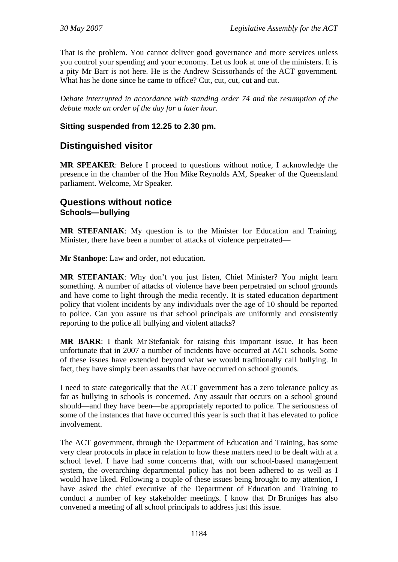<span id="page-35-0"></span>That is the problem. You cannot deliver good governance and more services unless you control your spending and your economy. Let us look at one of the ministers. It is a pity Mr Barr is not here. He is the Andrew Scissorhands of the ACT government. What has he done since he came to office? Cut, cut, cut, cut and cut.

*Debate interrupted in accordance with standing order 74 and the resumption of the debate made an order of the day for a later hour.* 

#### **Sitting suspended from 12.25 to 2.30 pm.**

# **Distinguished visitor**

**MR SPEAKER**: Before I proceed to questions without notice, I acknowledge the presence in the chamber of the Hon Mike Reynolds AM, Speaker of the Queensland parliament. Welcome, Mr Speaker.

## **Questions without notice Schools—bullying**

**MR STEFANIAK**: My question is to the Minister for Education and Training. Minister, there have been a number of attacks of violence perpetrated—

**Mr Stanhope**: Law and order, not education.

**MR STEFANIAK**: Why don't you just listen, Chief Minister? You might learn something. A number of attacks of violence have been perpetrated on school grounds and have come to light through the media recently. It is stated education department policy that violent incidents by any individuals over the age of 10 should be reported to police. Can you assure us that school principals are uniformly and consistently reporting to the police all bullying and violent attacks?

**MR BARR**: I thank Mr Stefaniak for raising this important issue. It has been unfortunate that in 2007 a number of incidents have occurred at ACT schools. Some of these issues have extended beyond what we would traditionally call bullying. In fact, they have simply been assaults that have occurred on school grounds.

I need to state categorically that the ACT government has a zero tolerance policy as far as bullying in schools is concerned. Any assault that occurs on a school ground should—and they have been—be appropriately reported to police. The seriousness of some of the instances that have occurred this year is such that it has elevated to police involvement.

The ACT government, through the Department of Education and Training, has some very clear protocols in place in relation to how these matters need to be dealt with at a school level. I have had some concerns that, with our school-based management system, the overarching departmental policy has not been adhered to as well as I would have liked. Following a couple of these issues being brought to my attention, I have asked the chief executive of the Department of Education and Training to conduct a number of key stakeholder meetings. I know that Dr Bruniges has also convened a meeting of all school principals to address just this issue.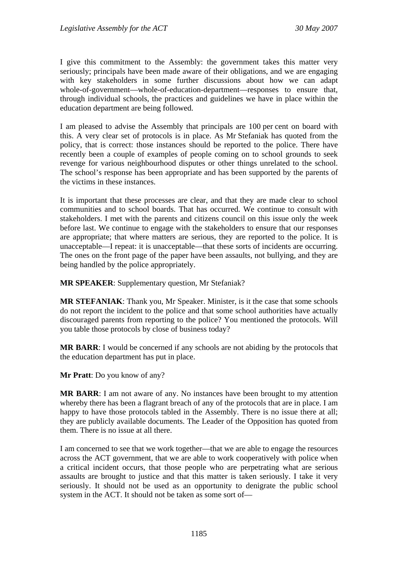I give this commitment to the Assembly: the government takes this matter very seriously; principals have been made aware of their obligations, and we are engaging with key stakeholders in some further discussions about how we can adapt whole-of-government—whole-of-education-department—responses to ensure that, through individual schools, the practices and guidelines we have in place within the education department are being followed.

I am pleased to advise the Assembly that principals are 100 per cent on board with this. A very clear set of protocols is in place. As Mr Stefaniak has quoted from the policy, that is correct: those instances should be reported to the police. There have recently been a couple of examples of people coming on to school grounds to seek revenge for various neighbourhood disputes or other things unrelated to the school. The school's response has been appropriate and has been supported by the parents of the victims in these instances.

It is important that these processes are clear, and that they are made clear to school communities and to school boards. That has occurred. We continue to consult with stakeholders. I met with the parents and citizens council on this issue only the week before last. We continue to engage with the stakeholders to ensure that our responses are appropriate; that where matters are serious, they are reported to the police. It is unacceptable—I repeat: it is unacceptable—that these sorts of incidents are occurring. The ones on the front page of the paper have been assaults, not bullying, and they are being handled by the police appropriately.

**MR SPEAKER**: Supplementary question, Mr Stefaniak?

**MR STEFANIAK**: Thank you, Mr Speaker. Minister, is it the case that some schools do not report the incident to the police and that some school authorities have actually discouraged parents from reporting to the police? You mentioned the protocols. Will you table those protocols by close of business today?

**MR BARR**: I would be concerned if any schools are not abiding by the protocols that the education department has put in place.

**Mr Pratt**: Do you know of any?

**MR BARR**: I am not aware of any. No instances have been brought to my attention whereby there has been a flagrant breach of any of the protocols that are in place. I am happy to have those protocols tabled in the Assembly. There is no issue there at all; they are publicly available documents. The Leader of the Opposition has quoted from them. There is no issue at all there.

I am concerned to see that we work together—that we are able to engage the resources across the ACT government, that we are able to work cooperatively with police when a critical incident occurs, that those people who are perpetrating what are serious assaults are brought to justice and that this matter is taken seriously. I take it very seriously. It should not be used as an opportunity to denigrate the public school system in the ACT. It should not be taken as some sort of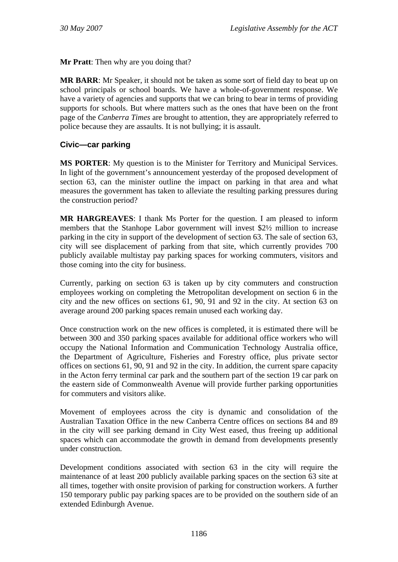**Mr Pratt**: Then why are you doing that?

**MR BARR**: Mr Speaker, it should not be taken as some sort of field day to beat up on school principals or school boards. We have a whole-of-government response. We have a variety of agencies and supports that we can bring to bear in terms of providing supports for schools. But where matters such as the ones that have been on the front page of the *Canberra Times* are brought to attention, they are appropriately referred to police because they are assaults. It is not bullying; it is assault.

## **Civic—car parking**

**MS PORTER**: My question is to the Minister for Territory and Municipal Services. In light of the government's announcement yesterday of the proposed development of section 63, can the minister outline the impact on parking in that area and what measures the government has taken to alleviate the resulting parking pressures during the construction period?

**MR HARGREAVES**: I thank Ms Porter for the question. I am pleased to inform members that the Stanhope Labor government will invest \$2½ million to increase parking in the city in support of the development of section 63. The sale of section 63, city will see displacement of parking from that site, which currently provides 700 publicly available multistay pay parking spaces for working commuters, visitors and those coming into the city for business.

Currently, parking on section 63 is taken up by city commuters and construction employees working on completing the Metropolitan development on section 6 in the city and the new offices on sections 61, 90, 91 and 92 in the city. At section 63 on average around 200 parking spaces remain unused each working day.

Once construction work on the new offices is completed, it is estimated there will be between 300 and 350 parking spaces available for additional office workers who will occupy the National Information and Communication Technology Australia office, the Department of Agriculture, Fisheries and Forestry office, plus private sector offices on sections 61, 90, 91 and 92 in the city. In addition, the current spare capacity in the Acton ferry terminal car park and the southern part of the section 19 car park on the eastern side of Commonwealth Avenue will provide further parking opportunities for commuters and visitors alike.

Movement of employees across the city is dynamic and consolidation of the Australian Taxation Office in the new Canberra Centre offices on sections 84 and 89 in the city will see parking demand in City West eased, thus freeing up additional spaces which can accommodate the growth in demand from developments presently under construction.

Development conditions associated with section 63 in the city will require the maintenance of at least 200 publicly available parking spaces on the section 63 site at all times, together with onsite provision of parking for construction workers. A further 150 temporary public pay parking spaces are to be provided on the southern side of an extended Edinburgh Avenue.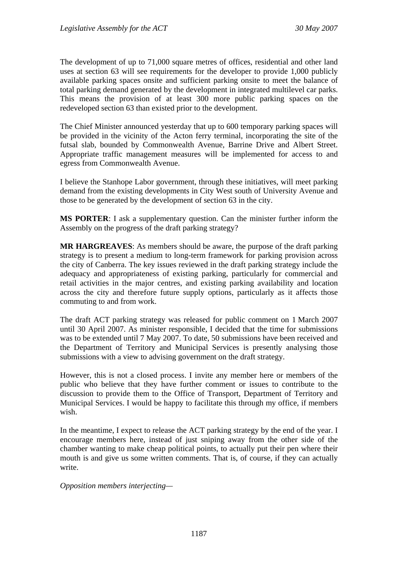The development of up to 71,000 square metres of offices, residential and other land uses at section 63 will see requirements for the developer to provide 1,000 publicly available parking spaces onsite and sufficient parking onsite to meet the balance of total parking demand generated by the development in integrated multilevel car parks. This means the provision of at least 300 more public parking spaces on the redeveloped section 63 than existed prior to the development.

The Chief Minister announced yesterday that up to 600 temporary parking spaces will be provided in the vicinity of the Acton ferry terminal, incorporating the site of the futsal slab, bounded by Commonwealth Avenue, Barrine Drive and Albert Street. Appropriate traffic management measures will be implemented for access to and egress from Commonwealth Avenue.

I believe the Stanhope Labor government, through these initiatives, will meet parking demand from the existing developments in City West south of University Avenue and those to be generated by the development of section 63 in the city.

**MS PORTER**: I ask a supplementary question. Can the minister further inform the Assembly on the progress of the draft parking strategy?

**MR HARGREAVES**: As members should be aware, the purpose of the draft parking strategy is to present a medium to long-term framework for parking provision across the city of Canberra. The key issues reviewed in the draft parking strategy include the adequacy and appropriateness of existing parking, particularly for commercial and retail activities in the major centres, and existing parking availability and location across the city and therefore future supply options, particularly as it affects those commuting to and from work.

The draft ACT parking strategy was released for public comment on 1 March 2007 until 30 April 2007. As minister responsible, I decided that the time for submissions was to be extended until 7 May 2007. To date, 50 submissions have been received and the Department of Territory and Municipal Services is presently analysing those submissions with a view to advising government on the draft strategy.

However, this is not a closed process. I invite any member here or members of the public who believe that they have further comment or issues to contribute to the discussion to provide them to the Office of Transport, Department of Territory and Municipal Services. I would be happy to facilitate this through my office, if members wish.

In the meantime, I expect to release the ACT parking strategy by the end of the year. I encourage members here, instead of just sniping away from the other side of the chamber wanting to make cheap political points, to actually put their pen where their mouth is and give us some written comments. That is, of course, if they can actually write.

*Opposition members interjecting—*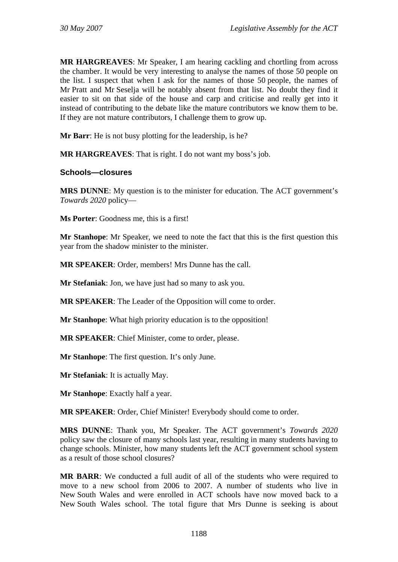**MR HARGREAVES**: Mr Speaker, I am hearing cackling and chortling from across the chamber. It would be very interesting to analyse the names of those 50 people on the list. I suspect that when I ask for the names of those 50 people, the names of Mr Pratt and Mr Seselja will be notably absent from that list. No doubt they find it easier to sit on that side of the house and carp and criticise and really get into it instead of contributing to the debate like the mature contributors we know them to be. If they are not mature contributors, I challenge them to grow up.

**Mr Barr**: He is not busy plotting for the leadership, is he?

**MR HARGREAVES**: That is right. I do not want my boss's job.

## **Schools—closures**

**MRS DUNNE**: My question is to the minister for education. The ACT government's *Towards 2020* policy—

**Ms Porter**: Goodness me, this is a first!

**Mr Stanhope**: Mr Speaker, we need to note the fact that this is the first question this year from the shadow minister to the minister.

**MR SPEAKER**: Order, members! Mrs Dunne has the call.

**Mr Stefaniak**: Jon, we have just had so many to ask you.

**MR SPEAKER**: The Leader of the Opposition will come to order.

**Mr Stanhope**: What high priority education is to the opposition!

**MR SPEAKER**: Chief Minister, come to order, please.

**Mr Stanhope**: The first question. It's only June.

**Mr Stefaniak**: It is actually May.

**Mr Stanhope**: Exactly half a year.

**MR SPEAKER**: Order, Chief Minister! Everybody should come to order.

**MRS DUNNE**: Thank you, Mr Speaker. The ACT government's *Towards 2020* policy saw the closure of many schools last year, resulting in many students having to change schools. Minister, how many students left the ACT government school system as a result of those school closures?

**MR BARR**: We conducted a full audit of all of the students who were required to move to a new school from 2006 to 2007. A number of students who live in New South Wales and were enrolled in ACT schools have now moved back to a New South Wales school. The total figure that Mrs Dunne is seeking is about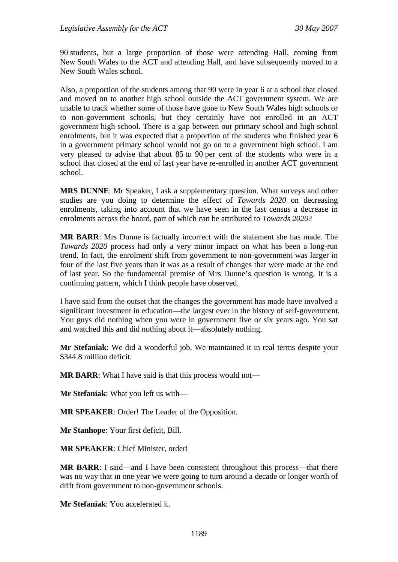90 students, but a large proportion of those were attending Hall, coming from New South Wales to the ACT and attending Hall, and have subsequently moved to a New South Wales school.

Also, a proportion of the students among that 90 were in year 6 at a school that closed and moved on to another high school outside the ACT government system. We are unable to track whether some of those have gone to New South Wales high schools or to non-government schools, but they certainly have not enrolled in an ACT government high school. There is a gap between our primary school and high school enrolments, but it was expected that a proportion of the students who finished year 6 in a government primary school would not go on to a government high school. I am very pleased to advise that about 85 to 90 per cent of the students who were in a school that closed at the end of last year have re-enrolled in another ACT government school.

**MRS DUNNE**: Mr Speaker, I ask a supplementary question. What surveys and other studies are you doing to determine the effect of *Towards 2020* on decreasing enrolments, taking into account that we have seen in the last census a decrease in enrolments across the board, part of which can be attributed to *Towards 2020*?

**MR BARR**: Mrs Dunne is factually incorrect with the statement she has made. The *Towards 2020* process had only a very minor impact on what has been a long-run trend. In fact, the enrolment shift from government to non-government was larger in four of the last five years than it was as a result of changes that were made at the end of last year. So the fundamental premise of Mrs Dunne's question is wrong. It is a continuing pattern, which I think people have observed.

I have said from the outset that the changes the government has made have involved a significant investment in education—the largest ever in the history of self-government. You guys did nothing when you were in government five or six years ago. You sat and watched this and did nothing about it—absolutely nothing.

**Mr Stefaniak**: We did a wonderful job. We maintained it in real terms despite your \$344.8 million deficit.

**MR BARR**: What I have said is that this process would not—

**Mr Stefaniak**: What you left us with—

**MR SPEAKER**: Order! The Leader of the Opposition.

**Mr Stanhope**: Your first deficit, Bill.

**MR SPEAKER**: Chief Minister, order!

**MR BARR:** I said—and I have been consistent throughout this process—that there was no way that in one year we were going to turn around a decade or longer worth of drift from government to non-government schools.

**Mr Stefaniak**: You accelerated it.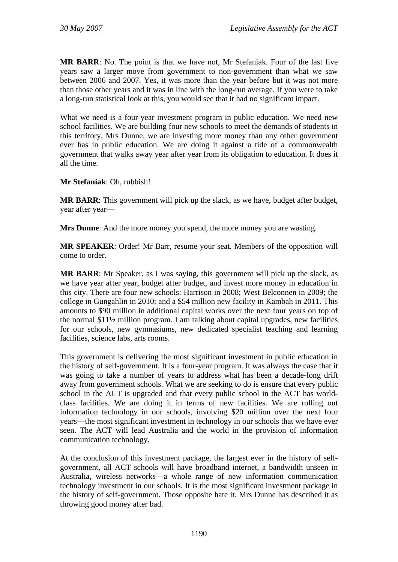**MR BARR**: No. The point is that we have not, Mr Stefaniak. Four of the last five years saw a larger move from government to non-government than what we saw between 2006 and 2007. Yes, it was more than the year before but it was not more than those other years and it was in line with the long-run average. If you were to take a long-run statistical look at this, you would see that it had no significant impact.

What we need is a four-year investment program in public education. We need new school facilities. We are building four new schools to meet the demands of students in this territory. Mrs Dunne, we are investing more money than any other government ever has in public education. We are doing it against a tide of a commonwealth government that walks away year after year from its obligation to education. It does it all the time.

### **Mr Stefaniak**: Oh, rubbish!

**MR BARR**: This government will pick up the slack, as we have, budget after budget, year after year—

**Mrs Dunne**: And the more money you spend, the more money you are wasting.

**MR SPEAKER**: Order! Mr Barr, resume your seat. Members of the opposition will come to order.

**MR BARR**: Mr Speaker, as I was saying, this government will pick up the slack, as we have year after year, budget after budget, and invest more money in education in this city. There are four new schools: Harrison in 2008; West Belconnen in 2009; the college in Gungahlin in 2010; and a \$54 million new facility in Kambah in 2011. This amounts to \$90 million in additional capital works over the next four years on top of the normal \$11½ million program. I am talking about capital upgrades, new facilities for our schools, new gymnasiums, new dedicated specialist teaching and learning facilities, science labs, arts rooms.

This government is delivering the most significant investment in public education in the history of self-government. It is a four-year program. It was always the case that it was going to take a number of years to address what has been a decade-long drift away from government schools. What we are seeking to do is ensure that every public school in the ACT is upgraded and that every public school in the ACT has worldclass facilities. We are doing it in terms of new facilities. We are rolling out information technology in our schools, involving \$20 million over the next four years—the most significant investment in technology in our schools that we have ever seen. The ACT will lead Australia and the world in the provision of information communication technology.

At the conclusion of this investment package, the largest ever in the history of selfgovernment, all ACT schools will have broadband internet, a bandwidth unseen in Australia, wireless networks—a whole range of new information communication technology investment in our schools. It is the most significant investment package in the history of self-government. Those opposite hate it. Mrs Dunne has described it as throwing good money after bad.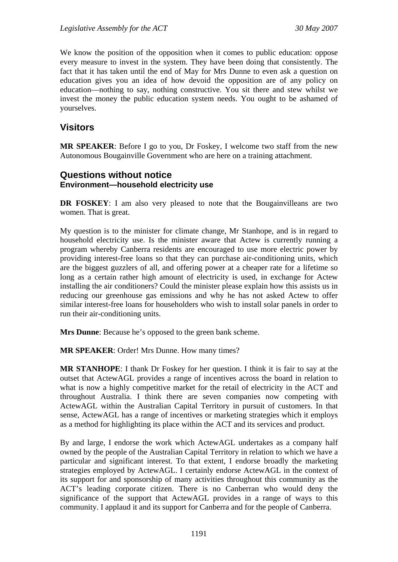We know the position of the opposition when it comes to public education: oppose every measure to invest in the system. They have been doing that consistently. The fact that it has taken until the end of May for Mrs Dunne to even ask a question on education gives you an idea of how devoid the opposition are of any policy on education—nothing to say, nothing constructive. You sit there and stew whilst we invest the money the public education system needs. You ought to be ashamed of yourselves.

# **Visitors**

**MR SPEAKER**: Before I go to you, Dr Foskey, I welcome two staff from the new Autonomous Bougainville Government who are here on a training attachment.

## **Questions without notice Environment—household electricity use**

**DR FOSKEY**: I am also very pleased to note that the Bougainvilleans are two women. That is great.

My question is to the minister for climate change, Mr Stanhope, and is in regard to household electricity use. Is the minister aware that Actew is currently running a program whereby Canberra residents are encouraged to use more electric power by providing interest-free loans so that they can purchase air-conditioning units, which are the biggest guzzlers of all, and offering power at a cheaper rate for a lifetime so long as a certain rather high amount of electricity is used, in exchange for Actew installing the air conditioners? Could the minister please explain how this assists us in reducing our greenhouse gas emissions and why he has not asked Actew to offer similar interest-free loans for householders who wish to install solar panels in order to run their air-conditioning units.

**Mrs Dunne**: Because he's opposed to the green bank scheme.

**MR SPEAKER**: Order! Mrs Dunne. How many times?

**MR STANHOPE**: I thank Dr Foskey for her question. I think it is fair to say at the outset that ActewAGL provides a range of incentives across the board in relation to what is now a highly competitive market for the retail of electricity in the ACT and throughout Australia. I think there are seven companies now competing with ActewAGL within the Australian Capital Territory in pursuit of customers. In that sense, ActewAGL has a range of incentives or marketing strategies which it employs as a method for highlighting its place within the ACT and its services and product.

By and large, I endorse the work which ActewAGL undertakes as a company half owned by the people of the Australian Capital Territory in relation to which we have a particular and significant interest. To that extent, I endorse broadly the marketing strategies employed by ActewAGL. I certainly endorse ActewAGL in the context of its support for and sponsorship of many activities throughout this community as the ACT's leading corporate citizen. There is no Canberran who would deny the significance of the support that ActewAGL provides in a range of ways to this community. I applaud it and its support for Canberra and for the people of Canberra.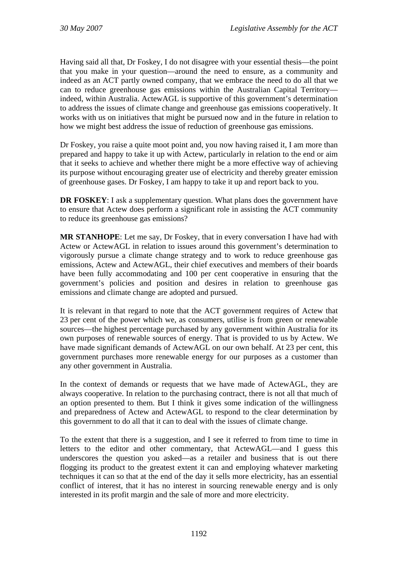Having said all that, Dr Foskey, I do not disagree with your essential thesis—the point that you make in your question—around the need to ensure, as a community and indeed as an ACT partly owned company, that we embrace the need to do all that we can to reduce greenhouse gas emissions within the Australian Capital Territory indeed, within Australia. ActewAGL is supportive of this government's determination to address the issues of climate change and greenhouse gas emissions cooperatively. It works with us on initiatives that might be pursued now and in the future in relation to how we might best address the issue of reduction of greenhouse gas emissions.

Dr Foskey, you raise a quite moot point and, you now having raised it, I am more than prepared and happy to take it up with Actew, particularly in relation to the end or aim that it seeks to achieve and whether there might be a more effective way of achieving its purpose without encouraging greater use of electricity and thereby greater emission of greenhouse gases. Dr Foskey, I am happy to take it up and report back to you.

**DR FOSKEY**: I ask a supplementary question. What plans does the government have to ensure that Actew does perform a significant role in assisting the ACT community to reduce its greenhouse gas emissions?

**MR STANHOPE**: Let me say, Dr Foskey, that in every conversation I have had with Actew or ActewAGL in relation to issues around this government's determination to vigorously pursue a climate change strategy and to work to reduce greenhouse gas emissions, Actew and ActewAGL, their chief executives and members of their boards have been fully accommodating and 100 per cent cooperative in ensuring that the government's policies and position and desires in relation to greenhouse gas emissions and climate change are adopted and pursued.

It is relevant in that regard to note that the ACT government requires of Actew that 23 per cent of the power which we, as consumers, utilise is from green or renewable sources—the highest percentage purchased by any government within Australia for its own purposes of renewable sources of energy. That is provided to us by Actew. We have made significant demands of ActewAGL on our own behalf. At 23 per cent, this government purchases more renewable energy for our purposes as a customer than any other government in Australia.

In the context of demands or requests that we have made of ActewAGL, they are always cooperative. In relation to the purchasing contract, there is not all that much of an option presented to them. But I think it gives some indication of the willingness and preparedness of Actew and ActewAGL to respond to the clear determination by this government to do all that it can to deal with the issues of climate change.

To the extent that there is a suggestion, and I see it referred to from time to time in letters to the editor and other commentary, that ActewAGL—and I guess this underscores the question you asked—as a retailer and business that is out there flogging its product to the greatest extent it can and employing whatever marketing techniques it can so that at the end of the day it sells more electricity, has an essential conflict of interest, that it has no interest in sourcing renewable energy and is only interested in its profit margin and the sale of more and more electricity.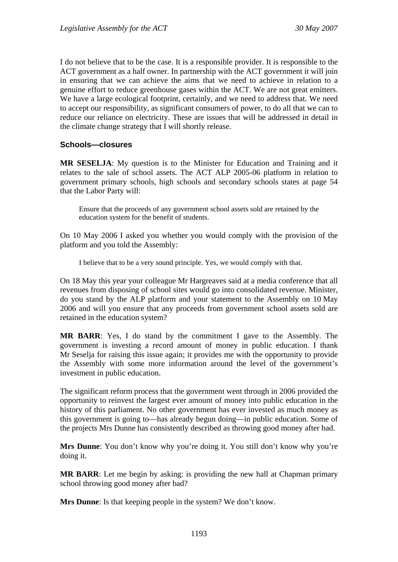I do not believe that to be the case. It is a responsible provider. It is responsible to the ACT government as a half owner. In partnership with the ACT government it will join in ensuring that we can achieve the aims that we need to achieve in relation to a genuine effort to reduce greenhouse gases within the ACT. We are not great emitters. We have a large ecological footprint, certainly, and we need to address that. We need to accept our responsibility, as significant consumers of power, to do all that we can to reduce our reliance on electricity. These are issues that will be addressed in detail in the climate change strategy that I will shortly release.

### **Schools—closures**

**MR SESELJA**: My question is to the Minister for Education and Training and it relates to the sale of school assets. The ACT ALP 2005-06 platform in relation to government primary schools, high schools and secondary schools states at page 54 that the Labor Party will:

Ensure that the proceeds of any government school assets sold are retained by the education system for the benefit of students.

On 10 May 2006 I asked you whether you would comply with the provision of the platform and you told the Assembly:

I believe that to be a very sound principle. Yes, we would comply with that.

On 18 May this year your colleague Mr Hargreaves said at a media conference that all revenues from disposing of school sites would go into consolidated revenue. Minister, do you stand by the ALP platform and your statement to the Assembly on 10 May 2006 and will you ensure that any proceeds from government school assets sold are retained in the education system?

**MR BARR**: Yes, I do stand by the commitment I gave to the Assembly. The government is investing a record amount of money in public education. I thank Mr Seselja for raising this issue again; it provides me with the opportunity to provide the Assembly with some more information around the level of the government's investment in public education.

The significant reform process that the government went through in 2006 provided the opportunity to reinvest the largest ever amount of money into public education in the history of this parliament. No other government has ever invested as much money as this government is going to—has already begun doing—in public education. Some of the projects Mrs Dunne has consistently described as throwing good money after bad.

**Mrs Dunne**: You don't know why you're doing it. You still don't know why you're doing it.

**MR BARR:** Let me begin by asking: is providing the new hall at Chapman primary school throwing good money after bad?

**Mrs Dunne**: Is that keeping people in the system? We don't know.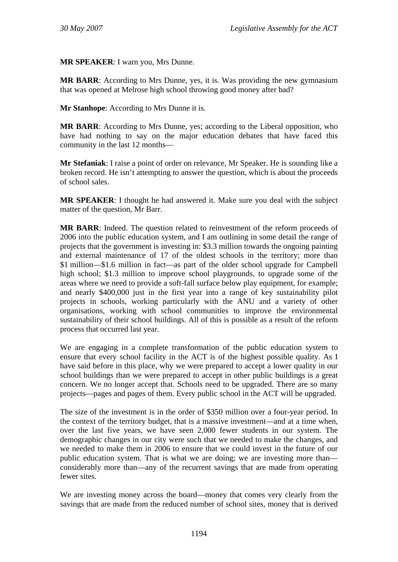**MR SPEAKER**: I warn you, Mrs Dunne.

**MR BARR**: According to Mrs Dunne, yes, it is. Was providing the new gymnasium that was opened at Melrose high school throwing good money after bad?

**Mr Stanhope**: According to Mrs Dunne it is.

**MR BARR**: According to Mrs Dunne, yes; according to the Liberal opposition, who have had nothing to say on the major education debates that have faced this community in the last 12 months—

**Mr Stefaniak**: I raise a point of order on relevance, Mr Speaker. He is sounding like a broken record. He isn't attempting to answer the question, which is about the proceeds of school sales.

**MR SPEAKER**: I thought he had answered it. Make sure you deal with the subject matter of the question, Mr Barr.

**MR BARR**: Indeed. The question related to reinvestment of the reform proceeds of 2006 into the public education system, and I am outlining in some detail the range of projects that the government is investing in: \$3.3 million towards the ongoing painting and external maintenance of 17 of the oldest schools in the territory; more than \$1 million—\$1.6 million in fact—as part of the older school upgrade for Campbell high school; \$1.3 million to improve school playgrounds, to upgrade some of the areas where we need to provide a soft-fall surface below play equipment, for example; and nearly \$400,000 just in the first year into a range of key sustainability pilot projects in schools, working particularly with the ANU and a variety of other organisations, working with school communities to improve the environmental sustainability of their school buildings. All of this is possible as a result of the reform process that occurred last year.

We are engaging in a complete transformation of the public education system to ensure that every school facility in the ACT is of the highest possible quality. As I have said before in this place, why we were prepared to accept a lower quality in our school buildings than we were prepared to accept in other public buildings is a great concern. We no longer accept that. Schools need to be upgraded. There are so many projects—pages and pages of them. Every public school in the ACT will be upgraded.

The size of the investment is in the order of \$350 million over a four-year period. In the context of the territory budget, that is a massive investment—and at a time when, over the last five years, we have seen 2,000 fewer students in our system. The demographic changes in our city were such that we needed to make the changes, and we needed to make them in 2006 to ensure that we could invest in the future of our public education system. That is what we are doing; we are investing more than considerably more than—any of the recurrent savings that are made from operating fewer sites.

We are investing money across the board—money that comes very clearly from the savings that are made from the reduced number of school sites, money that is derived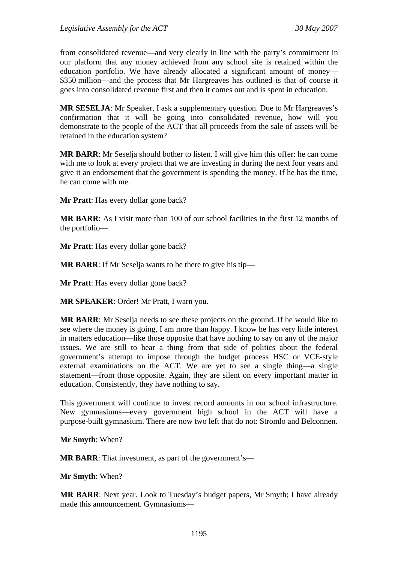from consolidated revenue—and very clearly in line with the party's commitment in our platform that any money achieved from any school site is retained within the education portfolio. We have already allocated a significant amount of money— \$350 million—and the process that Mr Hargreaves has outlined is that of course it goes into consolidated revenue first and then it comes out and is spent in education.

**MR SESELJA**: Mr Speaker, I ask a supplementary question. Due to Mr Hargreaves's confirmation that it will be going into consolidated revenue, how will you demonstrate to the people of the ACT that all proceeds from the sale of assets will be retained in the education system?

**MR BARR**: Mr Seselja should bother to listen. I will give him this offer: he can come with me to look at every project that we are investing in during the next four years and give it an endorsement that the government is spending the money. If he has the time, he can come with me.

**Mr Pratt**: Has every dollar gone back?

**MR BARR**: As I visit more than 100 of our school facilities in the first 12 months of the portfolio—

**Mr Pratt**: Has every dollar gone back?

**MR BARR**: If Mr Seselja wants to be there to give his tip—

**Mr Pratt**: Has every dollar gone back?

**MR SPEAKER**: Order! Mr Pratt, I warn you.

**MR BARR**: Mr Seselja needs to see these projects on the ground. If he would like to see where the money is going, I am more than happy. I know he has very little interest in matters education—like those opposite that have nothing to say on any of the major issues. We are still to hear a thing from that side of politics about the federal government's attempt to impose through the budget process HSC or VCE-style external examinations on the ACT. We are yet to see a single thing—a single statement—from those opposite. Again, they are silent on every important matter in education. Consistently, they have nothing to say.

This government will continue to invest record amounts in our school infrastructure. New gymnasiums—every government high school in the ACT will have a purpose-built gymnasium. There are now two left that do not: Stromlo and Belconnen.

**Mr Smyth**: When?

**MR BARR**: That investment, as part of the government's—

**Mr Smyth**: When?

**MR BARR**: Next year. Look to Tuesday's budget papers, Mr Smyth; I have already made this announcement. Gymnasiums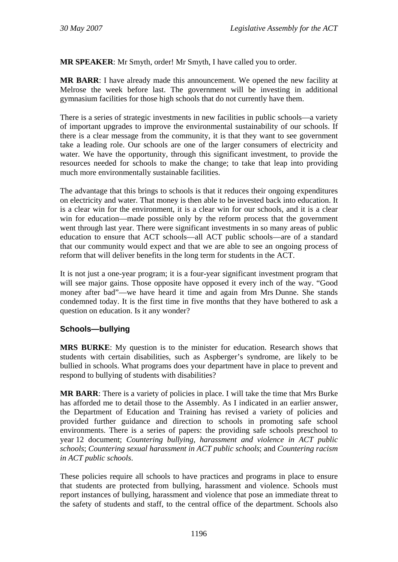**MR SPEAKER**: Mr Smyth, order! Mr Smyth, I have called you to order.

**MR BARR**: I have already made this announcement. We opened the new facility at Melrose the week before last. The government will be investing in additional gymnasium facilities for those high schools that do not currently have them.

There is a series of strategic investments in new facilities in public schools—a variety of important upgrades to improve the environmental sustainability of our schools. If there is a clear message from the community, it is that they want to see government take a leading role. Our schools are one of the larger consumers of electricity and water. We have the opportunity, through this significant investment, to provide the resources needed for schools to make the change; to take that leap into providing much more environmentally sustainable facilities.

The advantage that this brings to schools is that it reduces their ongoing expenditures on electricity and water. That money is then able to be invested back into education. It is a clear win for the environment, it is a clear win for our schools, and it is a clear win for education—made possible only by the reform process that the government went through last year. There were significant investments in so many areas of public education to ensure that ACT schools—all ACT public schools—are of a standard that our community would expect and that we are able to see an ongoing process of reform that will deliver benefits in the long term for students in the ACT.

It is not just a one-year program; it is a four-year significant investment program that will see major gains. Those opposite have opposed it every inch of the way. "Good money after bad"—we have heard it time and again from Mrs Dunne. She stands condemned today. It is the first time in five months that they have bothered to ask a question on education. Is it any wonder?

### **Schools—bullying**

**MRS BURKE**: My question is to the minister for education. Research shows that students with certain disabilities, such as Aspberger's syndrome, are likely to be bullied in schools. What programs does your department have in place to prevent and respond to bullying of students with disabilities?

**MR BARR:** There is a variety of policies in place. I will take the time that Mrs Burke has afforded me to detail those to the Assembly. As I indicated in an earlier answer, the Department of Education and Training has revised a variety of policies and provided further guidance and direction to schools in promoting safe school environments. There is a series of papers: the providing safe schools preschool to year 12 document; *Countering bullying, harassment and violence in ACT public schools*; *Countering sexual harassment in ACT public schools*; and *Countering racism in ACT public schools*.

These policies require all schools to have practices and programs in place to ensure that students are protected from bullying, harassment and violence. Schools must report instances of bullying, harassment and violence that pose an immediate threat to the safety of students and staff, to the central office of the department. Schools also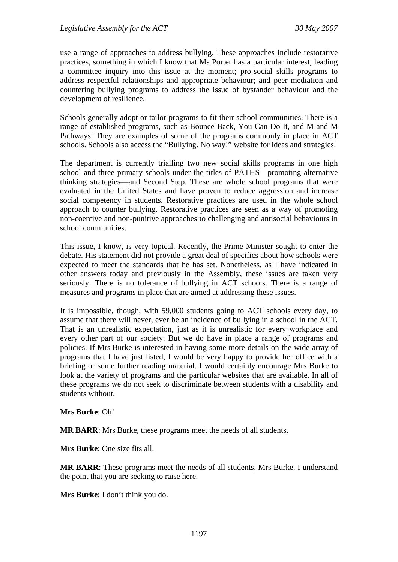use a range of approaches to address bullying. These approaches include restorative practices, something in which I know that Ms Porter has a particular interest, leading a committee inquiry into this issue at the moment; pro-social skills programs to address respectful relationships and appropriate behaviour; and peer mediation and countering bullying programs to address the issue of bystander behaviour and the development of resilience.

Schools generally adopt or tailor programs to fit their school communities. There is a range of established programs, such as Bounce Back, You Can Do It, and M and M Pathways. They are examples of some of the programs commonly in place in ACT schools. Schools also access the "Bullying. No way!" website for ideas and strategies.

The department is currently trialling two new social skills programs in one high school and three primary schools under the titles of PATHS—promoting alternative thinking strategies—and Second Step. These are whole school programs that were evaluated in the United States and have proven to reduce aggression and increase social competency in students. Restorative practices are used in the whole school approach to counter bullying. Restorative practices are seen as a way of promoting non-coercive and non-punitive approaches to challenging and antisocial behaviours in school communities.

This issue, I know, is very topical. Recently, the Prime Minister sought to enter the debate. His statement did not provide a great deal of specifics about how schools were expected to meet the standards that he has set. Nonetheless, as I have indicated in other answers today and previously in the Assembly, these issues are taken very seriously. There is no tolerance of bullying in ACT schools. There is a range of measures and programs in place that are aimed at addressing these issues.

It is impossible, though, with 59,000 students going to ACT schools every day, to assume that there will never, ever be an incidence of bullying in a school in the ACT. That is an unrealistic expectation, just as it is unrealistic for every workplace and every other part of our society. But we do have in place a range of programs and policies. If Mrs Burke is interested in having some more details on the wide array of programs that I have just listed, I would be very happy to provide her office with a briefing or some further reading material. I would certainly encourage Mrs Burke to look at the variety of programs and the particular websites that are available. In all of these programs we do not seek to discriminate between students with a disability and students without.

**Mrs Burke**: Oh!

**MR BARR**: Mrs Burke, these programs meet the needs of all students.

**Mrs Burke**: One size fits all.

**MR BARR**: These programs meet the needs of all students, Mrs Burke. I understand the point that you are seeking to raise here.

**Mrs Burke**: I don't think you do.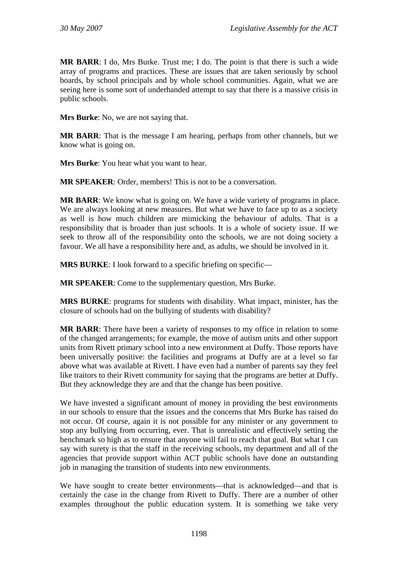**MR BARR**: I do, Mrs Burke. Trust me; I do. The point is that there is such a wide array of programs and practices. These are issues that are taken seriously by school boards, by school principals and by whole school communities. Again, what we are seeing here is some sort of underhanded attempt to say that there is a massive crisis in public schools.

**Mrs Burke**: No, we are not saying that.

**MR BARR:** That is the message I am hearing, perhaps from other channels, but we know what is going on.

**Mrs Burke**: You hear what you want to hear.

**MR SPEAKER**: Order, members! This is not to be a conversation.

**MR BARR**: We know what is going on. We have a wide variety of programs in place. We are always looking at new measures. But what we have to face up to as a society as well is how much children are mimicking the behaviour of adults. That is a responsibility that is broader than just schools. It is a whole of society issue. If we seek to throw all of the responsibility onto the schools, we are not doing society a favour. We all have a responsibility here and, as adults, we should be involved in it.

**MRS BURKE:** I look forward to a specific briefing on specific—

**MR SPEAKER**: Come to the supplementary question, Mrs Burke.

**MRS BURKE**: programs for students with disability. What impact, minister, has the closure of schools had on the bullying of students with disability?

**MR BARR**: There have been a variety of responses to my office in relation to some of the changed arrangements; for example, the move of autism units and other support units from Rivett primary school into a new environment at Duffy. Those reports have been universally positive: the facilities and programs at Duffy are at a level so far above what was available at Rivett. I have even had a number of parents say they feel like traitors to their Rivett community for saying that the programs are better at Duffy. But they acknowledge they are and that the change has been positive.

We have invested a significant amount of money in providing the best environments in our schools to ensure that the issues and the concerns that Mrs Burke has raised do not occur. Of course, again it is not possible for any minister or any government to stop any bullying from occurring, ever. That is unrealistic and effectively setting the benchmark so high as to ensure that anyone will fail to reach that goal. But what I can say with surety is that the staff in the receiving schools, my department and all of the agencies that provide support within ACT public schools have done an outstanding job in managing the transition of students into new environments.

We have sought to create better environments—that is acknowledged—and that is certainly the case in the change from Rivett to Duffy. There are a number of other examples throughout the public education system. It is something we take very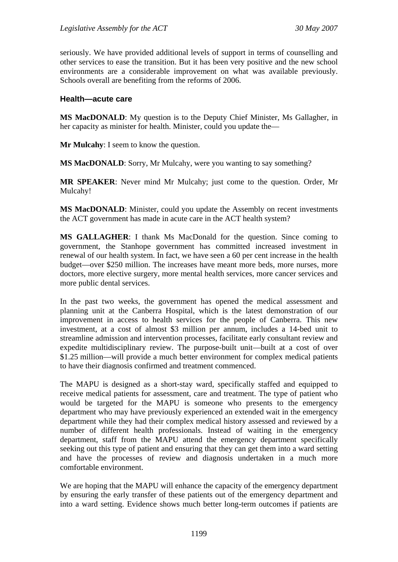seriously. We have provided additional levels of support in terms of counselling and other services to ease the transition. But it has been very positive and the new school environments are a considerable improvement on what was available previously. Schools overall are benefiting from the reforms of 2006.

#### **Health—acute care**

**MS MacDONALD**: My question is to the Deputy Chief Minister, Ms Gallagher, in her capacity as minister for health. Minister, could you update the—

**Mr Mulcahy**: I seem to know the question.

**MS MacDONALD**: Sorry, Mr Mulcahy, were you wanting to say something?

**MR SPEAKER**: Never mind Mr Mulcahy; just come to the question. Order, Mr Mulcahy!

**MS MacDONALD**: Minister, could you update the Assembly on recent investments the ACT government has made in acute care in the ACT health system?

**MS GALLAGHER**: I thank Ms MacDonald for the question. Since coming to government, the Stanhope government has committed increased investment in renewal of our health system. In fact, we have seen a 60 per cent increase in the health budget—over \$250 million. The increases have meant more beds, more nurses, more doctors, more elective surgery, more mental health services, more cancer services and more public dental services.

In the past two weeks, the government has opened the medical assessment and planning unit at the Canberra Hospital, which is the latest demonstration of our improvement in access to health services for the people of Canberra. This new investment, at a cost of almost \$3 million per annum, includes a 14-bed unit to streamline admission and intervention processes, facilitate early consultant review and expedite multidisciplinary review. The purpose-built unit—built at a cost of over \$1.25 million—will provide a much better environment for complex medical patients to have their diagnosis confirmed and treatment commenced.

The MAPU is designed as a short-stay ward, specifically staffed and equipped to receive medical patients for assessment, care and treatment. The type of patient who would be targeted for the MAPU is someone who presents to the emergency department who may have previously experienced an extended wait in the emergency department while they had their complex medical history assessed and reviewed by a number of different health professionals. Instead of waiting in the emergency department, staff from the MAPU attend the emergency department specifically seeking out this type of patient and ensuring that they can get them into a ward setting and have the processes of review and diagnosis undertaken in a much more comfortable environment.

We are hoping that the MAPU will enhance the capacity of the emergency department by ensuring the early transfer of these patients out of the emergency department and into a ward setting. Evidence shows much better long-term outcomes if patients are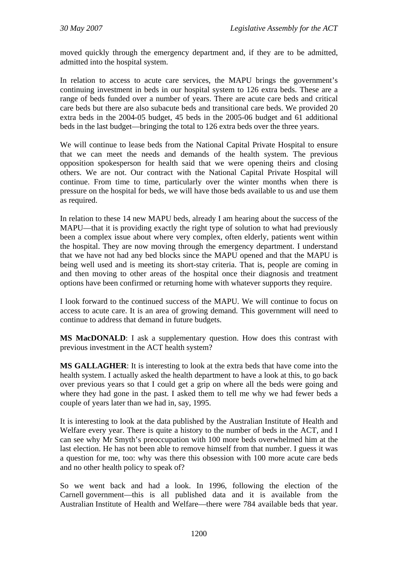moved quickly through the emergency department and, if they are to be admitted, admitted into the hospital system.

In relation to access to acute care services, the MAPU brings the government's continuing investment in beds in our hospital system to 126 extra beds. These are a range of beds funded over a number of years. There are acute care beds and critical care beds but there are also subacute beds and transitional care beds. We provided 20 extra beds in the 2004-05 budget, 45 beds in the 2005-06 budget and 61 additional beds in the last budget—bringing the total to 126 extra beds over the three years.

We will continue to lease beds from the National Capital Private Hospital to ensure that we can meet the needs and demands of the health system. The previous opposition spokesperson for health said that we were opening theirs and closing others. We are not. Our contract with the National Capital Private Hospital will continue. From time to time, particularly over the winter months when there is pressure on the hospital for beds, we will have those beds available to us and use them as required.

In relation to these 14 new MAPU beds, already I am hearing about the success of the MAPU—that it is providing exactly the right type of solution to what had previously been a complex issue about where very complex, often elderly, patients went within the hospital. They are now moving through the emergency department. I understand that we have not had any bed blocks since the MAPU opened and that the MAPU is being well used and is meeting its short-stay criteria. That is, people are coming in and then moving to other areas of the hospital once their diagnosis and treatment options have been confirmed or returning home with whatever supports they require.

I look forward to the continued success of the MAPU. We will continue to focus on access to acute care. It is an area of growing demand. This government will need to continue to address that demand in future budgets.

**MS MacDONALD**: I ask a supplementary question. How does this contrast with previous investment in the ACT health system?

**MS GALLAGHER**: It is interesting to look at the extra beds that have come into the health system. I actually asked the health department to have a look at this, to go back over previous years so that I could get a grip on where all the beds were going and where they had gone in the past. I asked them to tell me why we had fewer beds a couple of years later than we had in, say, 1995.

It is interesting to look at the data published by the Australian Institute of Health and Welfare every year. There is quite a history to the number of beds in the ACT, and I can see why Mr Smyth's preoccupation with 100 more beds overwhelmed him at the last election. He has not been able to remove himself from that number. I guess it was a question for me, too: why was there this obsession with 100 more acute care beds and no other health policy to speak of?

So we went back and had a look. In 1996, following the election of the Carnell government—this is all published data and it is available from the Australian Institute of Health and Welfare—there were 784 available beds that year.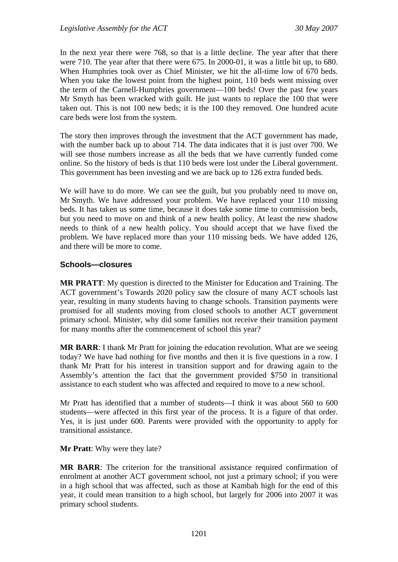In the next year there were 768, so that is a little decline. The year after that there were 710. The year after that there were 675. In 2000-01, it was a little bit up, to 680. When Humphries took over as Chief Minister, we hit the all-time low of 670 beds. When you take the lowest point from the highest point, 110 beds went missing over the term of the Carnell-Humphries government—100 beds! Over the past few years Mr Smyth has been wracked with guilt. He just wants to replace the 100 that were taken out. This is not 100 new beds; it is the 100 they removed. One hundred acute care beds were lost from the system.

The story then improves through the investment that the ACT government has made, with the number back up to about 714. The data indicates that it is just over 700. We will see those numbers increase as all the beds that we have currently funded come online. So the history of beds is that 110 beds were lost under the Liberal government. This government has been investing and we are back up to 126 extra funded beds.

We will have to do more. We can see the guilt, but you probably need to move on, Mr Smyth. We have addressed your problem. We have replaced your 110 missing beds. It has taken us some time, because it does take some time to commission beds, but you need to move on and think of a new health policy. At least the new shadow needs to think of a new health policy. You should accept that we have fixed the problem. We have replaced more than your 110 missing beds. We have added 126, and there will be more to come.

### **Schools—closures**

**MR PRATT**: My question is directed to the Minister for Education and Training. The ACT government's Towards 2020 policy saw the closure of many ACT schools last year, resulting in many students having to change schools. Transition payments were promised for all students moving from closed schools to another ACT government primary school. Minister, why did some families not receive their transition payment for many months after the commencement of school this year?

**MR BARR**: I thank Mr Pratt for joining the education revolution. What are we seeing today? We have had nothing for five months and then it is five questions in a row. I thank Mr Pratt for his interest in transition support and for drawing again to the Assembly's attention the fact that the government provided \$750 in transitional assistance to each student who was affected and required to move to a new school.

Mr Pratt has identified that a number of students—I think it was about 560 to 600 students—were affected in this first year of the process. It is a figure of that order. Yes, it is just under 600. Parents were provided with the opportunity to apply for transitional assistance.

**Mr Pratt**: Why were they late?

**MR BARR**: The criterion for the transitional assistance required confirmation of enrolment at another ACT government school, not just a primary school; if you were in a high school that was affected, such as those at Kambah high for the end of this year, it could mean transition to a high school, but largely for 2006 into 2007 it was primary school students.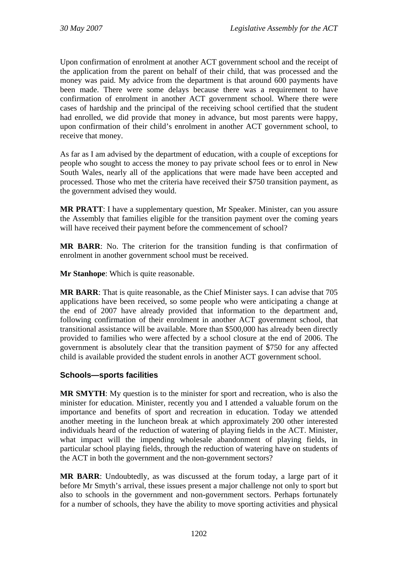Upon confirmation of enrolment at another ACT government school and the receipt of the application from the parent on behalf of their child, that was processed and the money was paid. My advice from the department is that around 600 payments have been made. There were some delays because there was a requirement to have confirmation of enrolment in another ACT government school. Where there were cases of hardship and the principal of the receiving school certified that the student had enrolled, we did provide that money in advance, but most parents were happy, upon confirmation of their child's enrolment in another ACT government school, to receive that money.

As far as I am advised by the department of education, with a couple of exceptions for people who sought to access the money to pay private school fees or to enrol in New South Wales, nearly all of the applications that were made have been accepted and processed. Those who met the criteria have received their \$750 transition payment, as the government advised they would.

**MR PRATT**: I have a supplementary question, Mr Speaker. Minister, can you assure the Assembly that families eligible for the transition payment over the coming years will have received their payment before the commencement of school?

**MR BARR**: No. The criterion for the transition funding is that confirmation of enrolment in another government school must be received.

**Mr Stanhope**: Which is quite reasonable.

**MR BARR**: That is quite reasonable, as the Chief Minister says. I can advise that 705 applications have been received, so some people who were anticipating a change at the end of 2007 have already provided that information to the department and, following confirmation of their enrolment in another ACT government school, that transitional assistance will be available. More than \$500,000 has already been directly provided to families who were affected by a school closure at the end of 2006. The government is absolutely clear that the transition payment of \$750 for any affected child is available provided the student enrols in another ACT government school.

### **Schools—sports facilities**

**MR SMYTH**: My question is to the minister for sport and recreation, who is also the minister for education. Minister, recently you and I attended a valuable forum on the importance and benefits of sport and recreation in education. Today we attended another meeting in the luncheon break at which approximately 200 other interested individuals heard of the reduction of watering of playing fields in the ACT. Minister, what impact will the impending wholesale abandonment of playing fields, in particular school playing fields, through the reduction of watering have on students of the ACT in both the government and the non-government sectors?

**MR BARR**: Undoubtedly, as was discussed at the forum today, a large part of it before Mr Smyth's arrival, these issues present a major challenge not only to sport but also to schools in the government and non-government sectors. Perhaps fortunately for a number of schools, they have the ability to move sporting activities and physical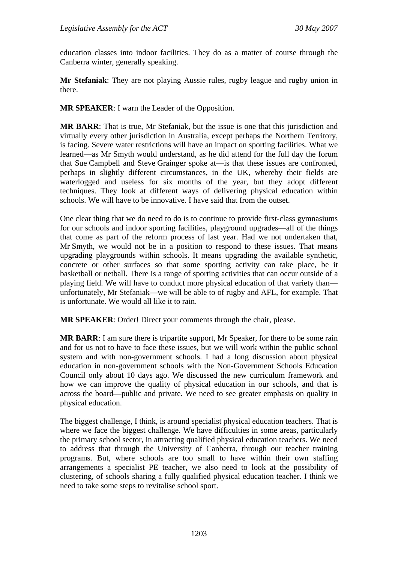education classes into indoor facilities. They do as a matter of course through the Canberra winter, generally speaking.

**Mr Stefaniak**: They are not playing Aussie rules, rugby league and rugby union in there.

**MR SPEAKER**: I warn the Leader of the Opposition.

**MR BARR**: That is true, Mr Stefaniak, but the issue is one that this jurisdiction and virtually every other jurisdiction in Australia, except perhaps the Northern Territory, is facing. Severe water restrictions will have an impact on sporting facilities. What we learned—as Mr Smyth would understand, as he did attend for the full day the forum that Sue Campbell and Steve Grainger spoke at—is that these issues are confronted, perhaps in slightly different circumstances, in the UK, whereby their fields are waterlogged and useless for six months of the year, but they adopt different techniques. They look at different ways of delivering physical education within schools. We will have to be innovative. I have said that from the outset.

One clear thing that we do need to do is to continue to provide first-class gymnasiums for our schools and indoor sporting facilities, playground upgrades—all of the things that come as part of the reform process of last year. Had we not undertaken that, Mr Smyth, we would not be in a position to respond to these issues. That means upgrading playgrounds within schools. It means upgrading the available synthetic, concrete or other surfaces so that some sporting activity can take place, be it basketball or netball. There is a range of sporting activities that can occur outside of a playing field. We will have to conduct more physical education of that variety than unfortunately, Mr Stefaniak—we will be able to of rugby and AFL, for example. That is unfortunate. We would all like it to rain.

**MR SPEAKER**: Order! Direct your comments through the chair, please.

**MR BARR**: I am sure there is tripartite support, Mr Speaker, for there to be some rain and for us not to have to face these issues, but we will work within the public school system and with non-government schools. I had a long discussion about physical education in non-government schools with the Non-Government Schools Education Council only about 10 days ago. We discussed the new curriculum framework and how we can improve the quality of physical education in our schools, and that is across the board—public and private. We need to see greater emphasis on quality in physical education.

The biggest challenge, I think, is around specialist physical education teachers. That is where we face the biggest challenge. We have difficulties in some areas, particularly the primary school sector, in attracting qualified physical education teachers. We need to address that through the University of Canberra, through our teacher training programs. But, where schools are too small to have within their own staffing arrangements a specialist PE teacher, we also need to look at the possibility of clustering, of schools sharing a fully qualified physical education teacher. I think we need to take some steps to revitalise school sport.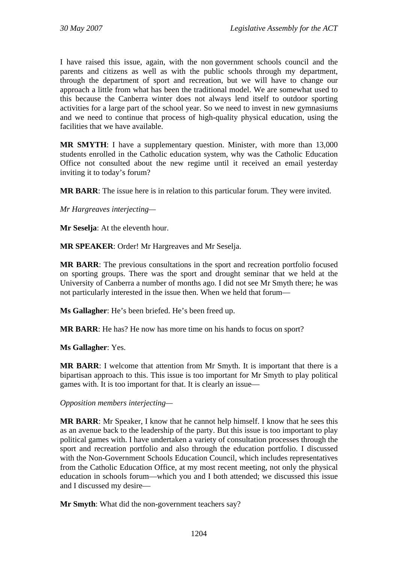I have raised this issue, again, with the non government schools council and the parents and citizens as well as with the public schools through my department, through the department of sport and recreation, but we will have to change our approach a little from what has been the traditional model. We are somewhat used to this because the Canberra winter does not always lend itself to outdoor sporting activities for a large part of the school year. So we need to invest in new gymnasiums and we need to continue that process of high-quality physical education, using the facilities that we have available.

**MR SMYTH**: I have a supplementary question. Minister, with more than 13,000 students enrolled in the Catholic education system, why was the Catholic Education Office not consulted about the new regime until it received an email yesterday inviting it to today's forum?

**MR BARR**: The issue here is in relation to this particular forum. They were invited.

*Mr Hargreaves interjecting—* 

**Mr Seselja**: At the eleventh hour.

**MR SPEAKER**: Order! Mr Hargreaves and Mr Seselja.

**MR BARR**: The previous consultations in the sport and recreation portfolio focused on sporting groups. There was the sport and drought seminar that we held at the University of Canberra a number of months ago. I did not see Mr Smyth there; he was not particularly interested in the issue then. When we held that forum—

**Ms Gallagher**: He's been briefed. He's been freed up.

**MR BARR**: He has? He now has more time on his hands to focus on sport?

**Ms Gallagher**: Yes.

**MR BARR**: I welcome that attention from Mr Smyth. It is important that there is a bipartisan approach to this. This issue is too important for Mr Smyth to play political games with. It is too important for that. It is clearly an issue—

*Opposition members interjecting—* 

**MR BARR**: Mr Speaker, I know that he cannot help himself. I know that he sees this as an avenue back to the leadership of the party. But this issue is too important to play political games with. I have undertaken a variety of consultation processes through the sport and recreation portfolio and also through the education portfolio. I discussed with the Non-Government Schools Education Council, which includes representatives from the Catholic Education Office, at my most recent meeting, not only the physical education in schools forum—which you and I both attended; we discussed this issue and I discussed my desire—

**Mr Smyth**: What did the non-government teachers say?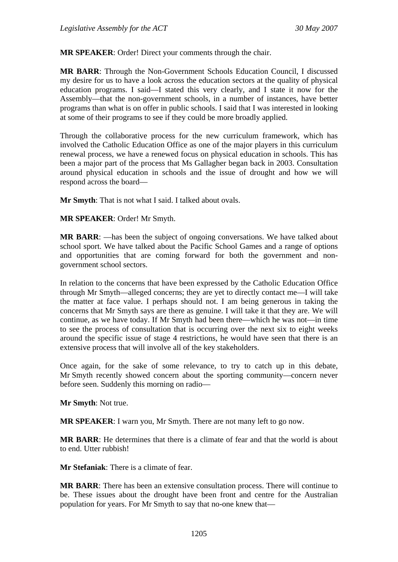**MR SPEAKER**: Order! Direct your comments through the chair.

**MR BARR**: Through the Non-Government Schools Education Council, I discussed my desire for us to have a look across the education sectors at the quality of physical education programs. I said—I stated this very clearly, and I state it now for the Assembly—that the non-government schools, in a number of instances, have better programs than what is on offer in public schools. I said that I was interested in looking at some of their programs to see if they could be more broadly applied.

Through the collaborative process for the new curriculum framework, which has involved the Catholic Education Office as one of the major players in this curriculum renewal process, we have a renewed focus on physical education in schools. This has been a major part of the process that Ms Gallagher began back in 2003. Consultation around physical education in schools and the issue of drought and how we will respond across the board—

**Mr Smyth**: That is not what I said. I talked about ovals.

**MR SPEAKER**: Order! Mr Smyth.

**MR BARR**: —has been the subject of ongoing conversations. We have talked about school sport. We have talked about the Pacific School Games and a range of options and opportunities that are coming forward for both the government and nongovernment school sectors.

In relation to the concerns that have been expressed by the Catholic Education Office through Mr Smyth—alleged concerns; they are yet to directly contact me—I will take the matter at face value. I perhaps should not. I am being generous in taking the concerns that Mr Smyth says are there as genuine. I will take it that they are. We will continue, as we have today. If Mr Smyth had been there—which he was not—in time to see the process of consultation that is occurring over the next six to eight weeks around the specific issue of stage 4 restrictions, he would have seen that there is an extensive process that will involve all of the key stakeholders.

Once again, for the sake of some relevance, to try to catch up in this debate, Mr Smyth recently showed concern about the sporting community—concern never before seen. Suddenly this morning on radio—

**Mr Smyth**: Not true.

**MR SPEAKER**: I warn you, Mr Smyth. There are not many left to go now.

**MR BARR**: He determines that there is a climate of fear and that the world is about to end. Utter rubbish!

**Mr Stefaniak**: There is a climate of fear.

**MR BARR**: There has been an extensive consultation process. There will continue to be. These issues about the drought have been front and centre for the Australian population for years. For Mr Smyth to say that no-one knew that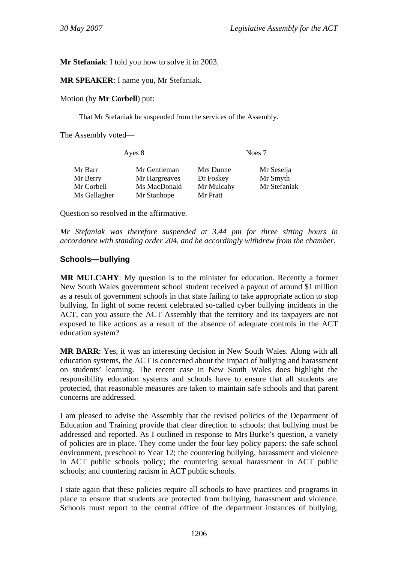**Mr Stefaniak**: I told you how to solve it in 2003.

**MR SPEAKER**: I name you, Mr Stefaniak.

Motion (by **Mr Corbell**) put:

That Mr Stefaniak be suspended from the services of the Assembly.

The Assembly voted—

| Ayes 8       |               | Noes 7     |              |
|--------------|---------------|------------|--------------|
| Mr Barr      | Mr Gentleman  | Mrs Dunne  | Mr Seselja   |
| Mr Berry     | Mr Hargreaves | Dr Foskey  | Mr Smyth     |
| Mr Corbell   | Ms MacDonald  | Mr Mulcahy | Mr Stefaniak |
| Ms Gallagher | Mr Stanhope   | Mr Pratt   |              |

Question so resolved in the affirmative.

*Mr Stefaniak was therefore suspended at 3.44 pm for three sitting hours in accordance with standing order 204, and he accordingly withdrew from the chamber.* 

#### **Schools—bullying**

**MR MULCAHY**: My question is to the minister for education. Recently a former New South Wales government school student received a payout of around \$1 million as a result of government schools in that state failing to take appropriate action to stop bullying. In light of some recent celebrated so-called cyber bullying incidents in the ACT, can you assure the ACT Assembly that the territory and its taxpayers are not exposed to like actions as a result of the absence of adequate controls in the ACT education system?

**MR BARR**: Yes, it was an interesting decision in New South Wales. Along with all education systems, the ACT is concerned about the impact of bullying and harassment on students' learning. The recent case in New South Wales does highlight the responsibility education systems and schools have to ensure that all students are protected, that reasonable measures are taken to maintain safe schools and that parent concerns are addressed.

I am pleased to advise the Assembly that the revised policies of the Department of Education and Training provide that clear direction to schools: that bullying must be addressed and reported. As I outlined in response to Mrs Burke's question, a variety of policies are in place. They come under the four key policy papers: the safe school environment, preschool to Year 12; the countering bullying, harassment and violence in ACT public schools policy; the countering sexual harassment in ACT public schools; and countering racism in ACT public schools.

I state again that these policies require all schools to have practices and programs in place to ensure that students are protected from bullying, harassment and violence. Schools must report to the central office of the department instances of bullying,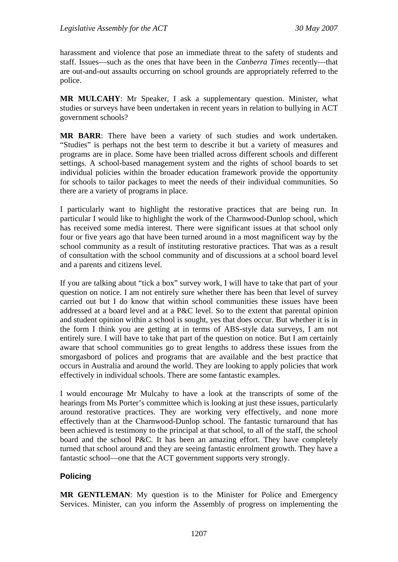harassment and violence that pose an immediate threat to the safety of students and staff. Issues—such as the ones that have been in the *Canberra Times* recently—that are out-and-out assaults occurring on school grounds are appropriately referred to the police.

**MR MULCAHY**: Mr Speaker, I ask a supplementary question. Minister, what studies or surveys have been undertaken in recent years in relation to bullying in ACT government schools?

**MR BARR**: There have been a variety of such studies and work undertaken. "Studies" is perhaps not the best term to describe it but a variety of measures and programs are in place. Some have been trialled across different schools and different settings. A school-based management system and the rights of school boards to set individual policies within the broader education framework provide the opportunity for schools to tailor packages to meet the needs of their individual communities. So there are a variety of programs in place.

I particularly want to highlight the restorative practices that are being run. In particular I would like to highlight the work of the Charnwood-Dunlop school, which has received some media interest. There were significant issues at that school only four or five years ago that have been turned around in a most magnificent way by the school community as a result of instituting restorative practices. That was as a result of consultation with the school community and of discussions at a school board level and a parents and citizens level.

If you are talking about "tick a box" survey work, I will have to take that part of your question on notice. I am not entirely sure whether there has been that level of survey carried out but I do know that within school communities these issues have been addressed at a board level and at a P&C level. So to the extent that parental opinion and student opinion within a school is sought, yes that does occur. But whether it is in the form I think you are getting at in terms of ABS-style data surveys, I am not entirely sure. I will have to take that part of the question on notice. But I am certainly aware that school communities go to great lengths to address these issues from the smorgasbord of polices and programs that are available and the best practice that occurs in Australia and around the world. They are looking to apply policies that work effectively in individual schools. There are some fantastic examples.

I would encourage Mr Mulcahy to have a look at the transcripts of some of the hearings from Ms Porter's committee which is looking at just these issues, particularly around restorative practices. They are working very effectively, and none more effectively than at the Charnwood-Dunlop school. The fantastic turnaround that has been achieved is testimony to the principal at that school, to all of the staff, the school board and the school P&C. It has been an amazing effort. They have completely turned that school around and they are seeing fantastic enrolment growth. They have a fantastic school—one that the ACT government supports very strongly.

## **Policing**

**MR GENTLEMAN**: My question is to the Minister for Police and Emergency Services. Minister, can you inform the Assembly of progress on implementing the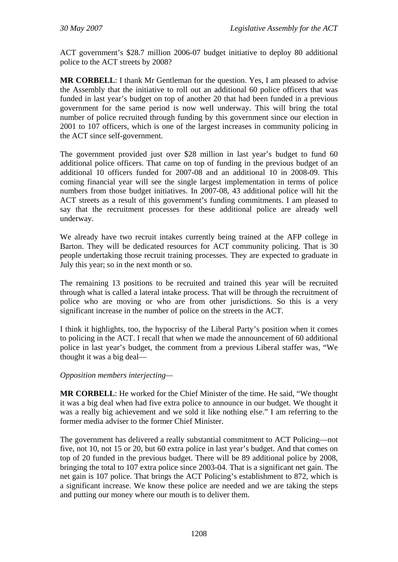ACT government's \$28.7 million 2006-07 budget initiative to deploy 80 additional police to the ACT streets by 2008?

**MR CORBELL**: I thank Mr Gentleman for the question. Yes, I am pleased to advise the Assembly that the initiative to roll out an additional 60 police officers that was funded in last year's budget on top of another 20 that had been funded in a previous government for the same period is now well underway. This will bring the total number of police recruited through funding by this government since our election in 2001 to 107 officers, which is one of the largest increases in community policing in the ACT since self-government.

The government provided just over \$28 million in last year's budget to fund 60 additional police officers. That came on top of funding in the previous budget of an additional 10 officers funded for 2007-08 and an additional 10 in 2008-09. This coming financial year will see the single largest implementation in terms of police numbers from those budget initiatives. In 2007-08, 43 additional police will hit the ACT streets as a result of this government's funding commitments. I am pleased to say that the recruitment processes for these additional police are already well underway.

We already have two recruit intakes currently being trained at the AFP college in Barton. They will be dedicated resources for ACT community policing. That is 30 people undertaking those recruit training processes. They are expected to graduate in July this year; so in the next month or so.

The remaining 13 positions to be recruited and trained this year will be recruited through what is called a lateral intake process. That will be through the recruitment of police who are moving or who are from other jurisdictions. So this is a very significant increase in the number of police on the streets in the ACT.

I think it highlights, too, the hypocrisy of the Liberal Party's position when it comes to policing in the ACT. I recall that when we made the announcement of 60 additional police in last year's budget, the comment from a previous Liberal staffer was, "We thought it was a big deal—

### *Opposition members interjecting—*

**MR CORBELL**: He worked for the Chief Minister of the time. He said, "We thought it was a big deal when had five extra police to announce in our budget. We thought it was a really big achievement and we sold it like nothing else." I am referring to the former media adviser to the former Chief Minister.

The government has delivered a really substantial commitment to ACT Policing—not five, not 10, not 15 or 20, but 60 extra police in last year's budget. And that comes on top of 20 funded in the previous budget. There will be 89 additional police by 2008, bringing the total to 107 extra police since 2003-04. That is a significant net gain. The net gain is 107 police. That brings the ACT Policing's establishment to 872, which is a significant increase. We know these police are needed and we are taking the steps and putting our money where our mouth is to deliver them.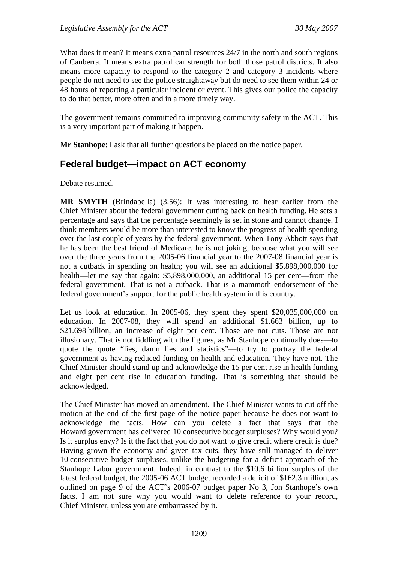What does it mean? It means extra patrol resources 24/7 in the north and south regions of Canberra. It means extra patrol car strength for both those patrol districts. It also means more capacity to respond to the category 2 and category 3 incidents where people do not need to see the police straightaway but do need to see them within 24 or 48 hours of reporting a particular incident or event. This gives our police the capacity to do that better, more often and in a more timely way.

The government remains committed to improving community safety in the ACT. This is a very important part of making it happen.

**Mr Stanhope**: I ask that all further questions be placed on the notice paper.

# **Federal budget—impact on ACT economy**

Debate resumed.

**MR SMYTH** (Brindabella) (3.56): It was interesting to hear earlier from the Chief Minister about the federal government cutting back on health funding. He sets a percentage and says that the percentage seemingly is set in stone and cannot change. I think members would be more than interested to know the progress of health spending over the last couple of years by the federal government. When Tony Abbott says that he has been the best friend of Medicare, he is not joking, because what you will see over the three years from the 2005-06 financial year to the 2007-08 financial year is not a cutback in spending on health; you will see an additional \$5,898,000,000 for health—let me say that again: \$5,898,000,000, an additional 15 per cent—from the federal government. That is not a cutback. That is a mammoth endorsement of the federal government's support for the public health system in this country.

Let us look at education. In 2005-06, they spent they spent \$20,035,000,000 on education. In 2007-08, they will spend an additional \$1.663 billion, up to \$21.698 billion, an increase of eight per cent. Those are not cuts. Those are not illusionary. That is not fiddling with the figures, as Mr Stanhope continually does—to quote the quote "lies, damn lies and statistics"—to try to portray the federal government as having reduced funding on health and education. They have not. The Chief Minister should stand up and acknowledge the 15 per cent rise in health funding and eight per cent rise in education funding. That is something that should be acknowledged.

The Chief Minister has moved an amendment. The Chief Minister wants to cut off the motion at the end of the first page of the notice paper because he does not want to acknowledge the facts. How can you delete a fact that says that the Howard government has delivered 10 consecutive budget surpluses? Why would you? Is it surplus envy? Is it the fact that you do not want to give credit where credit is due? Having grown the economy and given tax cuts, they have still managed to deliver 10 consecutive budget surpluses, unlike the budgeting for a deficit approach of the Stanhope Labor government. Indeed, in contrast to the \$10.6 billion surplus of the latest federal budget, the 2005-06 ACT budget recorded a deficit of \$162.3 million, as outlined on page 9 of the ACT's 2006-07 budget paper No 3, Jon Stanhope's own facts. I am not sure why you would want to delete reference to your record, Chief Minister, unless you are embarrassed by it.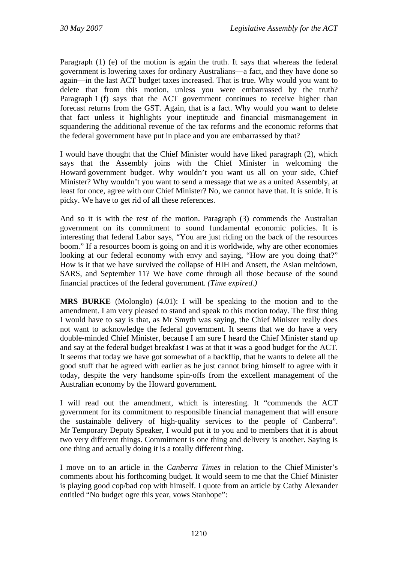Paragraph (1) (e) of the motion is again the truth. It says that whereas the federal government is lowering taxes for ordinary Australians—a fact, and they have done so again—in the last ACT budget taxes increased. That is true. Why would you want to delete that from this motion, unless you were embarrassed by the truth? Paragraph 1 (f) says that the ACT government continues to receive higher than forecast returns from the GST. Again, that is a fact. Why would you want to delete that fact unless it highlights your ineptitude and financial mismanagement in squandering the additional revenue of the tax reforms and the economic reforms that the federal government have put in place and you are embarrassed by that?

I would have thought that the Chief Minister would have liked paragraph (2), which says that the Assembly joins with the Chief Minister in welcoming the Howard government budget. Why wouldn't you want us all on your side, Chief Minister? Why wouldn't you want to send a message that we as a united Assembly, at least for once, agree with our Chief Minister? No, we cannot have that. It is snide. It is picky. We have to get rid of all these references.

And so it is with the rest of the motion. Paragraph (3) commends the Australian government on its commitment to sound fundamental economic policies. It is interesting that federal Labor says, "You are just riding on the back of the resources boom." If a resources boom is going on and it is worldwide, why are other economies looking at our federal economy with envy and saying, "How are you doing that?" How is it that we have survived the collapse of HIH and Ansett, the Asian meltdown, SARS, and September 11? We have come through all those because of the sound financial practices of the federal government. *(Time expired.)*

**MRS BURKE** (Molonglo) (4.01): I will be speaking to the motion and to the amendment. I am very pleased to stand and speak to this motion today. The first thing I would have to say is that, as Mr Smyth was saying, the Chief Minister really does not want to acknowledge the federal government. It seems that we do have a very double-minded Chief Minister, because I am sure I heard the Chief Minister stand up and say at the federal budget breakfast I was at that it was a good budget for the ACT. It seems that today we have got somewhat of a backflip, that he wants to delete all the good stuff that he agreed with earlier as he just cannot bring himself to agree with it today, despite the very handsome spin-offs from the excellent management of the Australian economy by the Howard government.

I will read out the amendment, which is interesting. It "commends the ACT government for its commitment to responsible financial management that will ensure the sustainable delivery of high-quality services to the people of Canberra". Mr Temporary Deputy Speaker, I would put it to you and to members that it is about two very different things. Commitment is one thing and delivery is another. Saying is one thing and actually doing it is a totally different thing.

I move on to an article in the *Canberra Times* in relation to the Chief Minister's comments about his forthcoming budget. It would seem to me that the Chief Minister is playing good cop/bad cop with himself. I quote from an article by Cathy Alexander entitled "No budget ogre this year, vows Stanhope":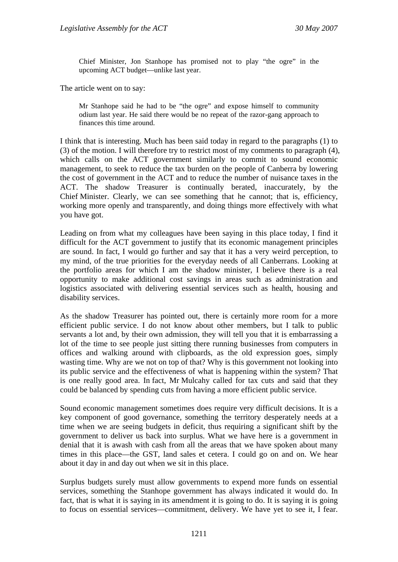Chief Minister, Jon Stanhope has promised not to play "the ogre" in the upcoming ACT budget—unlike last year.

The article went on to say:

Mr Stanhope said he had to be "the ogre" and expose himself to community odium last year. He said there would be no repeat of the razor-gang approach to finances this time around.

I think that is interesting. Much has been said today in regard to the paragraphs (1) to (3) of the motion. I will therefore try to restrict most of my comments to paragraph (4), which calls on the ACT government similarly to commit to sound economic management, to seek to reduce the tax burden on the people of Canberra by lowering the cost of government in the ACT and to reduce the number of nuisance taxes in the ACT. The shadow Treasurer is continually berated, inaccurately, by the Chief Minister. Clearly, we can see something that he cannot; that is, efficiency, working more openly and transparently, and doing things more effectively with what you have got.

Leading on from what my colleagues have been saying in this place today, I find it difficult for the ACT government to justify that its economic management principles are sound. In fact, I would go further and say that it has a very weird perception, to my mind, of the true priorities for the everyday needs of all Canberrans. Looking at the portfolio areas for which I am the shadow minister, I believe there is a real opportunity to make additional cost savings in areas such as administration and logistics associated with delivering essential services such as health, housing and disability services.

As the shadow Treasurer has pointed out, there is certainly more room for a more efficient public service. I do not know about other members, but I talk to public servants a lot and, by their own admission, they will tell you that it is embarrassing a lot of the time to see people just sitting there running businesses from computers in offices and walking around with clipboards, as the old expression goes, simply wasting time. Why are we not on top of that? Why is this government not looking into its public service and the effectiveness of what is happening within the system? That is one really good area. In fact, Mr Mulcahy called for tax cuts and said that they could be balanced by spending cuts from having a more efficient public service.

Sound economic management sometimes does require very difficult decisions. It is a key component of good governance, something the territory desperately needs at a time when we are seeing budgets in deficit, thus requiring a significant shift by the government to deliver us back into surplus. What we have here is a government in denial that it is awash with cash from all the areas that we have spoken about many times in this place—the GST, land sales et cetera. I could go on and on. We hear about it day in and day out when we sit in this place.

Surplus budgets surely must allow governments to expend more funds on essential services, something the Stanhope government has always indicated it would do. In fact, that is what it is saying in its amendment it is going to do. It is saying it is going to focus on essential services—commitment, delivery. We have yet to see it, I fear.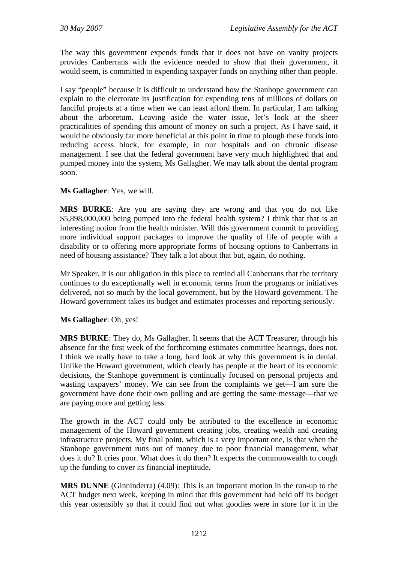The way this government expends funds that it does not have on vanity projects provides Canberrans with the evidence needed to show that their government, it would seem, is committed to expending taxpayer funds on anything other than people.

I say "people" because it is difficult to understand how the Stanhope government can explain to the electorate its justification for expending tens of millions of dollars on fanciful projects at a time when we can least afford them. In particular, I am talking about the arboretum. Leaving aside the water issue, let's look at the sheer practicalities of spending this amount of money on such a project. As I have said, it would be obviously far more beneficial at this point in time to plough these funds into reducing access block, for example, in our hospitals and on chronic disease management. I see that the federal government have very much highlighted that and pumped money into the system, Ms Gallagher. We may talk about the dental program soon.

### **Ms Gallagher**: Yes, we will.

**MRS BURKE**: Are you are saying they are wrong and that you do not like \$5,898,000,000 being pumped into the federal health system? I think that that is an interesting notion from the health minister. Will this government commit to providing more individual support packages to improve the quality of life of people with a disability or to offering more appropriate forms of housing options to Canberrans in need of housing assistance? They talk a lot about that but, again, do nothing.

Mr Speaker, it is our obligation in this place to remind all Canberrans that the territory continues to do exceptionally well in economic terms from the programs or initiatives delivered, not so much by the local government, but by the Howard government. The Howard government takes its budget and estimates processes and reporting seriously.

### **Ms Gallagher**: Oh, yes!

**MRS BURKE**: They do, Ms Gallagher. It seems that the ACT Treasurer, through his absence for the first week of the forthcoming estimates committee hearings, does not. I think we really have to take a long, hard look at why this government is in denial. Unlike the Howard government, which clearly has people at the heart of its economic decisions, the Stanhope government is continually focused on personal projects and wasting taxpayers' money. We can see from the complaints we get—I am sure the government have done their own polling and are getting the same message—that we are paying more and getting less.

The growth in the ACT could only be attributed to the excellence in economic management of the Howard government creating jobs, creating wealth and creating infrastructure projects. My final point, which is a very important one, is that when the Stanhope government runs out of money due to poor financial management, what does it do? It cries poor. What does it do then? It expects the commonwealth to cough up the funding to cover its financial ineptitude.

**MRS DUNNE** (Ginninderra) (4.09): This is an important motion in the run-up to the ACT budget next week, keeping in mind that this government had held off its budget this year ostensibly so that it could find out what goodies were in store for it in the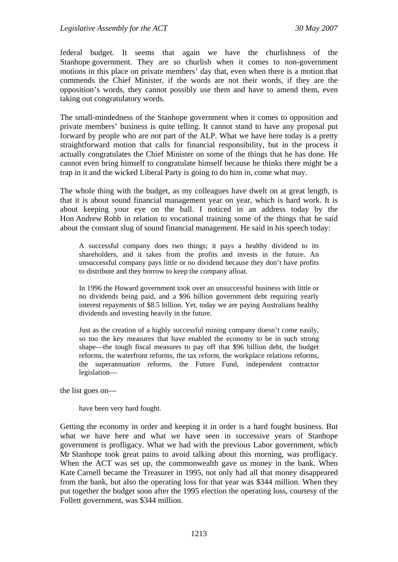federal budget. It seems that again we have the churlishness of the Stanhope government. They are so churlish when it comes to non-government motions in this place on private members' day that, even when there is a motion that commends the Chief Minister, if the words are not their words, if they are the opposition's words, they cannot possibly use them and have to amend them, even taking out congratulatory words.

The small-mindedness of the Stanhope government when it comes to opposition and private members' business is quite telling. It cannot stand to have any proposal put forward by people who are not part of the ALP. What we have here today is a pretty straightforward motion that calls for financial responsibility, but in the process it actually congratulates the Chief Minister on some of the things that he has done. He cannot even bring himself to congratulate himself because he thinks there might be a trap in it and the wicked Liberal Party is going to do him in, come what may.

The whole thing with the budget, as my colleagues have dwelt on at great length, is that it is about sound financial management year on year, which is hard work. It is about keeping your eye on the ball. I noticed in an address today by the Hon Andrew Robb in relation to vocational training some of the things that he said about the constant slug of sound financial management. He said in his speech today:

A successful company does two things; it pays a healthy dividend to its shareholders, and it takes from the profits and invests in the future. An unsuccessful company pays little or no dividend because they don't have profits to distribute and they borrow to keep the company afloat.

In 1996 the Howard government took over an unsuccessful business with little or no dividends being paid, and a \$96 billion government debt requiring yearly interest repayments of \$8.5 billion. Yet, today we are paying Australians healthy dividends and investing heavily in the future.

Just as the creation of a highly successful mining company doesn't come easily, so too the key measures that have enabled the economy to be in such strong shape—the tough fiscal measures to pay off that \$96 billion debt, the budget reforms, the waterfront reforms, the tax reform, the workplace relations reforms, the superannuation reforms, the Future Fund, independent contractor legislation—

the list goes on—

have been very hard fought.

Getting the economy in order and keeping it in order is a hard fought business. But what we have here and what we have seen in successive years of Stanhope government is profligacy. What we had with the previous Labor government, which Mr Stanhope took great pains to avoid talking about this morning, was profligacy. When the ACT was set up, the commonwealth gave us money in the bank. When Kate Carnell became the Treasurer in 1995, not only had all that money disappeared from the bank, but also the operating loss for that year was \$344 million. When they put together the budget soon after the 1995 election the operating loss, courtesy of the Follett government, was \$344 million.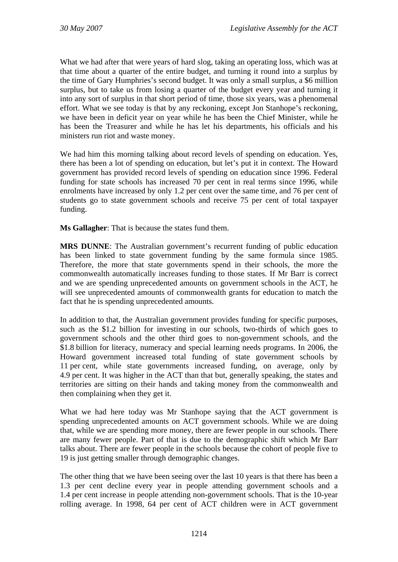What we had after that were years of hard slog, taking an operating loss, which was at that time about a quarter of the entire budget, and turning it round into a surplus by the time of Gary Humphries's second budget. It was only a small surplus, a \$6 million surplus, but to take us from losing a quarter of the budget every year and turning it into any sort of surplus in that short period of time, those six years, was a phenomenal effort. What we see today is that by any reckoning, except Jon Stanhope's reckoning, we have been in deficit year on year while he has been the Chief Minister, while he has been the Treasurer and while he has let his departments, his officials and his ministers run riot and waste money.

We had him this morning talking about record levels of spending on education. Yes, there has been a lot of spending on education, but let's put it in context. The Howard government has provided record levels of spending on education since 1996. Federal funding for state schools has increased 70 per cent in real terms since 1996, while enrolments have increased by only 1.2 per cent over the same time, and 76 per cent of students go to state government schools and receive 75 per cent of total taxpayer funding.

**Ms Gallagher**: That is because the states fund them.

**MRS DUNNE**: The Australian government's recurrent funding of public education has been linked to state government funding by the same formula since 1985. Therefore, the more that state governments spend in their schools, the more the commonwealth automatically increases funding to those states. If Mr Barr is correct and we are spending unprecedented amounts on government schools in the ACT, he will see unprecedented amounts of commonwealth grants for education to match the fact that he is spending unprecedented amounts.

In addition to that, the Australian government provides funding for specific purposes, such as the \$1.2 billion for investing in our schools, two-thirds of which goes to government schools and the other third goes to non-government schools, and the \$1.8 billion for literacy, numeracy and special learning needs programs. In 2006, the Howard government increased total funding of state government schools by 11 per cent, while state governments increased funding, on average, only by 4.9 per cent. It was higher in the ACT than that but, generally speaking, the states and territories are sitting on their hands and taking money from the commonwealth and then complaining when they get it.

What we had here today was Mr Stanhope saying that the ACT government is spending unprecedented amounts on ACT government schools. While we are doing that, while we are spending more money, there are fewer people in our schools. There are many fewer people. Part of that is due to the demographic shift which Mr Barr talks about. There are fewer people in the schools because the cohort of people five to 19 is just getting smaller through demographic changes.

The other thing that we have been seeing over the last 10 years is that there has been a 1.3 per cent decline every year in people attending government schools and a 1.4 per cent increase in people attending non-government schools. That is the 10-year rolling average. In 1998, 64 per cent of ACT children were in ACT government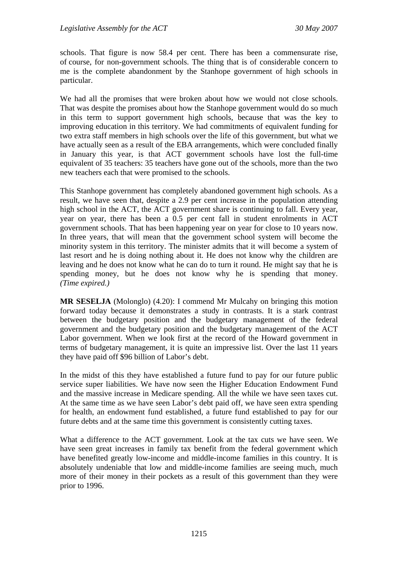schools. That figure is now 58.4 per cent. There has been a commensurate rise, of course, for non-government schools. The thing that is of considerable concern to me is the complete abandonment by the Stanhope government of high schools in particular.

We had all the promises that were broken about how we would not close schools. That was despite the promises about how the Stanhope government would do so much in this term to support government high schools, because that was the key to improving education in this territory. We had commitments of equivalent funding for two extra staff members in high schools over the life of this government, but what we have actually seen as a result of the EBA arrangements, which were concluded finally in January this year, is that ACT government schools have lost the full-time equivalent of 35 teachers: 35 teachers have gone out of the schools, more than the two new teachers each that were promised to the schools.

This Stanhope government has completely abandoned government high schools. As a result, we have seen that, despite a 2.9 per cent increase in the population attending high school in the ACT, the ACT government share is continuing to fall. Every year, year on year, there has been a 0.5 per cent fall in student enrolments in ACT government schools. That has been happening year on year for close to 10 years now. In three years, that will mean that the government school system will become the minority system in this territory. The minister admits that it will become a system of last resort and he is doing nothing about it. He does not know why the children are leaving and he does not know what he can do to turn it round. He might say that he is spending money, but he does not know why he is spending that money. *(Time expired.)*

**MR SESELJA** (Molonglo) (4.20): I commend Mr Mulcahy on bringing this motion forward today because it demonstrates a study in contrasts. It is a stark contrast between the budgetary position and the budgetary management of the federal government and the budgetary position and the budgetary management of the ACT Labor government. When we look first at the record of the Howard government in terms of budgetary management, it is quite an impressive list. Over the last 11 years they have paid off \$96 billion of Labor's debt.

In the midst of this they have established a future fund to pay for our future public service super liabilities. We have now seen the Higher Education Endowment Fund and the massive increase in Medicare spending. All the while we have seen taxes cut. At the same time as we have seen Labor's debt paid off, we have seen extra spending for health, an endowment fund established, a future fund established to pay for our future debts and at the same time this government is consistently cutting taxes.

What a difference to the ACT government. Look at the tax cuts we have seen. We have seen great increases in family tax benefit from the federal government which have benefited greatly low-income and middle-income families in this country. It is absolutely undeniable that low and middle-income families are seeing much, much more of their money in their pockets as a result of this government than they were prior to 1996.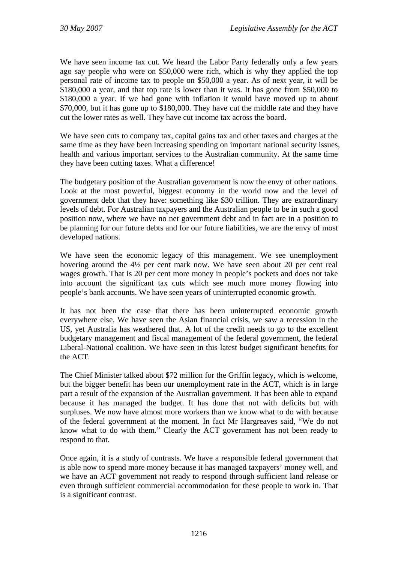We have seen income tax cut. We heard the Labor Party federally only a few years ago say people who were on \$50,000 were rich, which is why they applied the top personal rate of income tax to people on \$50,000 a year. As of next year, it will be \$180,000 a year, and that top rate is lower than it was. It has gone from \$50,000 to \$180,000 a year. If we had gone with inflation it would have moved up to about \$70,000, but it has gone up to \$180,000. They have cut the middle rate and they have cut the lower rates as well. They have cut income tax across the board.

We have seen cuts to company tax, capital gains tax and other taxes and charges at the same time as they have been increasing spending on important national security issues, health and various important services to the Australian community. At the same time they have been cutting taxes. What a difference!

The budgetary position of the Australian government is now the envy of other nations. Look at the most powerful, biggest economy in the world now and the level of government debt that they have: something like \$30 trillion. They are extraordinary levels of debt. For Australian taxpayers and the Australian people to be in such a good position now, where we have no net government debt and in fact are in a position to be planning for our future debts and for our future liabilities, we are the envy of most developed nations.

We have seen the economic legacy of this management. We see unemployment hovering around the 4½ per cent mark now. We have seen about 20 per cent real wages growth. That is 20 per cent more money in people's pockets and does not take into account the significant tax cuts which see much more money flowing into people's bank accounts. We have seen years of uninterrupted economic growth.

It has not been the case that there has been uninterrupted economic growth everywhere else. We have seen the Asian financial crisis, we saw a recession in the US, yet Australia has weathered that. A lot of the credit needs to go to the excellent budgetary management and fiscal management of the federal government, the federal Liberal-National coalition. We have seen in this latest budget significant benefits for the ACT.

The Chief Minister talked about \$72 million for the Griffin legacy, which is welcome, but the bigger benefit has been our unemployment rate in the ACT, which is in large part a result of the expansion of the Australian government. It has been able to expand because it has managed the budget. It has done that not with deficits but with surpluses. We now have almost more workers than we know what to do with because of the federal government at the moment. In fact Mr Hargreaves said, "We do not know what to do with them." Clearly the ACT government has not been ready to respond to that.

Once again, it is a study of contrasts. We have a responsible federal government that is able now to spend more money because it has managed taxpayers' money well, and we have an ACT government not ready to respond through sufficient land release or even through sufficient commercial accommodation for these people to work in. That is a significant contrast.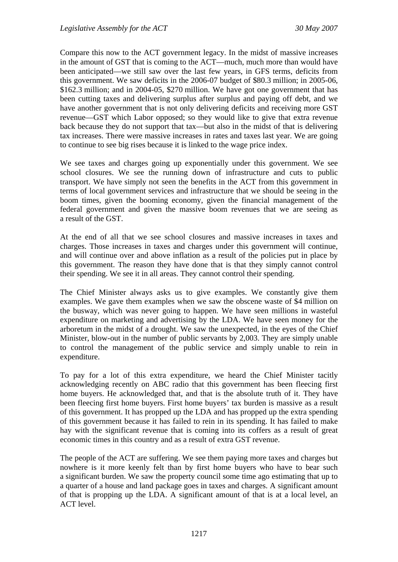Compare this now to the ACT government legacy. In the midst of massive increases in the amount of GST that is coming to the ACT—much, much more than would have been anticipated—we still saw over the last few years, in GFS terms, deficits from this government. We saw deficits in the 2006-07 budget of \$80.3 million; in 2005-06, \$162.3 million; and in 2004-05, \$270 million. We have got one government that has been cutting taxes and delivering surplus after surplus and paying off debt, and we have another government that is not only delivering deficits and receiving more GST revenue—GST which Labor opposed; so they would like to give that extra revenue back because they do not support that tax—but also in the midst of that is delivering tax increases. There were massive increases in rates and taxes last year. We are going to continue to see big rises because it is linked to the wage price index.

We see taxes and charges going up exponentially under this government. We see school closures. We see the running down of infrastructure and cuts to public transport. We have simply not seen the benefits in the ACT from this government in terms of local government services and infrastructure that we should be seeing in the boom times, given the booming economy, given the financial management of the federal government and given the massive boom revenues that we are seeing as a result of the GST.

At the end of all that we see school closures and massive increases in taxes and charges. Those increases in taxes and charges under this government will continue, and will continue over and above inflation as a result of the policies put in place by this government. The reason they have done that is that they simply cannot control their spending. We see it in all areas. They cannot control their spending.

The Chief Minister always asks us to give examples. We constantly give them examples. We gave them examples when we saw the obscene waste of \$4 million on the busway, which was never going to happen. We have seen millions in wasteful expenditure on marketing and advertising by the LDA. We have seen money for the arboretum in the midst of a drought. We saw the unexpected, in the eyes of the Chief Minister, blow-out in the number of public servants by 2,003. They are simply unable to control the management of the public service and simply unable to rein in expenditure.

To pay for a lot of this extra expenditure, we heard the Chief Minister tacitly acknowledging recently on ABC radio that this government has been fleecing first home buyers. He acknowledged that, and that is the absolute truth of it. They have been fleecing first home buyers. First home buyers' tax burden is massive as a result of this government. It has propped up the LDA and has propped up the extra spending of this government because it has failed to rein in its spending. It has failed to make hay with the significant revenue that is coming into its coffers as a result of great economic times in this country and as a result of extra GST revenue.

The people of the ACT are suffering. We see them paying more taxes and charges but nowhere is it more keenly felt than by first home buyers who have to bear such a significant burden. We saw the property council some time ago estimating that up to a quarter of a house and land package goes in taxes and charges. A significant amount of that is propping up the LDA. A significant amount of that is at a local level, an ACT level.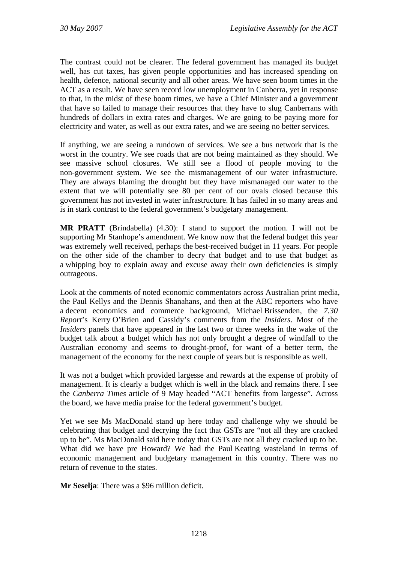The contrast could not be clearer. The federal government has managed its budget well, has cut taxes, has given people opportunities and has increased spending on health, defence, national security and all other areas. We have seen boom times in the ACT as a result. We have seen record low unemployment in Canberra, yet in response to that, in the midst of these boom times, we have a Chief Minister and a government that have so failed to manage their resources that they have to slug Canberrans with hundreds of dollars in extra rates and charges. We are going to be paying more for electricity and water, as well as our extra rates, and we are seeing no better services.

If anything, we are seeing a rundown of services. We see a bus network that is the worst in the country. We see roads that are not being maintained as they should. We see massive school closures. We still see a flood of people moving to the non-government system. We see the mismanagement of our water infrastructure. They are always blaming the drought but they have mismanaged our water to the extent that we will potentially see 80 per cent of our ovals closed because this government has not invested in water infrastructure. It has failed in so many areas and is in stark contrast to the federal government's budgetary management.

**MR PRATT** (Brindabella) (4.30): I stand to support the motion. I will not be supporting Mr Stanhope's amendment. We know now that the federal budget this year was extremely well received, perhaps the best-received budget in 11 years. For people on the other side of the chamber to decry that budget and to use that budget as a whipping boy to explain away and excuse away their own deficiencies is simply outrageous.

Look at the comments of noted economic commentators across Australian print media, the Paul Kellys and the Dennis Shanahans, and then at the ABC reporters who have a decent economics and commerce background, Michael Brissenden, the *7.30 Report*'s Kerry O'Brien and Cassidy's comments from the *Insiders*. Most of the *Insiders* panels that have appeared in the last two or three weeks in the wake of the budget talk about a budget which has not only brought a degree of windfall to the Australian economy and seems to drought-proof, for want of a better term, the management of the economy for the next couple of years but is responsible as well.

It was not a budget which provided largesse and rewards at the expense of probity of management. It is clearly a budget which is well in the black and remains there. I see the *Canberra Times* article of 9 May headed "ACT benefits from largesse". Across the board, we have media praise for the federal government's budget.

Yet we see Ms MacDonald stand up here today and challenge why we should be celebrating that budget and decrying the fact that GSTs are "not all they are cracked up to be". Ms MacDonald said here today that GSTs are not all they cracked up to be. What did we have pre Howard? We had the Paul Keating wasteland in terms of economic management and budgetary management in this country. There was no return of revenue to the states.

**Mr Seselja**: There was a \$96 million deficit.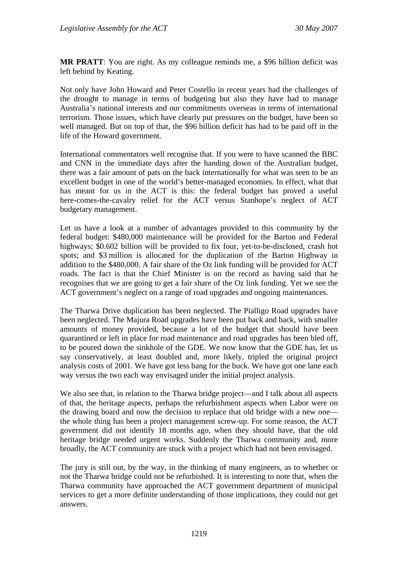**MR PRATT**: You are right. As my colleague reminds me, a \$96 billion deficit was left behind by Keating.

Not only have John Howard and Peter Costello in recent years had the challenges of the drought to manage in terms of budgeting but also they have had to manage Australia's national interests and our commitments overseas in terms of international terrorism. Those issues, which have clearly put pressures on the budget, have been so well managed. But on top of that, the \$96 billion deficit has had to be paid off in the life of the Howard government.

International commentators well recognise that. If you were to have scanned the BBC and CNN in the immediate days after the handing down of the Australian budget, there was a fair amount of pats on the back internationally for what was seen to be an excellent budget in one of the world's better-managed economies. In effect, what that has meant for us in the ACT is this: the federal budget has proved a useful here-comes-the-cavalry relief for the ACT versus Stanhope's neglect of ACT budgetary management.

Let us have a look at a number of advantages provided to this community by the federal budget: \$480,000 maintenance will be provided for the Barton and Federal highways; \$0.602 billion will be provided to fix four, yet-to-be-disclosed, crash hot spots; and \$3 million is allocated for the duplication of the Barton Highway in addition to the \$480,000. A fair share of the Oz link funding will be provided for ACT roads. The fact is that the Chief Minister is on the record as having said that he recognises that we are going to get a fair share of the Oz link funding. Yet we see the ACT government's neglect on a range of road upgrades and ongoing maintenances.

The Tharwa Drive duplication has been neglected. The Pialligo Road upgrades have been neglected. The Majura Road upgrades have been put back and back, with smaller amounts of money provided, because a lot of the budget that should have been quarantined or left in place for road maintenance and road upgrades has been bled off, to be poured down the sinkhole of the GDE. We now know that the GDE has, let us say conservatively, at least doubled and, more likely, tripled the original project analysis costs of 2001. We have got less bang for the buck. We have got one lane each way versus the two each way envisaged under the initial project analysis.

We also see that, in relation to the Tharwa bridge project—and I talk about all aspects of that, the heritage aspects, perhaps the refurbishment aspects when Labor were on the drawing board and now the decision to replace that old bridge with a new one the whole thing has been a project management screw-up. For some reason, the ACT government did not identify 18 months ago, when they should have, that the old heritage bridge needed urgent works. Suddenly the Tharwa community and, more broadly, the ACT community are stuck with a project which had not been envisaged.

The jury is still out, by the way, in the thinking of many engineers, as to whether or not the Tharwa bridge could not be refurbished. It is interesting to note that, when the Tharwa community have approached the ACT government department of municipal services to get a more definite understanding of those implications, they could not get answers.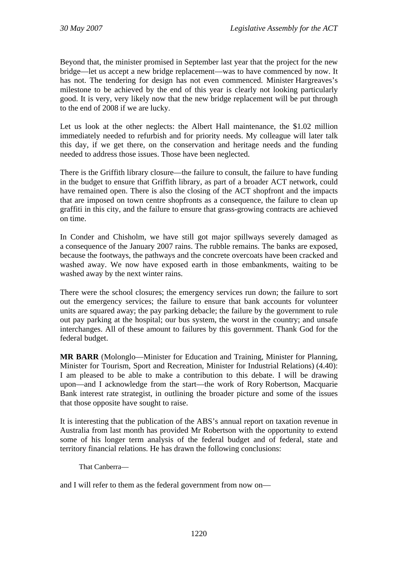Beyond that, the minister promised in September last year that the project for the new bridge—let us accept a new bridge replacement—was to have commenced by now. It has not. The tendering for design has not even commenced. Minister Hargreaves's milestone to be achieved by the end of this year is clearly not looking particularly good. It is very, very likely now that the new bridge replacement will be put through to the end of 2008 if we are lucky.

Let us look at the other neglects: the Albert Hall maintenance, the \$1.02 million immediately needed to refurbish and for priority needs. My colleague will later talk this day, if we get there, on the conservation and heritage needs and the funding needed to address those issues. Those have been neglected.

There is the Griffith library closure—the failure to consult, the failure to have funding in the budget to ensure that Griffith library, as part of a broader ACT network, could have remained open. There is also the closing of the ACT shopfront and the impacts that are imposed on town centre shopfronts as a consequence, the failure to clean up graffiti in this city, and the failure to ensure that grass-growing contracts are achieved on time.

In Conder and Chisholm, we have still got major spillways severely damaged as a consequence of the January 2007 rains. The rubble remains. The banks are exposed, because the footways, the pathways and the concrete overcoats have been cracked and washed away. We now have exposed earth in those embankments, waiting to be washed away by the next winter rains.

There were the school closures; the emergency services run down; the failure to sort out the emergency services; the failure to ensure that bank accounts for volunteer units are squared away; the pay parking debacle; the failure by the government to rule out pay parking at the hospital; our bus system, the worst in the country; and unsafe interchanges. All of these amount to failures by this government. Thank God for the federal budget.

**MR BARR** (Molonglo—Minister for Education and Training, Minister for Planning, Minister for Tourism, Sport and Recreation, Minister for Industrial Relations) (4.40): I am pleased to be able to make a contribution to this debate. I will be drawing upon—and I acknowledge from the start—the work of Rory Robertson, Macquarie Bank interest rate strategist, in outlining the broader picture and some of the issues that those opposite have sought to raise.

It is interesting that the publication of the ABS's annual report on taxation revenue in Australia from last month has provided Mr Robertson with the opportunity to extend some of his longer term analysis of the federal budget and of federal, state and territory financial relations. He has drawn the following conclusions:

That Canberra—

and I will refer to them as the federal government from now on—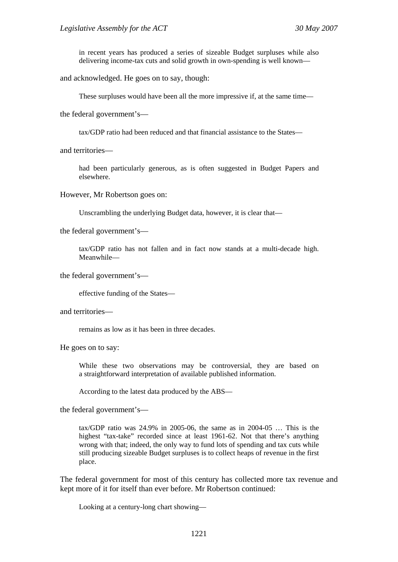in recent years has produced a series of sizeable Budget surpluses while also delivering income-tax cuts and solid growth in own-spending is well known—

and acknowledged. He goes on to say, though:

These surpluses would have been all the more impressive if, at the same time—

the federal government's—

tax/GDP ratio had been reduced and that financial assistance to the States—

and territories—

had been particularly generous, as is often suggested in Budget Papers and elsewhere.

However, Mr Robertson goes on:

Unscrambling the underlying Budget data, however, it is clear that—

the federal government's—

tax/GDP ratio has not fallen and in fact now stands at a multi-decade high. Meanwhile—

the federal government's—

effective funding of the States—

and territories—

remains as low as it has been in three decades.

He goes on to say:

While these two observations may be controversial, they are based on a straightforward interpretation of available published information.

According to the latest data produced by the ABS—

the federal government's—

tax/GDP ratio was 24.9% in 2005-06, the same as in 2004-05 … This is the highest "tax-take" recorded since at least 1961-62. Not that there's anything wrong with that; indeed, the only way to fund lots of spending and tax cuts while still producing sizeable Budget surpluses is to collect heaps of revenue in the first place.

The federal government for most of this century has collected more tax revenue and kept more of it for itself than ever before. Mr Robertson continued:

Looking at a century-long chart showing—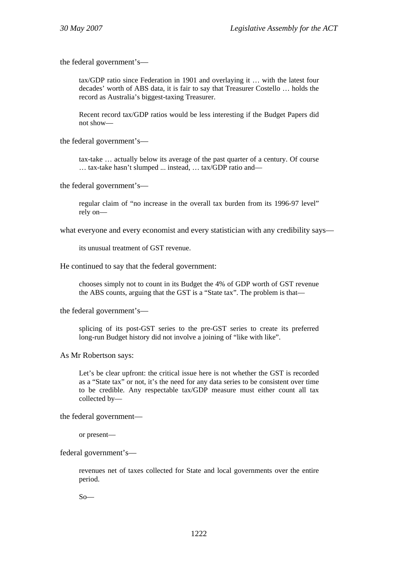the federal government's—

tax/GDP ratio since Federation in 1901 and overlaying it … with the latest four decades' worth of ABS data, it is fair to say that Treasurer Costello … holds the record as Australia's biggest-taxing Treasurer.

Recent record tax/GDP ratios would be less interesting if the Budget Papers did not show—

the federal government's—

tax-take … actually below its average of the past quarter of a century. Of course … tax-take hasn't slumped ... instead, … tax/GDP ratio and—

the federal government's—

regular claim of "no increase in the overall tax burden from its 1996-97 level" rely on—

what everyone and every economist and every statistician with any credibility says—

its unusual treatment of GST revenue.

He continued to say that the federal government:

chooses simply not to count in its Budget the 4% of GDP worth of GST revenue the ABS counts, arguing that the GST is a "State tax". The problem is that—

the federal government's—

splicing of its post-GST series to the pre-GST series to create its preferred long-run Budget history did not involve a joining of "like with like".

As Mr Robertson says:

Let's be clear upfront: the critical issue here is not whether the GST is recorded as a "State tax" or not, it's the need for any data series to be consistent over time to be credible. Any respectable tax/GDP measure must either count all tax collected by—

the federal government—

or present—

federal government's—

revenues net of taxes collected for State and local governments over the entire period.

 $So$ —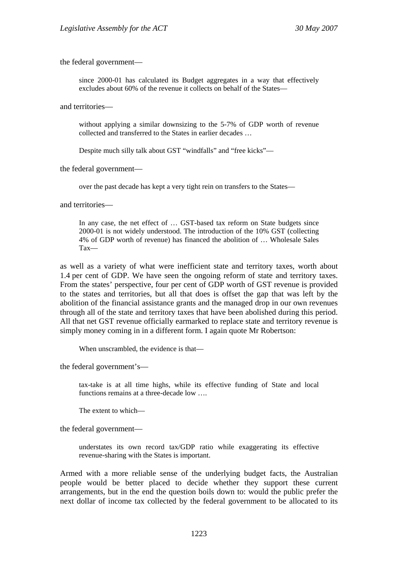the federal government—

since 2000-01 has calculated its Budget aggregates in a way that effectively excludes about 60% of the revenue it collects on behalf of the States—

and territories—

without applying a similar downsizing to the 5-7% of GDP worth of revenue collected and transferred to the States in earlier decades …

Despite much silly talk about GST "windfalls" and "free kicks"—

the federal government—

over the past decade has kept a very tight rein on transfers to the States—

and territories—

In any case, the net effect of ... GST-based tax reform on State budgets since 2000-01 is not widely understood. The introduction of the 10% GST (collecting 4% of GDP worth of revenue) has financed the abolition of … Wholesale Sales Tax—

as well as a variety of what were inefficient state and territory taxes, worth about 1.4 per cent of GDP. We have seen the ongoing reform of state and territory taxes. From the states' perspective, four per cent of GDP worth of GST revenue is provided to the states and territories, but all that does is offset the gap that was left by the abolition of the financial assistance grants and the managed drop in our own revenues through all of the state and territory taxes that have been abolished during this period. All that net GST revenue officially earmarked to replace state and territory revenue is simply money coming in in a different form. I again quote Mr Robertson:

When unscrambled, the evidence is that—

the federal government's—

tax-take is at all time highs, while its effective funding of State and local functions remains at a three-decade low ….

The extent to which—

the federal government—

understates its own record tax/GDP ratio while exaggerating its effective revenue-sharing with the States is important.

Armed with a more reliable sense of the underlying budget facts, the Australian people would be better placed to decide whether they support these current arrangements, but in the end the question boils down to: would the public prefer the next dollar of income tax collected by the federal government to be allocated to its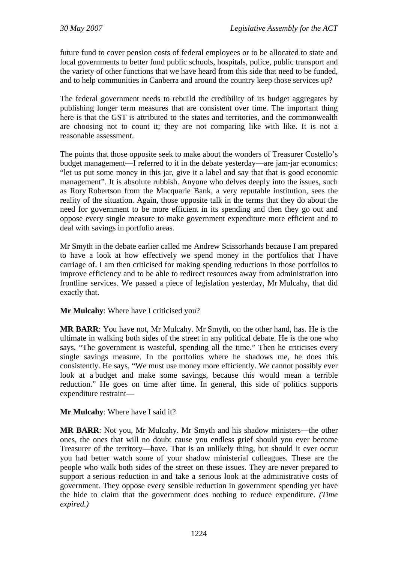future fund to cover pension costs of federal employees or to be allocated to state and local governments to better fund public schools, hospitals, police, public transport and the variety of other functions that we have heard from this side that need to be funded, and to help communities in Canberra and around the country keep those services up?

The federal government needs to rebuild the credibility of its budget aggregates by publishing longer term measures that are consistent over time. The important thing here is that the GST is attributed to the states and territories, and the commonwealth are choosing not to count it; they are not comparing like with like. It is not a reasonable assessment.

The points that those opposite seek to make about the wonders of Treasurer Costello's budget management—I referred to it in the debate yesterday—are jam-jar economics: "let us put some money in this jar, give it a label and say that that is good economic management". It is absolute rubbish. Anyone who delves deeply into the issues, such as Rory Robertson from the Macquarie Bank, a very reputable institution, sees the reality of the situation. Again, those opposite talk in the terms that they do about the need for government to be more efficient in its spending and then they go out and oppose every single measure to make government expenditure more efficient and to deal with savings in portfolio areas.

Mr Smyth in the debate earlier called me Andrew Scissorhands because I am prepared to have a look at how effectively we spend money in the portfolios that I have carriage of. I am then criticised for making spending reductions in those portfolios to improve efficiency and to be able to redirect resources away from administration into frontline services. We passed a piece of legislation yesterday, Mr Mulcahy, that did exactly that.

**Mr Mulcahy**: Where have I criticised you?

**MR BARR**: You have not, Mr Mulcahy. Mr Smyth, on the other hand, has. He is the ultimate in walking both sides of the street in any political debate. He is the one who says, "The government is wasteful, spending all the time." Then he criticises every single savings measure. In the portfolios where he shadows me, he does this consistently. He says, "We must use money more efficiently. We cannot possibly ever look at a budget and make some savings, because this would mean a terrible reduction." He goes on time after time. In general, this side of politics supports expenditure restraint—

**Mr Mulcahy**: Where have I said it?

**MR BARR**: Not you, Mr Mulcahy. Mr Smyth and his shadow ministers—the other ones, the ones that will no doubt cause you endless grief should you ever become Treasurer of the territory—have. That is an unlikely thing, but should it ever occur you had better watch some of your shadow ministerial colleagues. These are the people who walk both sides of the street on these issues. They are never prepared to support a serious reduction in and take a serious look at the administrative costs of government. They oppose every sensible reduction in government spending yet have the hide to claim that the government does nothing to reduce expenditure. *(Time expired.)*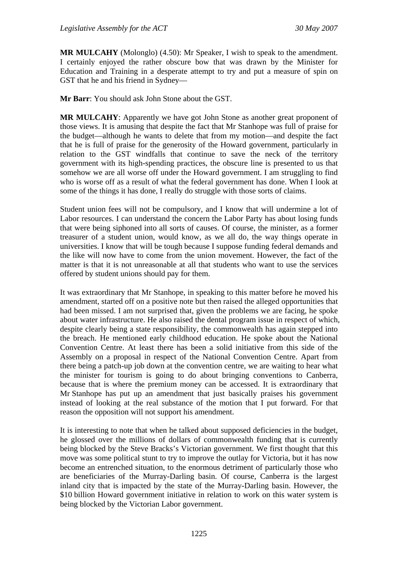**MR MULCAHY** (Molonglo) (4.50): Mr Speaker, I wish to speak to the amendment. I certainly enjoyed the rather obscure bow that was drawn by the Minister for Education and Training in a desperate attempt to try and put a measure of spin on GST that he and his friend in Sydney—

**Mr Barr**: You should ask John Stone about the GST.

**MR MULCAHY**: Apparently we have got John Stone as another great proponent of those views. It is amusing that despite the fact that Mr Stanhope was full of praise for the budget—although he wants to delete that from my motion—and despite the fact that he is full of praise for the generosity of the Howard government, particularly in relation to the GST windfalls that continue to save the neck of the territory government with its high-spending practices, the obscure line is presented to us that somehow we are all worse off under the Howard government. I am struggling to find who is worse off as a result of what the federal government has done. When I look at some of the things it has done, I really do struggle with those sorts of claims.

Student union fees will not be compulsory, and I know that will undermine a lot of Labor resources. I can understand the concern the Labor Party has about losing funds that were being siphoned into all sorts of causes. Of course, the minister, as a former treasurer of a student union, would know, as we all do, the way things operate in universities. I know that will be tough because I suppose funding federal demands and the like will now have to come from the union movement. However, the fact of the matter is that it is not unreasonable at all that students who want to use the services offered by student unions should pay for them.

It was extraordinary that Mr Stanhope, in speaking to this matter before he moved his amendment, started off on a positive note but then raised the alleged opportunities that had been missed. I am not surprised that, given the problems we are facing, he spoke about water infrastructure. He also raised the dental program issue in respect of which, despite clearly being a state responsibility, the commonwealth has again stepped into the breach. He mentioned early childhood education. He spoke about the National Convention Centre. At least there has been a solid initiative from this side of the Assembly on a proposal in respect of the National Convention Centre. Apart from there being a patch-up job down at the convention centre, we are waiting to hear what the minister for tourism is going to do about bringing conventions to Canberra, because that is where the premium money can be accessed. It is extraordinary that Mr Stanhope has put up an amendment that just basically praises his government instead of looking at the real substance of the motion that I put forward. For that reason the opposition will not support his amendment.

It is interesting to note that when he talked about supposed deficiencies in the budget, he glossed over the millions of dollars of commonwealth funding that is currently being blocked by the Steve Bracks's Victorian government. We first thought that this move was some political stunt to try to improve the outlay for Victoria, but it has now become an entrenched situation, to the enormous detriment of particularly those who are beneficiaries of the Murray-Darling basin. Of course, Canberra is the largest inland city that is impacted by the state of the Murray-Darling basin. However, the \$10 billion Howard government initiative in relation to work on this water system is being blocked by the Victorian Labor government.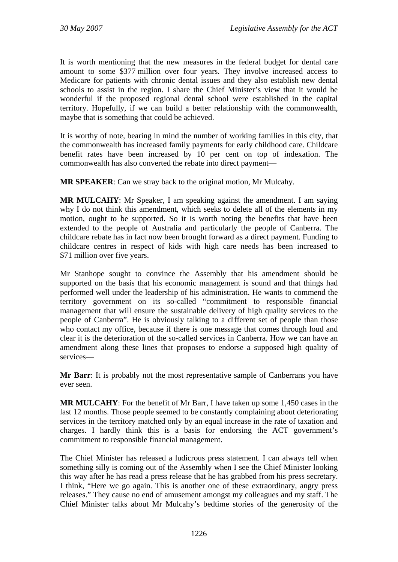It is worth mentioning that the new measures in the federal budget for dental care amount to some \$377 million over four years. They involve increased access to Medicare for patients with chronic dental issues and they also establish new dental schools to assist in the region. I share the Chief Minister's view that it would be wonderful if the proposed regional dental school were established in the capital territory. Hopefully, if we can build a better relationship with the commonwealth, maybe that is something that could be achieved.

It is worthy of note, bearing in mind the number of working families in this city, that the commonwealth has increased family payments for early childhood care. Childcare benefit rates have been increased by 10 per cent on top of indexation. The commonwealth has also converted the rebate into direct payment—

**MR SPEAKER**: Can we stray back to the original motion, Mr Mulcahy.

**MR MULCAHY**: Mr Speaker, I am speaking against the amendment. I am saying why I do not think this amendment, which seeks to delete all of the elements in my motion, ought to be supported. So it is worth noting the benefits that have been extended to the people of Australia and particularly the people of Canberra. The childcare rebate has in fact now been brought forward as a direct payment. Funding to childcare centres in respect of kids with high care needs has been increased to \$71 million over five years.

Mr Stanhope sought to convince the Assembly that his amendment should be supported on the basis that his economic management is sound and that things had performed well under the leadership of his administration. He wants to commend the territory government on its so-called "commitment to responsible financial management that will ensure the sustainable delivery of high quality services to the people of Canberra". He is obviously talking to a different set of people than those who contact my office, because if there is one message that comes through loud and clear it is the deterioration of the so-called services in Canberra. How we can have an amendment along these lines that proposes to endorse a supposed high quality of services—

**Mr Barr**: It is probably not the most representative sample of Canberrans you have ever seen.

**MR MULCAHY**: For the benefit of Mr Barr, I have taken up some 1,450 cases in the last 12 months. Those people seemed to be constantly complaining about deteriorating services in the territory matched only by an equal increase in the rate of taxation and charges. I hardly think this is a basis for endorsing the ACT government's commitment to responsible financial management.

The Chief Minister has released a ludicrous press statement. I can always tell when something silly is coming out of the Assembly when I see the Chief Minister looking this way after he has read a press release that he has grabbed from his press secretary. I think, "Here we go again. This is another one of these extraordinary, angry press releases." They cause no end of amusement amongst my colleagues and my staff. The Chief Minister talks about Mr Mulcahy's bedtime stories of the generosity of the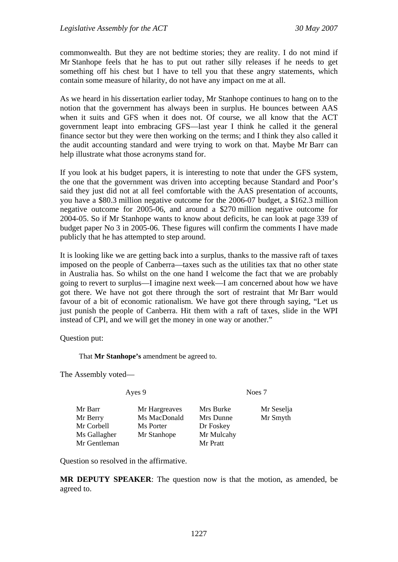commonwealth. But they are not bedtime stories; they are reality. I do not mind if Mr Stanhope feels that he has to put out rather silly releases if he needs to get something off his chest but I have to tell you that these angry statements, which contain some measure of hilarity, do not have any impact on me at all.

As we heard in his dissertation earlier today, Mr Stanhope continues to hang on to the notion that the government has always been in surplus. He bounces between AAS when it suits and GFS when it does not. Of course, we all know that the ACT government leapt into embracing GFS—last year I think he called it the general finance sector but they were then working on the terms; and I think they also called it the audit accounting standard and were trying to work on that. Maybe Mr Barr can help illustrate what those acronyms stand for.

If you look at his budget papers, it is interesting to note that under the GFS system, the one that the government was driven into accepting because Standard and Poor's said they just did not at all feel comfortable with the AAS presentation of accounts, you have a \$80.3 million negative outcome for the 2006-07 budget, a \$162.3 million negative outcome for 2005-06, and around a \$270 million negative outcome for 2004-05. So if Mr Stanhope wants to know about deficits, he can look at page 339 of budget paper No 3 in 2005-06. These figures will confirm the comments I have made publicly that he has attempted to step around.

It is looking like we are getting back into a surplus, thanks to the massive raft of taxes imposed on the people of Canberra—taxes such as the utilities tax that no other state in Australia has. So whilst on the one hand I welcome the fact that we are probably going to revert to surplus—I imagine next week—I am concerned about how we have got there. We have not got there through the sort of restraint that Mr Barr would favour of a bit of economic rationalism. We have got there through saying, "Let us just punish the people of Canberra. Hit them with a raft of taxes, slide in the WPI instead of CPI, and we will get the money in one way or another."

Question put:

That **Mr Stanhope's** amendment be agreed to.

The Assembly voted—

| Mr Barr      | Mr Hargreaves | Mrs Burke  | Mr Seselja |
|--------------|---------------|------------|------------|
| Mr Berry     | Ms MacDonald  | Mrs Dunne  | Mr Smyth   |
| Mr Corbell   | Ms Porter     | Dr Foskey  |            |
| Ms Gallagher | Mr Stanhope   | Mr Mulcahy |            |
| Mr Gentleman |               | Mr Pratt   |            |
|              |               |            |            |

Ayes 9 Noes 7

Question so resolved in the affirmative.

**MR DEPUTY SPEAKER**: The question now is that the motion, as amended, be agreed to.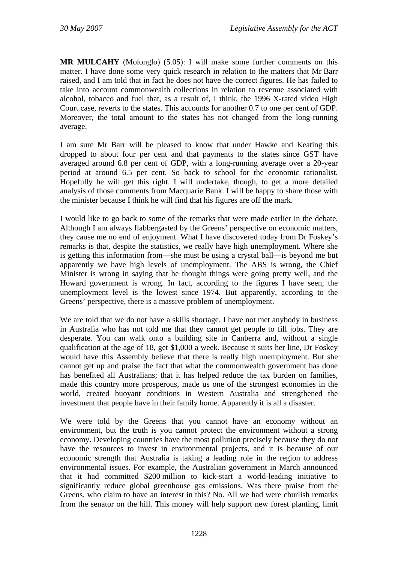**MR MULCAHY** (Molonglo) (5.05): I will make some further comments on this matter. I have done some very quick research in relation to the matters that Mr Barr raised, and I am told that in fact he does not have the correct figures. He has failed to take into account commonwealth collections in relation to revenue associated with alcohol, tobacco and fuel that, as a result of, I think, the 1996 X-rated video High Court case, reverts to the states. This accounts for another 0.7 to one per cent of GDP. Moreover, the total amount to the states has not changed from the long-running average.

I am sure Mr Barr will be pleased to know that under Hawke and Keating this dropped to about four per cent and that payments to the states since GST have averaged around 6.8 per cent of GDP, with a long-running average over a 20-year period at around 6.5 per cent. So back to school for the economic rationalist. Hopefully he will get this right. I will undertake, though, to get a more detailed analysis of those comments from Macquarie Bank. I will be happy to share those with the minister because I think he will find that his figures are off the mark.

I would like to go back to some of the remarks that were made earlier in the debate. Although I am always flabbergasted by the Greens' perspective on economic matters, they cause me no end of enjoyment. What I have discovered today from Dr Foskey's remarks is that, despite the statistics, we really have high unemployment. Where she is getting this information from—she must be using a crystal ball—is beyond me but apparently we have high levels of unemployment. The ABS is wrong, the Chief Minister is wrong in saying that he thought things were going pretty well, and the Howard government is wrong. In fact, according to the figures I have seen, the unemployment level is the lowest since 1974. But apparently, according to the Greens' perspective, there is a massive problem of unemployment.

We are told that we do not have a skills shortage. I have not met anybody in business in Australia who has not told me that they cannot get people to fill jobs. They are desperate. You can walk onto a building site in Canberra and, without a single qualification at the age of 18, get \$1,000 a week. Because it suits her line, Dr Foskey would have this Assembly believe that there is really high unemployment. But she cannot get up and praise the fact that what the commonwealth government has done has benefited all Australians; that it has helped reduce the tax burden on families, made this country more prosperous, made us one of the strongest economies in the world, created buoyant conditions in Western Australia and strengthened the investment that people have in their family home. Apparently it is all a disaster.

We were told by the Greens that you cannot have an economy without an environment, but the truth is you cannot protect the environment without a strong economy. Developing countries have the most pollution precisely because they do not have the resources to invest in environmental projects, and it is because of our economic strength that Australia is taking a leading role in the region to address environmental issues. For example, the Australian government in March announced that it had committed \$200 million to kick-start a world-leading initiative to significantly reduce global greenhouse gas emissions. Was there praise from the Greens, who claim to have an interest in this? No. All we had were churlish remarks from the senator on the hill. This money will help support new forest planting, limit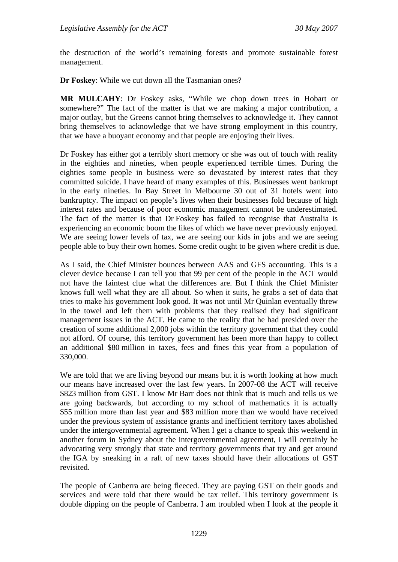the destruction of the world's remaining forests and promote sustainable forest management.

**Dr Foskey**: While we cut down all the Tasmanian ones?

**MR MULCAHY**: Dr Foskey asks, "While we chop down trees in Hobart or somewhere?" The fact of the matter is that we are making a major contribution, a major outlay, but the Greens cannot bring themselves to acknowledge it. They cannot bring themselves to acknowledge that we have strong employment in this country, that we have a buoyant economy and that people are enjoying their lives.

Dr Foskey has either got a terribly short memory or she was out of touch with reality in the eighties and nineties, when people experienced terrible times. During the eighties some people in business were so devastated by interest rates that they committed suicide. I have heard of many examples of this. Businesses went bankrupt in the early nineties. In Bay Street in Melbourne 30 out of 31 hotels went into bankruptcy. The impact on people's lives when their businesses fold because of high interest rates and because of poor economic management cannot be underestimated. The fact of the matter is that Dr Foskey has failed to recognise that Australia is experiencing an economic boom the likes of which we have never previously enjoyed. We are seeing lower levels of tax, we are seeing our kids in jobs and we are seeing people able to buy their own homes. Some credit ought to be given where credit is due.

As I said, the Chief Minister bounces between AAS and GFS accounting. This is a clever device because I can tell you that 99 per cent of the people in the ACT would not have the faintest clue what the differences are. But I think the Chief Minister knows full well what they are all about. So when it suits, he grabs a set of data that tries to make his government look good. It was not until Mr Quinlan eventually threw in the towel and left them with problems that they realised they had significant management issues in the ACT. He came to the reality that he had presided over the creation of some additional 2,000 jobs within the territory government that they could not afford. Of course, this territory government has been more than happy to collect an additional \$80 million in taxes, fees and fines this year from a population of 330,000.

We are told that we are living beyond our means but it is worth looking at how much our means have increased over the last few years. In 2007-08 the ACT will receive \$823 million from GST. I know Mr Barr does not think that is much and tells us we are going backwards, but according to my school of mathematics it is actually \$55 million more than last year and \$83 million more than we would have received under the previous system of assistance grants and inefficient territory taxes abolished under the intergovernmental agreement. When I get a chance to speak this weekend in another forum in Sydney about the intergovernmental agreement, I will certainly be advocating very strongly that state and territory governments that try and get around the IGA by sneaking in a raft of new taxes should have their allocations of GST revisited.

The people of Canberra are being fleeced. They are paying GST on their goods and services and were told that there would be tax relief. This territory government is double dipping on the people of Canberra. I am troubled when I look at the people it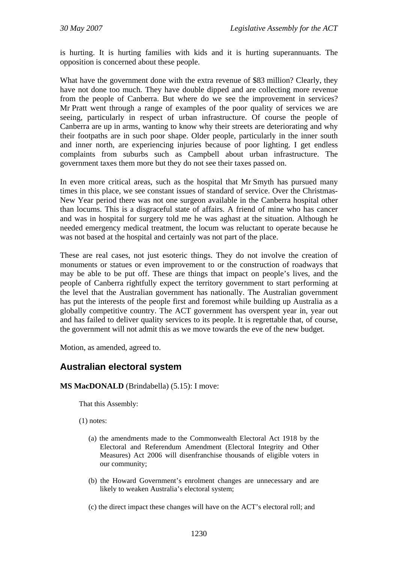is hurting. It is hurting families with kids and it is hurting superannuants. The opposition is concerned about these people.

What have the government done with the extra revenue of \$83 million? Clearly, they have not done too much. They have double dipped and are collecting more revenue from the people of Canberra. But where do we see the improvement in services? Mr Pratt went through a range of examples of the poor quality of services we are seeing, particularly in respect of urban infrastructure. Of course the people of Canberra are up in arms, wanting to know why their streets are deteriorating and why their footpaths are in such poor shape. Older people, particularly in the inner south and inner north, are experiencing injuries because of poor lighting. I get endless complaints from suburbs such as Campbell about urban infrastructure. The government taxes them more but they do not see their taxes passed on.

In even more critical areas, such as the hospital that Mr Smyth has pursued many times in this place, we see constant issues of standard of service. Over the Christmas-New Year period there was not one surgeon available in the Canberra hospital other than locums. This is a disgraceful state of affairs. A friend of mine who has cancer and was in hospital for surgery told me he was aghast at the situation. Although he needed emergency medical treatment, the locum was reluctant to operate because he was not based at the hospital and certainly was not part of the place.

These are real cases, not just esoteric things. They do not involve the creation of monuments or statues or even improvement to or the construction of roadways that may be able to be put off. These are things that impact on people's lives, and the people of Canberra rightfully expect the territory government to start performing at the level that the Australian government has nationally. The Australian government has put the interests of the people first and foremost while building up Australia as a globally competitive country. The ACT government has overspent year in, year out and has failed to deliver quality services to its people. It is regrettable that, of course, the government will not admit this as we move towards the eve of the new budget.

Motion, as amended, agreed to.

## **Australian electoral system**

#### **MS MacDONALD** (Brindabella) (5.15): I move:

That this Assembly:

(1) notes:

- (a) the amendments made to the Commonwealth Electoral Act 1918 by the Electoral and Referendum Amendment (Electoral Integrity and Other Measures) Act 2006 will disenfranchise thousands of eligible voters in our community;
- (b) the Howard Government's enrolment changes are unnecessary and are likely to weaken Australia's electoral system;
- (c) the direct impact these changes will have on the ACT's electoral roll; and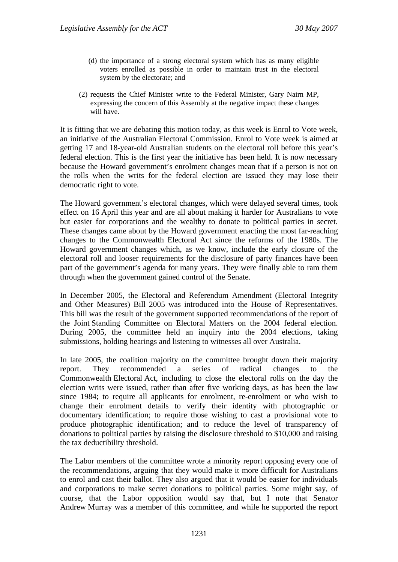- (d) the importance of a strong electoral system which has as many eligible voters enrolled as possible in order to maintain trust in the electoral system by the electorate; and
- (2) requests the Chief Minister write to the Federal Minister, Gary Nairn MP, expressing the concern of this Assembly at the negative impact these changes will have.

It is fitting that we are debating this motion today, as this week is Enrol to Vote week, an initiative of the Australian Electoral Commission. Enrol to Vote week is aimed at getting 17 and 18-year-old Australian students on the electoral roll before this year's federal election. This is the first year the initiative has been held. It is now necessary because the Howard government's enrolment changes mean that if a person is not on the rolls when the writs for the federal election are issued they may lose their democratic right to vote.

The Howard government's electoral changes, which were delayed several times, took effect on 16 April this year and are all about making it harder for Australians to vote but easier for corporations and the wealthy to donate to political parties in secret. These changes came about by the Howard government enacting the most far-reaching changes to the Commonwealth Electoral Act since the reforms of the 1980s. The Howard government changes which, as we know, include the early closure of the electoral roll and looser requirements for the disclosure of party finances have been part of the government's agenda for many years. They were finally able to ram them through when the government gained control of the Senate.

In December 2005, the Electoral and Referendum Amendment (Electoral Integrity and Other Measures) Bill 2005 was introduced into the House of Representatives. This bill was the result of the government supported recommendations of the report of the Joint Standing Committee on Electoral Matters on the 2004 federal election. During 2005, the committee held an inquiry into the 2004 elections, taking submissions, holding hearings and listening to witnesses all over Australia.

In late 2005, the coalition majority on the committee brought down their majority report. They recommended a series of radical changes to the Commonwealth Electoral Act, including to close the electoral rolls on the day the election writs were issued, rather than after five working days, as has been the law since 1984; to require all applicants for enrolment, re-enrolment or who wish to change their enrolment details to verify their identity with photographic or documentary identification; to require those wishing to cast a provisional vote to produce photographic identification; and to reduce the level of transparency of donations to political parties by raising the disclosure threshold to \$10,000 and raising the tax deductibility threshold.

The Labor members of the committee wrote a minority report opposing every one of the recommendations, arguing that they would make it more difficult for Australians to enrol and cast their ballot. They also argued that it would be easier for individuals and corporations to make secret donations to political parties. Some might say, of course, that the Labor opposition would say that, but I note that Senator Andrew Murray was a member of this committee, and while he supported the report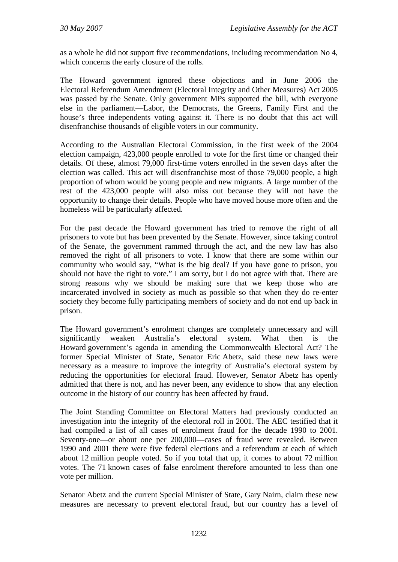as a whole he did not support five recommendations, including recommendation No 4, which concerns the early closure of the rolls.

The Howard government ignored these objections and in June 2006 the Electoral Referendum Amendment (Electoral Integrity and Other Measures) Act 2005 was passed by the Senate. Only government MPs supported the bill, with everyone else in the parliament—Labor, the Democrats, the Greens, Family First and the house's three independents voting against it. There is no doubt that this act will disenfranchise thousands of eligible voters in our community.

According to the Australian Electoral Commission, in the first week of the 2004 election campaign, 423,000 people enrolled to vote for the first time or changed their details. Of these, almost 79,000 first-time voters enrolled in the seven days after the election was called. This act will disenfranchise most of those 79,000 people, a high proportion of whom would be young people and new migrants. A large number of the rest of the 423,000 people will also miss out because they will not have the opportunity to change their details. People who have moved house more often and the homeless will be particularly affected.

For the past decade the Howard government has tried to remove the right of all prisoners to vote but has been prevented by the Senate. However, since taking control of the Senate, the government rammed through the act, and the new law has also removed the right of all prisoners to vote. I know that there are some within our community who would say, "What is the big deal? If you have gone to prison, you should not have the right to vote." I am sorry, but I do not agree with that. There are strong reasons why we should be making sure that we keep those who are incarcerated involved in society as much as possible so that when they do re-enter society they become fully participating members of society and do not end up back in prison.

The Howard government's enrolment changes are completely unnecessary and will significantly weaken Australia's electoral system. What then is the Howard government's agenda in amending the Commonwealth Electoral Act? The former Special Minister of State, Senator Eric Abetz, said these new laws were necessary as a measure to improve the integrity of Australia's electoral system by reducing the opportunities for electoral fraud. However, Senator Abetz has openly admitted that there is not, and has never been, any evidence to show that any election outcome in the history of our country has been affected by fraud.

The Joint Standing Committee on Electoral Matters had previously conducted an investigation into the integrity of the electoral roll in 2001. The AEC testified that it had compiled a list of all cases of enrolment fraud for the decade 1990 to 2001. Seventy-one—or about one per 200,000—cases of fraud were revealed. Between 1990 and 2001 there were five federal elections and a referendum at each of which about 12 million people voted. So if you total that up, it comes to about 72 million votes. The 71 known cases of false enrolment therefore amounted to less than one vote per million.

Senator Abetz and the current Special Minister of State, Gary Nairn, claim these new measures are necessary to prevent electoral fraud, but our country has a level of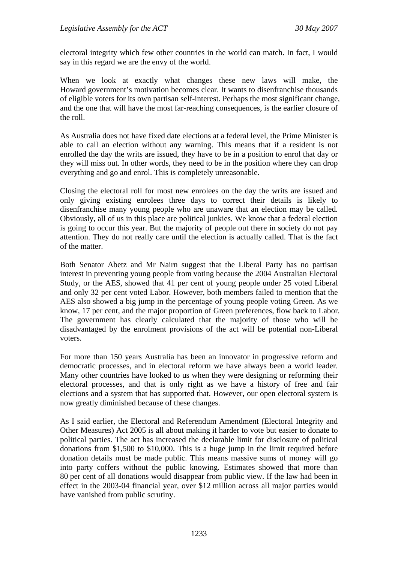electoral integrity which few other countries in the world can match. In fact, I would say in this regard we are the envy of the world.

When we look at exactly what changes these new laws will make, the Howard government's motivation becomes clear. It wants to disenfranchise thousands of eligible voters for its own partisan self-interest. Perhaps the most significant change, and the one that will have the most far-reaching consequences, is the earlier closure of the roll.

As Australia does not have fixed date elections at a federal level, the Prime Minister is able to call an election without any warning. This means that if a resident is not enrolled the day the writs are issued, they have to be in a position to enrol that day or they will miss out. In other words, they need to be in the position where they can drop everything and go and enrol. This is completely unreasonable.

Closing the electoral roll for most new enrolees on the day the writs are issued and only giving existing enrolees three days to correct their details is likely to disenfranchise many young people who are unaware that an election may be called. Obviously, all of us in this place are political junkies. We know that a federal election is going to occur this year. But the majority of people out there in society do not pay attention. They do not really care until the election is actually called. That is the fact of the matter.

Both Senator Abetz and Mr Nairn suggest that the Liberal Party has no partisan interest in preventing young people from voting because the 2004 Australian Electoral Study, or the AES, showed that 41 per cent of young people under 25 voted Liberal and only 32 per cent voted Labor. However, both members failed to mention that the AES also showed a big jump in the percentage of young people voting Green. As we know, 17 per cent, and the major proportion of Green preferences, flow back to Labor. The government has clearly calculated that the majority of those who will be disadvantaged by the enrolment provisions of the act will be potential non-Liberal voters.

For more than 150 years Australia has been an innovator in progressive reform and democratic processes, and in electoral reform we have always been a world leader. Many other countries have looked to us when they were designing or reforming their electoral processes, and that is only right as we have a history of free and fair elections and a system that has supported that. However, our open electoral system is now greatly diminished because of these changes.

As I said earlier, the Electoral and Referendum Amendment (Electoral Integrity and Other Measures) Act 2005 is all about making it harder to vote but easier to donate to political parties. The act has increased the declarable limit for disclosure of political donations from \$1,500 to \$10,000. This is a huge jump in the limit required before donation details must be made public. This means massive sums of money will go into party coffers without the public knowing. Estimates showed that more than 80 per cent of all donations would disappear from public view. If the law had been in effect in the 2003-04 financial year, over \$12 million across all major parties would have vanished from public scrutiny.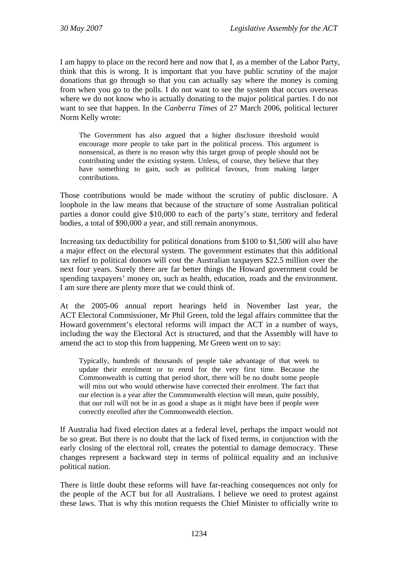I am happy to place on the record here and now that I, as a member of the Labor Party, think that this is wrong. It is important that you have public scrutiny of the major donations that go through so that you can actually say where the money is coming from when you go to the polls. I do not want to see the system that occurs overseas where we do not know who is actually donating to the major political parties. I do not want to see that happen. In the *Canberra Times* of 27 March 2006, political lecturer Norm Kelly wrote:

The Government has also argued that a higher disclosure threshold would encourage more people to take part in the political process. This argument is nonsensical, as there is no reason why this target group of people should not be contributing under the existing system. Unless, of course, they believe that they have something to gain, such as political favours, from making larger contributions.

Those contributions would be made without the scrutiny of public disclosure. A loophole in the law means that because of the structure of some Australian political parties a donor could give \$10,000 to each of the party's state, territory and federal bodies, a total of \$90,000 a year, and still remain anonymous.

Increasing tax deductibility for political donations from \$100 to \$1,500 will also have a major effect on the electoral system. The government estimates that this additional tax relief to political donors will cost the Australian taxpayers \$22.5 million over the next four years. Surely there are far better things the Howard government could be spending taxpayers' money on, such as health, education, roads and the environment. I am sure there are plenty more that we could think of.

At the 2005-06 annual report hearings held in November last year, the ACT Electoral Commissioner, Mr Phil Green, told the legal affairs committee that the Howard government's electoral reforms will impact the ACT in a number of ways, including the way the Electoral Act is structured, and that the Assembly will have to amend the act to stop this from happening. Mr Green went on to say:

Typically, hundreds of thousands of people take advantage of that week to update their enrolment or to enrol for the very first time. Because the Commonwealth is cutting that period short, there will be no doubt some people will miss out who would otherwise have corrected their enrolment. The fact that our election is a year after the Commonwealth election will mean, quite possibly, that our roll will not be in as good a shape as it might have been if people were correctly enrolled after the Commonwealth election.

If Australia had fixed election dates at a federal level, perhaps the impact would not be so great. But there is no doubt that the lack of fixed terms, in conjunction with the early closing of the electoral roll, creates the potential to damage democracy. These changes represent a backward step in terms of political equality and an inclusive political nation.

There is little doubt these reforms will have far-reaching consequences not only for the people of the ACT but for all Australians. I believe we need to protest against these laws. That is why this motion requests the Chief Minister to officially write to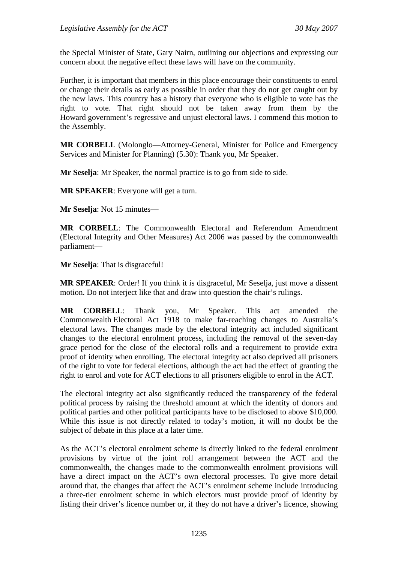the Special Minister of State, Gary Nairn, outlining our objections and expressing our concern about the negative effect these laws will have on the community.

Further, it is important that members in this place encourage their constituents to enrol or change their details as early as possible in order that they do not get caught out by the new laws. This country has a history that everyone who is eligible to vote has the right to vote. That right should not be taken away from them by the Howard government's regressive and unjust electoral laws. I commend this motion to the Assembly.

**MR CORBELL** (Molonglo—Attorney-General, Minister for Police and Emergency Services and Minister for Planning) (5.30): Thank you, Mr Speaker.

**Mr Seselja**: Mr Speaker, the normal practice is to go from side to side.

**MR SPEAKER**: Everyone will get a turn.

**Mr Seselja**: Not 15 minutes—

**MR CORBELL**: The Commonwealth Electoral and Referendum Amendment (Electoral Integrity and Other Measures) Act 2006 was passed by the commonwealth parliament—

**Mr Seselja**: That is disgraceful!

**MR SPEAKER**: Order! If you think it is disgraceful, Mr Seselja, just move a dissent motion. Do not interject like that and draw into question the chair's rulings.

**MR CORBELL**: Thank you, Mr Speaker. This act amended the Commonwealth Electoral Act 1918 to make far-reaching changes to Australia's electoral laws. The changes made by the electoral integrity act included significant changes to the electoral enrolment process, including the removal of the seven-day grace period for the close of the electoral rolls and a requirement to provide extra proof of identity when enrolling. The electoral integrity act also deprived all prisoners of the right to vote for federal elections, although the act had the effect of granting the right to enrol and vote for ACT elections to all prisoners eligible to enrol in the ACT.

The electoral integrity act also significantly reduced the transparency of the federal political process by raising the threshold amount at which the identity of donors and political parties and other political participants have to be disclosed to above \$10,000. While this issue is not directly related to today's motion, it will no doubt be the subject of debate in this place at a later time.

As the ACT's electoral enrolment scheme is directly linked to the federal enrolment provisions by virtue of the joint roll arrangement between the ACT and the commonwealth, the changes made to the commonwealth enrolment provisions will have a direct impact on the ACT's own electoral processes. To give more detail around that, the changes that affect the ACT's enrolment scheme include introducing a three-tier enrolment scheme in which electors must provide proof of identity by listing their driver's licence number or, if they do not have a driver's licence, showing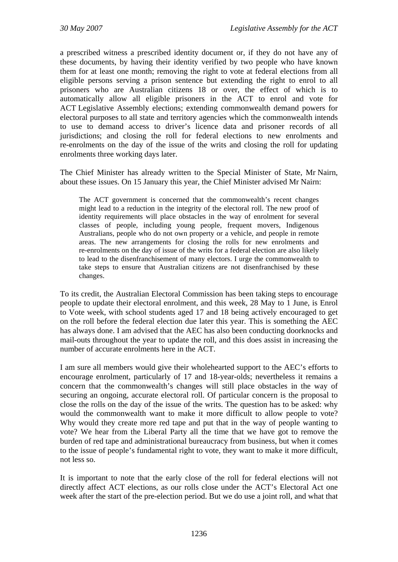a prescribed witness a prescribed identity document or, if they do not have any of these documents, by having their identity verified by two people who have known them for at least one month; removing the right to vote at federal elections from all eligible persons serving a prison sentence but extending the right to enrol to all prisoners who are Australian citizens 18 or over, the effect of which is to automatically allow all eligible prisoners in the ACT to enrol and vote for ACT Legislative Assembly elections; extending commonwealth demand powers for electoral purposes to all state and territory agencies which the commonwealth intends to use to demand access to driver's licence data and prisoner records of all jurisdictions; and closing the roll for federal elections to new enrolments and re-enrolments on the day of the issue of the writs and closing the roll for updating enrolments three working days later.

The Chief Minister has already written to the Special Minister of State, Mr Nairn, about these issues. On 15 January this year, the Chief Minister advised Mr Nairn:

The ACT government is concerned that the commonwealth's recent changes might lead to a reduction in the integrity of the electoral roll. The new proof of identity requirements will place obstacles in the way of enrolment for several classes of people, including young people, frequent movers, Indigenous Australians, people who do not own property or a vehicle, and people in remote areas. The new arrangements for closing the rolls for new enrolments and re-enrolments on the day of issue of the writs for a federal election are also likely to lead to the disenfranchisement of many electors. I urge the commonwealth to take steps to ensure that Australian citizens are not disenfranchised by these changes.

To its credit, the Australian Electoral Commission has been taking steps to encourage people to update their electoral enrolment, and this week, 28 May to 1 June, is Enrol to Vote week, with school students aged 17 and 18 being actively encouraged to get on the roll before the federal election due later this year. This is something the AEC has always done. I am advised that the AEC has also been conducting doorknocks and mail-outs throughout the year to update the roll, and this does assist in increasing the number of accurate enrolments here in the ACT.

I am sure all members would give their wholehearted support to the AEC's efforts to encourage enrolment, particularly of 17 and 18-year-olds; nevertheless it remains a concern that the commonwealth's changes will still place obstacles in the way of securing an ongoing, accurate electoral roll. Of particular concern is the proposal to close the rolls on the day of the issue of the writs. The question has to be asked: why would the commonwealth want to make it more difficult to allow people to vote? Why would they create more red tape and put that in the way of people wanting to vote? We hear from the Liberal Party all the time that we have got to remove the burden of red tape and administrational bureaucracy from business, but when it comes to the issue of people's fundamental right to vote, they want to make it more difficult, not less so.

It is important to note that the early close of the roll for federal elections will not directly affect ACT elections, as our rolls close under the ACT's Electoral Act one week after the start of the pre-election period. But we do use a joint roll, and what that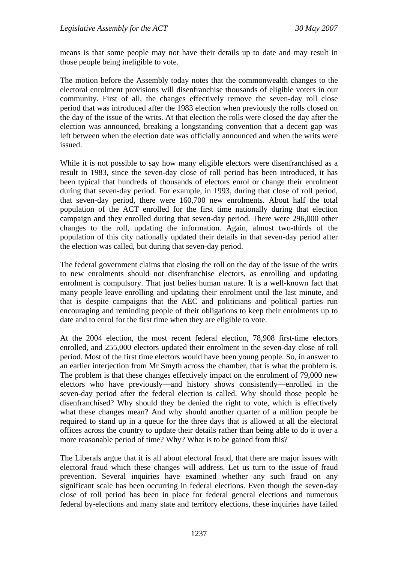means is that some people may not have their details up to date and may result in those people being ineligible to vote.

The motion before the Assembly today notes that the commonwealth changes to the electoral enrolment provisions will disenfranchise thousands of eligible voters in our community. First of all, the changes effectively remove the seven-day roll close period that was introduced after the 1983 election when previously the rolls closed on the day of the issue of the writs. At that election the rolls were closed the day after the election was announced, breaking a longstanding convention that a decent gap was left between when the election date was officially announced and when the writs were issued.

While it is not possible to say how many eligible electors were disenfranchised as a result in 1983, since the seven-day close of roll period has been introduced, it has been typical that hundreds of thousands of electors enrol or change their enrolment during that seven-day period. For example, in 1993, during that close of roll period, that seven-day period, there were 160,700 new enrolments. About half the total population of the ACT enrolled for the first time nationally during that election campaign and they enrolled during that seven-day period. There were 296,000 other changes to the roll, updating the information. Again, almost two-thirds of the population of this city nationally updated their details in that seven-day period after the election was called, but during that seven-day period.

The federal government claims that closing the roll on the day of the issue of the writs to new enrolments should not disenfranchise electors, as enrolling and updating enrolment is compulsory. That just belies human nature. It is a well-known fact that many people leave enrolling and updating their enrolment until the last minute, and that is despite campaigns that the AEC and politicians and political parties run encouraging and reminding people of their obligations to keep their enrolments up to date and to enrol for the first time when they are eligible to vote.

At the 2004 election, the most recent federal election, 78,908 first-time electors enrolled, and 255,000 electors updated their enrolment in the seven-day close of roll period. Most of the first time electors would have been young people. So, in answer to an earlier interjection from Mr Smyth across the chamber, that is what the problem is. The problem is that these changes effectively impact on the enrolment of 79,000 new electors who have previously—and history shows consistently—enrolled in the seven-day period after the federal election is called. Why should those people be disenfranchised? Why should they be denied the right to vote, which is effectively what these changes mean? And why should another quarter of a million people be required to stand up in a queue for the three days that is allowed at all the electoral offices across the country to update their details rather than being able to do it over a more reasonable period of time? Why? What is to be gained from this?

The Liberals argue that it is all about electoral fraud, that there are major issues with electoral fraud which these changes will address. Let us turn to the issue of fraud prevention. Several inquiries have examined whether any such fraud on any significant scale has been occurring in federal elections. Even though the seven-day close of roll period has been in place for federal general elections and numerous federal by-elections and many state and territory elections, these inquiries have failed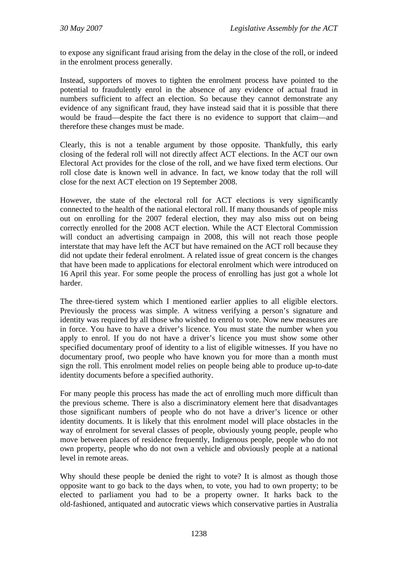to expose any significant fraud arising from the delay in the close of the roll, or indeed in the enrolment process generally.

Instead, supporters of moves to tighten the enrolment process have pointed to the potential to fraudulently enrol in the absence of any evidence of actual fraud in numbers sufficient to affect an election. So because they cannot demonstrate any evidence of any significant fraud, they have instead said that it is possible that there would be fraud—despite the fact there is no evidence to support that claim—and therefore these changes must be made.

Clearly, this is not a tenable argument by those opposite. Thankfully, this early closing of the federal roll will not directly affect ACT elections. In the ACT our own Electoral Act provides for the close of the roll, and we have fixed term elections. Our roll close date is known well in advance. In fact, we know today that the roll will close for the next ACT election on 19 September 2008.

However, the state of the electoral roll for ACT elections is very significantly connected to the health of the national electoral roll. If many thousands of people miss out on enrolling for the 2007 federal election, they may also miss out on being correctly enrolled for the 2008 ACT election. While the ACT Electoral Commission will conduct an advertising campaign in 2008, this will not reach those people interstate that may have left the ACT but have remained on the ACT roll because they did not update their federal enrolment. A related issue of great concern is the changes that have been made to applications for electoral enrolment which were introduced on 16 April this year. For some people the process of enrolling has just got a whole lot harder.

The three-tiered system which I mentioned earlier applies to all eligible electors. Previously the process was simple. A witness verifying a person's signature and identity was required by all those who wished to enrol to vote. Now new measures are in force. You have to have a driver's licence. You must state the number when you apply to enrol. If you do not have a driver's licence you must show some other specified documentary proof of identity to a list of eligible witnesses. If you have no documentary proof, two people who have known you for more than a month must sign the roll. This enrolment model relies on people being able to produce up-to-date identity documents before a specified authority.

For many people this process has made the act of enrolling much more difficult than the previous scheme. There is also a discriminatory element here that disadvantages those significant numbers of people who do not have a driver's licence or other identity documents. It is likely that this enrolment model will place obstacles in the way of enrolment for several classes of people, obviously young people, people who move between places of residence frequently, Indigenous people, people who do not own property, people who do not own a vehicle and obviously people at a national level in remote areas.

Why should these people be denied the right to vote? It is almost as though those opposite want to go back to the days when, to vote, you had to own property; to be elected to parliament you had to be a property owner. It harks back to the old-fashioned, antiquated and autocratic views which conservative parties in Australia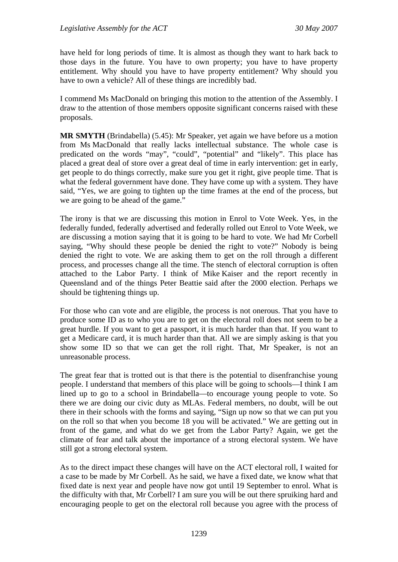have held for long periods of time. It is almost as though they want to hark back to those days in the future. You have to own property; you have to have property entitlement. Why should you have to have property entitlement? Why should you have to own a vehicle? All of these things are incredibly bad.

I commend Ms MacDonald on bringing this motion to the attention of the Assembly. I draw to the attention of those members opposite significant concerns raised with these proposals.

**MR SMYTH** (Brindabella) (5.45): Mr Speaker, yet again we have before us a motion from Ms MacDonald that really lacks intellectual substance. The whole case is predicated on the words "may", "could", "potential" and "likely". This place has placed a great deal of store over a great deal of time in early intervention: get in early, get people to do things correctly, make sure you get it right, give people time. That is what the federal government have done. They have come up with a system. They have said, "Yes, we are going to tighten up the time frames at the end of the process, but we are going to be ahead of the game."

The irony is that we are discussing this motion in Enrol to Vote Week. Yes, in the federally funded, federally advertised and federally rolled out Enrol to Vote Week, we are discussing a motion saying that it is going to be hard to vote. We had Mr Corbell saying, "Why should these people be denied the right to vote?" Nobody is being denied the right to vote. We are asking them to get on the roll through a different process, and processes change all the time. The stench of electoral corruption is often attached to the Labor Party. I think of Mike Kaiser and the report recently in Queensland and of the things Peter Beattie said after the 2000 election. Perhaps we should be tightening things up.

For those who can vote and are eligible, the process is not onerous. That you have to produce some ID as to who you are to get on the electoral roll does not seem to be a great hurdle. If you want to get a passport, it is much harder than that. If you want to get a Medicare card, it is much harder than that. All we are simply asking is that you show some ID so that we can get the roll right. That, Mr Speaker, is not an unreasonable process.

The great fear that is trotted out is that there is the potential to disenfranchise young people. I understand that members of this place will be going to schools—I think I am lined up to go to a school in Brindabella—to encourage young people to vote. So there we are doing our civic duty as MLAs. Federal members, no doubt, will be out there in their schools with the forms and saying, "Sign up now so that we can put you on the roll so that when you become 18 you will be activated." We are getting out in front of the game, and what do we get from the Labor Party? Again, we get the climate of fear and talk about the importance of a strong electoral system. We have still got a strong electoral system.

As to the direct impact these changes will have on the ACT electoral roll, I waited for a case to be made by Mr Corbell. As he said, we have a fixed date, we know what that fixed date is next year and people have now got until 19 September to enrol. What is the difficulty with that, Mr Corbell? I am sure you will be out there spruiking hard and encouraging people to get on the electoral roll because you agree with the process of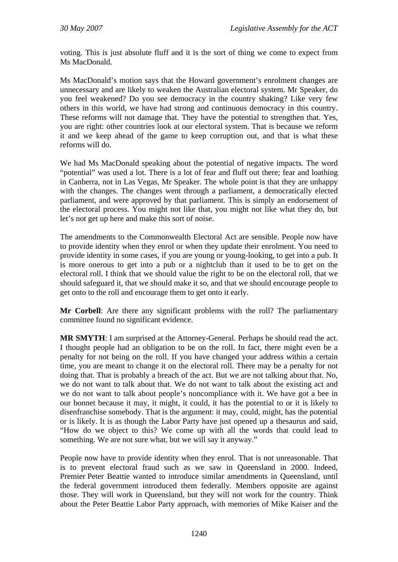voting. This is just absolute fluff and it is the sort of thing we come to expect from Ms MacDonald.

Ms MacDonald's motion says that the Howard government's enrolment changes are unnecessary and are likely to weaken the Australian electoral system. Mr Speaker, do you feel weakened? Do you see democracy in the country shaking? Like very few others in this world, we have had strong and continuous democracy in this country. These reforms will not damage that. They have the potential to strengthen that. Yes, you are right: other countries look at our electoral system. That is because we reform it and we keep ahead of the game to keep corruption out, and that is what these reforms will do.

We had Ms MacDonald speaking about the potential of negative impacts. The word "potential" was used a lot. There is a lot of fear and fluff out there; fear and loathing in Canberra, not in Las Vegas, Mr Speaker. The whole point is that they are unhappy with the changes. The changes went through a parliament, a democratically elected parliament, and were approved by that parliament. This is simply an endorsement of the electoral process. You might not like that, you might not like what they do, but let's not get up here and make this sort of noise.

The amendments to the Commonwealth Electoral Act are sensible. People now have to provide identity when they enrol or when they update their enrolment. You need to provide identity in some cases, if you are young or young-looking, to get into a pub. It is more onerous to get into a pub or a nightclub than it used to be to get on the electoral roll. I think that we should value the right to be on the electoral roll, that we should safeguard it, that we should make it so, and that we should encourage people to get onto to the roll and encourage them to get onto it early.

**Mr Corbell**: Are there any significant problems with the roll? The parliamentary committee found no significant evidence.

**MR SMYTH**: I am surprised at the Attorney-General. Perhaps he should read the act. I thought people had an obligation to be on the roll. In fact, there might even be a penalty for not being on the roll. If you have changed your address within a certain time, you are meant to change it on the electoral roll. There may be a penalty for not doing that. That is probably a breach of the act. But we are not talking about that. No, we do not want to talk about that. We do not want to talk about the existing act and we do not want to talk about people's noncompliance with it. We have got a bee in our bonnet because it may, it might, it could, it has the potential to or it is likely to disenfranchise somebody. That is the argument: it may, could, might, has the potential or is likely. It is as though the Labor Party have just opened up a thesaurus and said, "How do we object to this? We come up with all the words that could lead to something. We are not sure what, but we will say it anyway."

People now have to provide identity when they enrol. That is not unreasonable. That is to prevent electoral fraud such as we saw in Queensland in 2000. Indeed, Premier Peter Beattie wanted to introduce similar amendments in Queensland, until the federal government introduced them federally. Members opposite are against those. They will work in Queensland, but they will not work for the country. Think about the Peter Beattie Labor Party approach, with memories of Mike Kaiser and the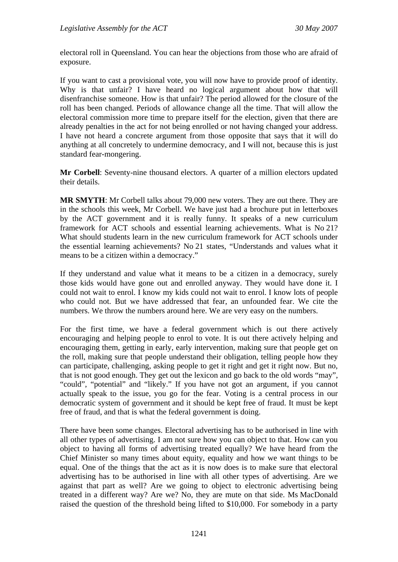electoral roll in Queensland. You can hear the objections from those who are afraid of exposure.

If you want to cast a provisional vote, you will now have to provide proof of identity. Why is that unfair? I have heard no logical argument about how that will disenfranchise someone. How is that unfair? The period allowed for the closure of the roll has been changed. Periods of allowance change all the time. That will allow the electoral commission more time to prepare itself for the election, given that there are already penalties in the act for not being enrolled or not having changed your address. I have not heard a concrete argument from those opposite that says that it will do anything at all concretely to undermine democracy, and I will not, because this is just standard fear-mongering.

**Mr Corbell**: Seventy-nine thousand electors. A quarter of a million electors updated their details.

**MR SMYTH**: Mr Corbell talks about 79,000 new voters. They are out there. They are in the schools this week, Mr Corbell. We have just had a brochure put in letterboxes by the ACT government and it is really funny. It speaks of a new curriculum framework for ACT schools and essential learning achievements. What is No 21? What should students learn in the new curriculum framework for ACT schools under the essential learning achievements? No 21 states, "Understands and values what it means to be a citizen within a democracy."

If they understand and value what it means to be a citizen in a democracy, surely those kids would have gone out and enrolled anyway. They would have done it. I could not wait to enrol. I know my kids could not wait to enrol. I know lots of people who could not. But we have addressed that fear, an unfounded fear. We cite the numbers. We throw the numbers around here. We are very easy on the numbers.

For the first time, we have a federal government which is out there actively encouraging and helping people to enrol to vote. It is out there actively helping and encouraging them, getting in early, early intervention, making sure that people get on the roll, making sure that people understand their obligation, telling people how they can participate, challenging, asking people to get it right and get it right now. But no, that is not good enough. They get out the lexicon and go back to the old words "may", "could", "potential" and "likely." If you have not got an argument, if you cannot actually speak to the issue, you go for the fear. Voting is a central process in our democratic system of government and it should be kept free of fraud. It must be kept free of fraud, and that is what the federal government is doing.

There have been some changes. Electoral advertising has to be authorised in line with all other types of advertising. I am not sure how you can object to that. How can you object to having all forms of advertising treated equally? We have heard from the Chief Minister so many times about equity, equality and how we want things to be equal. One of the things that the act as it is now does is to make sure that electoral advertising has to be authorised in line with all other types of advertising. Are we against that part as well? Are we going to object to electronic advertising being treated in a different way? Are we? No, they are mute on that side. Ms MacDonald raised the question of the threshold being lifted to \$10,000. For somebody in a party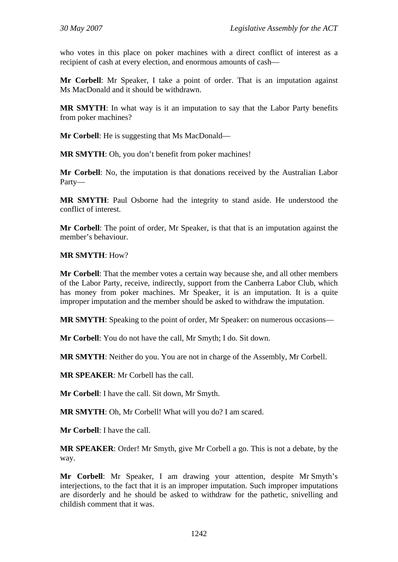who votes in this place on poker machines with a direct conflict of interest as a recipient of cash at every election, and enormous amounts of cash—

**Mr Corbell**: Mr Speaker, I take a point of order. That is an imputation against Ms MacDonald and it should be withdrawn.

**MR SMYTH**: In what way is it an imputation to say that the Labor Party benefits from poker machines?

**Mr Corbell:** He is suggesting that Ms MacDonald—

**MR SMYTH**: Oh, you don't benefit from poker machines!

**Mr Corbell**: No, the imputation is that donations received by the Australian Labor Party—

**MR SMYTH**: Paul Osborne had the integrity to stand aside. He understood the conflict of interest.

**Mr Corbell**: The point of order, Mr Speaker, is that that is an imputation against the member's behaviour.

#### **MR SMYTH**: How?

**Mr Corbell**: That the member votes a certain way because she, and all other members of the Labor Party, receive, indirectly, support from the Canberra Labor Club, which has money from poker machines. Mr Speaker, it is an imputation. It is a quite improper imputation and the member should be asked to withdraw the imputation.

**MR SMYTH**: Speaking to the point of order, Mr Speaker: on numerous occasions—

**Mr Corbell**: You do not have the call, Mr Smyth; I do. Sit down.

**MR SMYTH**: Neither do you. You are not in charge of the Assembly, Mr Corbell.

**MR SPEAKER**: Mr Corbell has the call.

**Mr Corbell**: I have the call. Sit down, Mr Smyth.

**MR SMYTH**: Oh, Mr Corbell! What will you do? I am scared.

**Mr Corbell**: I have the call.

**MR SPEAKER**: Order! Mr Smyth, give Mr Corbell a go. This is not a debate, by the way.

**Mr Corbell**: Mr Speaker, I am drawing your attention, despite Mr Smyth's interjections, to the fact that it is an improper imputation. Such improper imputations are disorderly and he should be asked to withdraw for the pathetic, snivelling and childish comment that it was.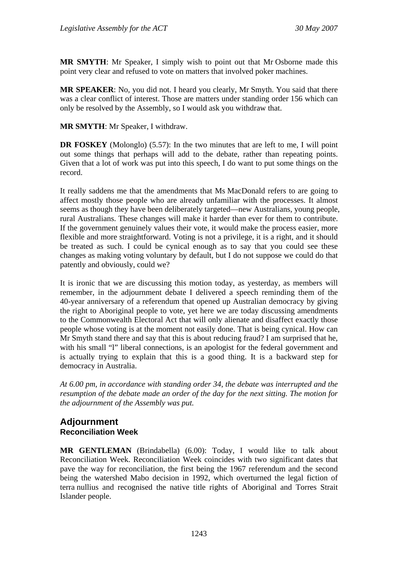**MR SMYTH**: Mr Speaker, I simply wish to point out that Mr Osborne made this point very clear and refused to vote on matters that involved poker machines.

**MR SPEAKER**: No, you did not. I heard you clearly, Mr Smyth. You said that there was a clear conflict of interest. Those are matters under standing order 156 which can only be resolved by the Assembly, so I would ask you withdraw that.

**MR SMYTH**: Mr Speaker, I withdraw.

**DR FOSKEY** (Molonglo) (5.57): In the two minutes that are left to me, I will point out some things that perhaps will add to the debate, rather than repeating points. Given that a lot of work was put into this speech, I do want to put some things on the record.

It really saddens me that the amendments that Ms MacDonald refers to are going to affect mostly those people who are already unfamiliar with the processes. It almost seems as though they have been deliberately targeted—new Australians, young people, rural Australians. These changes will make it harder than ever for them to contribute. If the government genuinely values their vote, it would make the process easier, more flexible and more straightforward. Voting is not a privilege, it is a right, and it should be treated as such. I could be cynical enough as to say that you could see these changes as making voting voluntary by default, but I do not suppose we could do that patently and obviously, could we?

It is ironic that we are discussing this motion today, as yesterday, as members will remember, in the adjournment debate I delivered a speech reminding them of the 40-year anniversary of a referendum that opened up Australian democracy by giving the right to Aboriginal people to vote, yet here we are today discussing amendments to the Commonwealth Electoral Act that will only alienate and disaffect exactly those people whose voting is at the moment not easily done. That is being cynical. How can Mr Smyth stand there and say that this is about reducing fraud? I am surprised that he, with his small "l" liberal connections, is an apologist for the federal government and is actually trying to explain that this is a good thing. It is a backward step for democracy in Australia.

*At 6.00 pm, in accordance with standing order 34, the debate was interrupted and the resumption of the debate made an order of the day for the next sitting. The motion for the adjournment of the Assembly was put.* 

## **Adjournment Reconciliation Week**

**MR GENTLEMAN** (Brindabella) (6.00): Today, I would like to talk about Reconciliation Week. Reconciliation Week coincides with two significant dates that pave the way for reconciliation, the first being the 1967 referendum and the second being the watershed Mabo decision in 1992, which overturned the legal fiction of terra nullius and recognised the native title rights of Aboriginal and Torres Strait Islander people.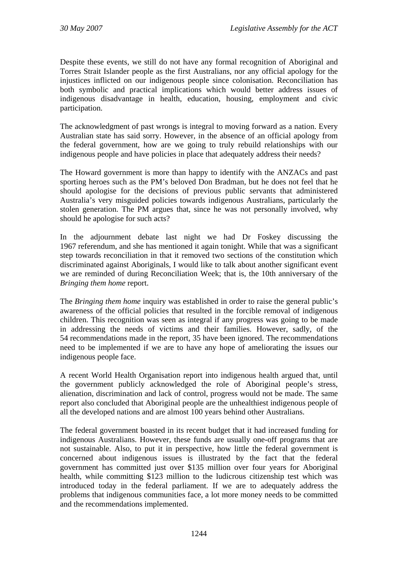Despite these events, we still do not have any formal recognition of Aboriginal and Torres Strait Islander people as the first Australians, nor any official apology for the injustices inflicted on our indigenous people since colonisation. Reconciliation has both symbolic and practical implications which would better address issues of indigenous disadvantage in health, education, housing, employment and civic participation.

The acknowledgment of past wrongs is integral to moving forward as a nation. Every Australian state has said sorry. However, in the absence of an official apology from the federal government, how are we going to truly rebuild relationships with our indigenous people and have policies in place that adequately address their needs?

The Howard government is more than happy to identify with the ANZACs and past sporting heroes such as the PM's beloved Don Bradman, but he does not feel that he should apologise for the decisions of previous public servants that administered Australia's very misguided policies towards indigenous Australians, particularly the stolen generation. The PM argues that, since he was not personally involved, why should he apologise for such acts?

In the adjournment debate last night we had Dr Foskey discussing the 1967 referendum, and she has mentioned it again tonight. While that was a significant step towards reconciliation in that it removed two sections of the constitution which discriminated against Aboriginals, I would like to talk about another significant event we are reminded of during Reconciliation Week; that is, the 10th anniversary of the *Bringing them home* report.

The *Bringing them home* inquiry was established in order to raise the general public's awareness of the official policies that resulted in the forcible removal of indigenous children. This recognition was seen as integral if any progress was going to be made in addressing the needs of victims and their families. However, sadly, of the 54 recommendations made in the report, 35 have been ignored. The recommendations need to be implemented if we are to have any hope of ameliorating the issues our indigenous people face.

A recent World Health Organisation report into indigenous health argued that, until the government publicly acknowledged the role of Aboriginal people's stress, alienation, discrimination and lack of control, progress would not be made. The same report also concluded that Aboriginal people are the unhealthiest indigenous people of all the developed nations and are almost 100 years behind other Australians.

The federal government boasted in its recent budget that it had increased funding for indigenous Australians. However, these funds are usually one-off programs that are not sustainable. Also, to put it in perspective, how little the federal government is concerned about indigenous issues is illustrated by the fact that the federal government has committed just over \$135 million over four years for Aboriginal health, while committing \$123 million to the ludicrous citizenship test which was introduced today in the federal parliament. If we are to adequately address the problems that indigenous communities face, a lot more money needs to be committed and the recommendations implemented.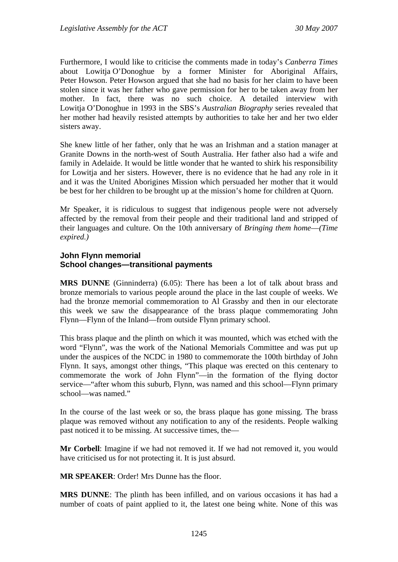Furthermore, I would like to criticise the comments made in today's *Canberra Times* about Lowitja O'Donoghue by a former Minister for Aboriginal Affairs, Peter Howson. Peter Howson argued that she had no basis for her claim to have been stolen since it was her father who gave permission for her to be taken away from her mother. In fact, there was no such choice. A detailed interview with Lowitja O'Donoghue in 1993 in the SBS's *Australian Biography* series revealed that her mother had heavily resisted attempts by authorities to take her and her two elder sisters away.

She knew little of her father, only that he was an Irishman and a station manager at Granite Downs in the north-west of South Australia. Her father also had a wife and family in Adelaide. It would be little wonder that he wanted to shirk his responsibility for Lowitja and her sisters. However, there is no evidence that he had any role in it and it was the United Aborigines Mission which persuaded her mother that it would be best for her children to be brought up at the mission's home for children at Quorn.

Mr Speaker, it is ridiculous to suggest that indigenous people were not adversely affected by the removal from their people and their traditional land and stripped of their languages and culture. On the 10th anniversary of *Bringing them home*—*(Time expired.)*

### **John Flynn memorial School changes—transitional payments**

**MRS DUNNE** (Ginninderra) (6.05): There has been a lot of talk about brass and bronze memorials to various people around the place in the last couple of weeks. We had the bronze memorial commemoration to Al Grassby and then in our electorate this week we saw the disappearance of the brass plaque commemorating John Flynn—Flynn of the Inland—from outside Flynn primary school.

This brass plaque and the plinth on which it was mounted, which was etched with the word "Flynn", was the work of the National Memorials Committee and was put up under the auspices of the NCDC in 1980 to commemorate the 100th birthday of John Flynn. It says, amongst other things, "This plaque was erected on this centenary to commemorate the work of John Flynn"—in the formation of the flying doctor service—"after whom this suburb, Flynn, was named and this school—Flynn primary school—was named."

In the course of the last week or so, the brass plaque has gone missing. The brass plaque was removed without any notification to any of the residents. People walking past noticed it to be missing. At successive times, the—

**Mr Corbell**: Imagine if we had not removed it. If we had not removed it, you would have criticised us for not protecting it. It is just absurd.

**MR SPEAKER**: Order! Mrs Dunne has the floor.

**MRS DUNNE**: The plinth has been infilled, and on various occasions it has had a number of coats of paint applied to it, the latest one being white. None of this was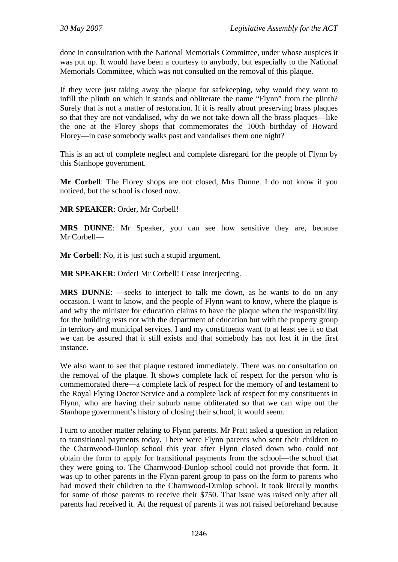done in consultation with the National Memorials Committee, under whose auspices it was put up. It would have been a courtesy to anybody, but especially to the National Memorials Committee, which was not consulted on the removal of this plaque.

If they were just taking away the plaque for safekeeping, why would they want to infill the plinth on which it stands and obliterate the name "Flynn" from the plinth? Surely that is not a matter of restoration. If it is really about preserving brass plaques so that they are not vandalised, why do we not take down all the brass plaques—like the one at the Florey shops that commemorates the 100th birthday of Howard Florey—in case somebody walks past and vandalises them one night?

This is an act of complete neglect and complete disregard for the people of Flynn by this Stanhope government.

**Mr Corbell**: The Florey shops are not closed, Mrs Dunne. I do not know if you noticed, but the school is closed now.

### **MR SPEAKER**: Order, Mr Corbell!

**MRS DUNNE**: Mr Speaker, you can see how sensitive they are, because Mr Corbell—

**Mr Corbell**: No, it is just such a stupid argument.

**MR SPEAKER**: Order! Mr Corbell! Cease interjecting.

**MRS DUNNE:** —seeks to interject to talk me down, as he wants to do on any occasion. I want to know, and the people of Flynn want to know, where the plaque is and why the minister for education claims to have the plaque when the responsibility for the building rests not with the department of education but with the property group in territory and municipal services. I and my constituents want to at least see it so that we can be assured that it still exists and that somebody has not lost it in the first instance.

We also want to see that plaque restored immediately. There was no consultation on the removal of the plaque. It shows complete lack of respect for the person who is commemorated there—a complete lack of respect for the memory of and testament to the Royal Flying Doctor Service and a complete lack of respect for my constituents in Flynn, who are having their suburb name obliterated so that we can wipe out the Stanhope government's history of closing their school, it would seem.

I turn to another matter relating to Flynn parents. Mr Pratt asked a question in relation to transitional payments today. There were Flynn parents who sent their children to the Charnwood-Dunlop school this year after Flynn closed down who could not obtain the form to apply for transitional payments from the school—the school that they were going to. The Charnwood-Dunlop school could not provide that form. It was up to other parents in the Flynn parent group to pass on the form to parents who had moved their children to the Charnwood-Dunlop school. It took literally months for some of those parents to receive their \$750. That issue was raised only after all parents had received it. At the request of parents it was not raised beforehand because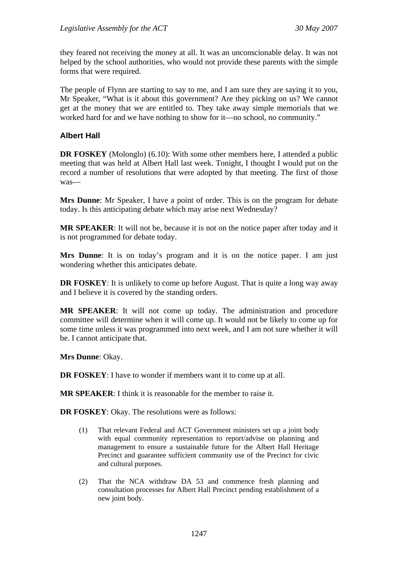they feared not receiving the money at all. It was an unconscionable delay. It was not helped by the school authorities, who would not provide these parents with the simple forms that were required.

The people of Flynn are starting to say to me, and I am sure they are saying it to you, Mr Speaker, "What is it about this government? Are they picking on us? We cannot get at the money that we are entitled to. They take away simple memorials that we worked hard for and we have nothing to show for it—no school, no community."

### **Albert Hall**

**DR FOSKEY** (Molonglo) (6.10): With some other members here, I attended a public meeting that was held at Albert Hall last week. Tonight, I thought I would put on the record a number of resolutions that were adopted by that meeting. The first of those was—

**Mrs Dunne**: Mr Speaker, I have a point of order. This is on the program for debate today. Is this anticipating debate which may arise next Wednesday?

**MR SPEAKER**: It will not be, because it is not on the notice paper after today and it is not programmed for debate today.

**Mrs Dunne**: It is on today's program and it is on the notice paper. I am just wondering whether this anticipates debate.

**DR FOSKEY:** It is unlikely to come up before August. That is quite a long way away and I believe it is covered by the standing orders.

**MR SPEAKER**: It will not come up today. The administration and procedure committee will determine when it will come up. It would not be likely to come up for some time unless it was programmed into next week, and I am not sure whether it will be. I cannot anticipate that.

**Mrs Dunne**: Okay.

**DR FOSKEY**: I have to wonder if members want it to come up at all.

**MR SPEAKER**: I think it is reasonable for the member to raise it.

**DR FOSKEY**: Okay. The resolutions were as follows:

- (1) That relevant Federal and ACT Government ministers set up a joint body with equal community representation to report/advise on planning and management to ensure a sustainable future for the Albert Hall Heritage Precinct and guarantee sufficient community use of the Precinct for civic and cultural purposes.
- (2) That the NCA withdraw DA 53 and commence fresh planning and consultation processes for Albert Hall Precinct pending establishment of a new joint body.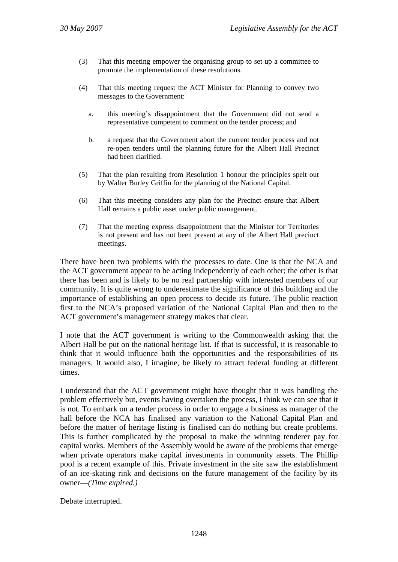- (3) That this meeting empower the organising group to set up a committee to promote the implementation of these resolutions.
- (4) That this meeting request the ACT Minister for Planning to convey two messages to the Government:
	- a. this meeting's disappointment that the Government did not send a representative competent to comment on the tender process; and
	- b. a request that the Government abort the current tender process and not re-open tenders until the planning future for the Albert Hall Precinct had been clarified.
- (5) That the plan resulting from Resolution 1 honour the principles spelt out by Walter Burley Griffin for the planning of the National Capital.
- (6) That this meeting considers any plan for the Precinct ensure that Albert Hall remains a public asset under public management.
- (7) That the meeting express disappointment that the Minister for Territories is not present and has not been present at any of the Albert Hall precinct meetings.

There have been two problems with the processes to date. One is that the NCA and the ACT government appear to be acting independently of each other; the other is that there has been and is likely to be no real partnership with interested members of our community. It is quite wrong to underestimate the significance of this building and the importance of establishing an open process to decide its future. The public reaction first to the NCA's proposed variation of the National Capital Plan and then to the ACT government's management strategy makes that clear.

I note that the ACT government is writing to the Commonwealth asking that the Albert Hall be put on the national heritage list. If that is successful, it is reasonable to think that it would influence both the opportunities and the responsibilities of its managers. It would also, I imagine, be likely to attract federal funding at different times.

I understand that the ACT government might have thought that it was handling the problem effectively but, events having overtaken the process, I think we can see that it is not. To embark on a tender process in order to engage a business as manager of the hall before the NCA has finalised any variation to the National Capital Plan and before the matter of heritage listing is finalised can do nothing but create problems. This is further complicated by the proposal to make the winning tenderer pay for capital works. Members of the Assembly would be aware of the problems that emerge when private operators make capital investments in community assets. The Phillip pool is a recent example of this. Private investment in the site saw the establishment of an ice-skating rink and decisions on the future management of the facility by its owner—*(Time expired.)*

Debate interrupted.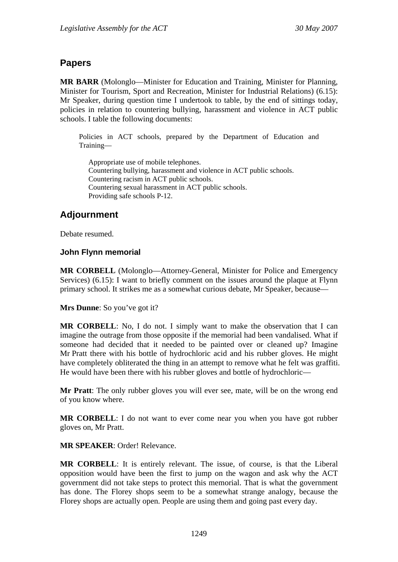# **Papers**

**MR BARR** (Molonglo—Minister for Education and Training, Minister for Planning, Minister for Tourism, Sport and Recreation, Minister for Industrial Relations) (6.15): Mr Speaker, during question time I undertook to table, by the end of sittings today, policies in relation to countering bullying, harassment and violence in ACT public schools. I table the following documents:

Policies in ACT schools, prepared by the Department of Education and Training—

Appropriate use of mobile telephones. Countering bullying, harassment and violence in ACT public schools. Countering racism in ACT public schools. Countering sexual harassment in ACT public schools. Providing safe schools P-12.

# **Adjournment**

Debate resumed.

### **John Flynn memorial**

**MR CORBELL** (Molonglo—Attorney-General, Minister for Police and Emergency Services) (6.15): I want to briefly comment on the issues around the plaque at Flynn primary school. It strikes me as a somewhat curious debate, Mr Speaker, because—

**Mrs Dunne**: So you've got it?

**MR CORBELL**: No, I do not. I simply want to make the observation that I can imagine the outrage from those opposite if the memorial had been vandalised. What if someone had decided that it needed to be painted over or cleaned up? Imagine Mr Pratt there with his bottle of hydrochloric acid and his rubber gloves. He might have completely obliterated the thing in an attempt to remove what he felt was graffiti. He would have been there with his rubber gloves and bottle of hydrochloric—

**Mr Pratt**: The only rubber gloves you will ever see, mate, will be on the wrong end of you know where.

**MR CORBELL**: I do not want to ever come near you when you have got rubber gloves on, Mr Pratt.

**MR SPEAKER**: Order! Relevance.

**MR CORBELL**: It is entirely relevant. The issue, of course, is that the Liberal opposition would have been the first to jump on the wagon and ask why the ACT government did not take steps to protect this memorial. That is what the government has done. The Florey shops seem to be a somewhat strange analogy, because the Florey shops are actually open. People are using them and going past every day.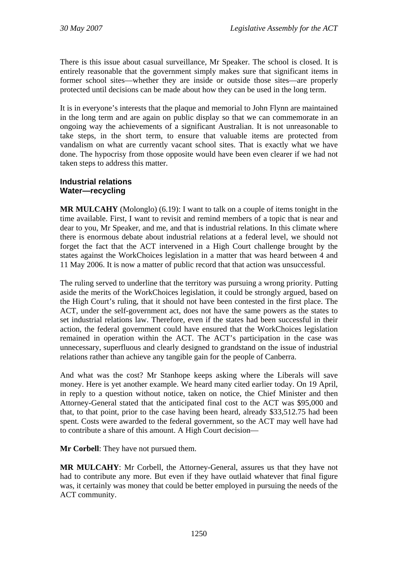There is this issue about casual surveillance, Mr Speaker. The school is closed. It is entirely reasonable that the government simply makes sure that significant items in former school sites—whether they are inside or outside those sites—are properly protected until decisions can be made about how they can be used in the long term.

It is in everyone's interests that the plaque and memorial to John Flynn are maintained in the long term and are again on public display so that we can commemorate in an ongoing way the achievements of a significant Australian. It is not unreasonable to take steps, in the short term, to ensure that valuable items are protected from vandalism on what are currently vacant school sites. That is exactly what we have done. The hypocrisy from those opposite would have been even clearer if we had not taken steps to address this matter.

### **Industrial relations Water—recycling**

**MR MULCAHY** (Molonglo) (6.19): I want to talk on a couple of items tonight in the time available. First, I want to revisit and remind members of a topic that is near and dear to you, Mr Speaker, and me, and that is industrial relations. In this climate where there is enormous debate about industrial relations at a federal level, we should not forget the fact that the ACT intervened in a High Court challenge brought by the states against the WorkChoices legislation in a matter that was heard between 4 and 11 May 2006. It is now a matter of public record that that action was unsuccessful.

The ruling served to underline that the territory was pursuing a wrong priority. Putting aside the merits of the WorkChoices legislation, it could be strongly argued, based on the High Court's ruling, that it should not have been contested in the first place. The ACT, under the self-government act, does not have the same powers as the states to set industrial relations law. Therefore, even if the states had been successful in their action, the federal government could have ensured that the WorkChoices legislation remained in operation within the ACT. The ACT's participation in the case was unnecessary, superfluous and clearly designed to grandstand on the issue of industrial relations rather than achieve any tangible gain for the people of Canberra.

And what was the cost? Mr Stanhope keeps asking where the Liberals will save money. Here is yet another example. We heard many cited earlier today. On 19 April, in reply to a question without notice, taken on notice, the Chief Minister and then Attorney-General stated that the anticipated final cost to the ACT was \$95,000 and that, to that point, prior to the case having been heard, already \$33,512.75 had been spent. Costs were awarded to the federal government, so the ACT may well have had to contribute a share of this amount. A High Court decision—

**Mr Corbell**: They have not pursued them.

**MR MULCAHY**: Mr Corbell, the Attorney-General, assures us that they have not had to contribute any more. But even if they have outlaid whatever that final figure was, it certainly was money that could be better employed in pursuing the needs of the ACT community.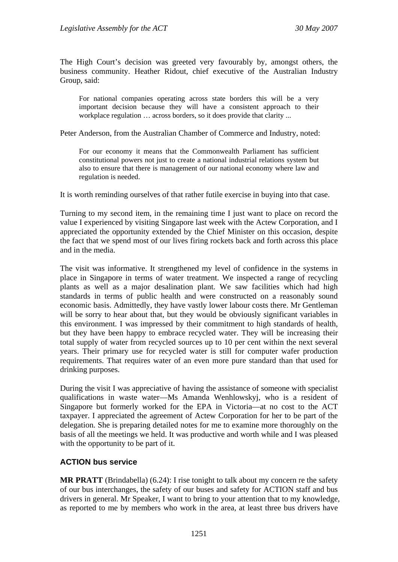The High Court's decision was greeted very favourably by, amongst others, the business community. Heather Ridout, chief executive of the Australian Industry Group, said:

For national companies operating across state borders this will be a very important decision because they will have a consistent approach to their workplace regulation ... across borders, so it does provide that clarity ...

Peter Anderson, from the Australian Chamber of Commerce and Industry, noted:

For our economy it means that the Commonwealth Parliament has sufficient constitutional powers not just to create a national industrial relations system but also to ensure that there is management of our national economy where law and regulation is needed.

It is worth reminding ourselves of that rather futile exercise in buying into that case.

Turning to my second item, in the remaining time I just want to place on record the value I experienced by visiting Singapore last week with the Actew Corporation, and I appreciated the opportunity extended by the Chief Minister on this occasion, despite the fact that we spend most of our lives firing rockets back and forth across this place and in the media.

The visit was informative. It strengthened my level of confidence in the systems in place in Singapore in terms of water treatment. We inspected a range of recycling plants as well as a major desalination plant. We saw facilities which had high standards in terms of public health and were constructed on a reasonably sound economic basis. Admittedly, they have vastly lower labour costs there. Mr Gentleman will be sorry to hear about that, but they would be obviously significant variables in this environment. I was impressed by their commitment to high standards of health, but they have been happy to embrace recycled water. They will be increasing their total supply of water from recycled sources up to 10 per cent within the next several years. Their primary use for recycled water is still for computer wafer production requirements. That requires water of an even more pure standard than that used for drinking purposes.

During the visit I was appreciative of having the assistance of someone with specialist qualifications in waste water—Ms Amanda Wenhlowskyj, who is a resident of Singapore but formerly worked for the EPA in Victoria—at no cost to the ACT taxpayer. I appreciated the agreement of Actew Corporation for her to be part of the delegation. She is preparing detailed notes for me to examine more thoroughly on the basis of all the meetings we held. It was productive and worth while and I was pleased with the opportunity to be part of it.

## **ACTION bus service**

**MR PRATT** (Brindabella) (6.24): I rise tonight to talk about my concern re the safety of our bus interchanges, the safety of our buses and safety for ACTION staff and bus drivers in general. Mr Speaker, I want to bring to your attention that to my knowledge, as reported to me by members who work in the area, at least three bus drivers have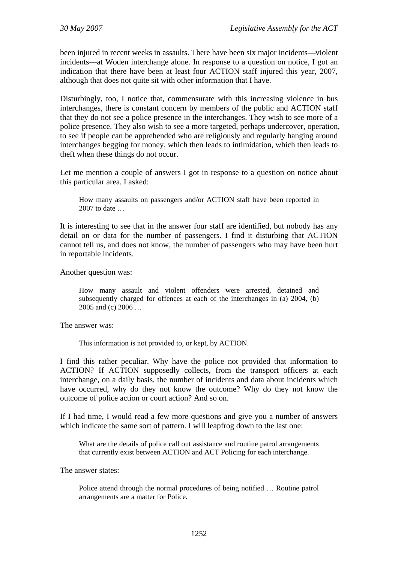been injured in recent weeks in assaults. There have been six major incidents—violent incidents—at Woden interchange alone. In response to a question on notice, I got an indication that there have been at least four ACTION staff injured this year, 2007, although that does not quite sit with other information that I have.

Disturbingly, too, I notice that, commensurate with this increasing violence in bus interchanges, there is constant concern by members of the public and ACTION staff that they do not see a police presence in the interchanges. They wish to see more of a police presence. They also wish to see a more targeted, perhaps undercover, operation, to see if people can be apprehended who are religiously and regularly hanging around interchanges begging for money, which then leads to intimidation, which then leads to theft when these things do not occur.

Let me mention a couple of answers I got in response to a question on notice about this particular area. I asked:

How many assaults on passengers and/or ACTION staff have been reported in 2007 to date …

It is interesting to see that in the answer four staff are identified, but nobody has any detail on or data for the number of passengers. I find it disturbing that ACTION cannot tell us, and does not know, the number of passengers who may have been hurt in reportable incidents.

Another question was:

How many assault and violent offenders were arrested, detained and subsequently charged for offences at each of the interchanges in (a) 2004, (b) 2005 and (c) 2006 …

The answer was:

This information is not provided to, or kept, by ACTION.

I find this rather peculiar. Why have the police not provided that information to ACTION? If ACTION supposedly collects, from the transport officers at each interchange, on a daily basis, the number of incidents and data about incidents which have occurred, why do they not know the outcome? Why do they not know the outcome of police action or court action? And so on.

If I had time, I would read a few more questions and give you a number of answers which indicate the same sort of pattern. I will leapfrog down to the last one:

What are the details of police call out assistance and routine patrol arrangements that currently exist between ACTION and ACT Policing for each interchange.

The answer states:

Police attend through the normal procedures of being notified … Routine patrol arrangements are a matter for Police.